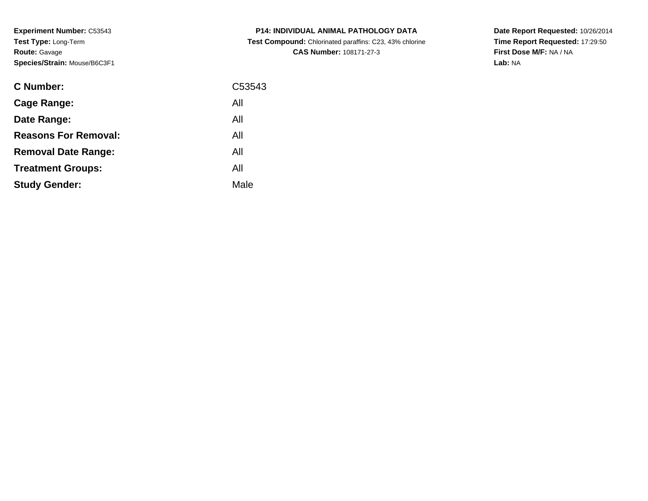**Experiment Number:** C53543**Test Type:** Long-Term**Route:** Gavage**Species/Strain:** Mouse/B6C3F1

| <b>C Number:</b>            | C53543 |
|-----------------------------|--------|
| <b>Cage Range:</b>          | All    |
| Date Range:                 | All    |
| <b>Reasons For Removal:</b> | All    |
| <b>Removal Date Range:</b>  | All    |
| <b>Treatment Groups:</b>    | All    |
| <b>Study Gender:</b>        | Male   |
|                             |        |

**P14: INDIVIDUAL ANIMAL PATHOLOGY DATA Test Compound:** Chlorinated paraffins: C23, 43% chlorine**CAS Number:** 108171-27-3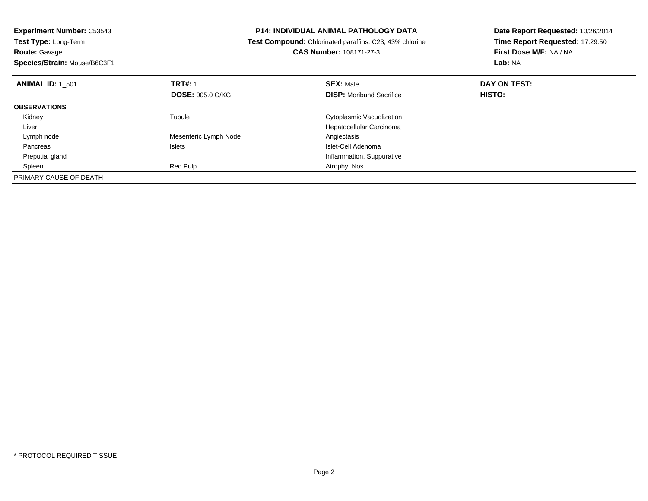| <b>Experiment Number: C53543</b> |                         | <b>P14: INDIVIDUAL ANIMAL PATHOLOGY DATA</b>            | Date Report Requested: 10/26/2014<br>Time Report Requested: 17:29:50 |
|----------------------------------|-------------------------|---------------------------------------------------------|----------------------------------------------------------------------|
| Test Type: Long-Term             |                         | Test Compound: Chlorinated paraffins: C23, 43% chlorine |                                                                      |
| <b>Route: Gavage</b>             |                         | <b>CAS Number: 108171-27-3</b>                          | First Dose M/F: NA / NA                                              |
| Species/Strain: Mouse/B6C3F1     |                         |                                                         | Lab: NA                                                              |
| <b>ANIMAL ID: 1 501</b>          | <b>TRT#: 1</b>          | <b>SEX: Male</b>                                        | DAY ON TEST:                                                         |
|                                  | <b>DOSE: 005.0 G/KG</b> | <b>DISP:</b> Moribund Sacrifice                         | HISTO:                                                               |
| <b>OBSERVATIONS</b>              |                         |                                                         |                                                                      |
| Kidney                           | Tubule                  | Cytoplasmic Vacuolization                               |                                                                      |
| Liver                            |                         | Hepatocellular Carcinoma                                |                                                                      |
| Lymph node                       | Mesenteric Lymph Node   | Angiectasis                                             |                                                                      |
| Pancreas                         | Islets                  | Islet-Cell Adenoma                                      |                                                                      |
| Preputial gland                  |                         | Inflammation, Suppurative                               |                                                                      |
| Spleen                           | Red Pulp                | Atrophy, Nos                                            |                                                                      |
| PRIMARY CAUSE OF DEATH           |                         |                                                         |                                                                      |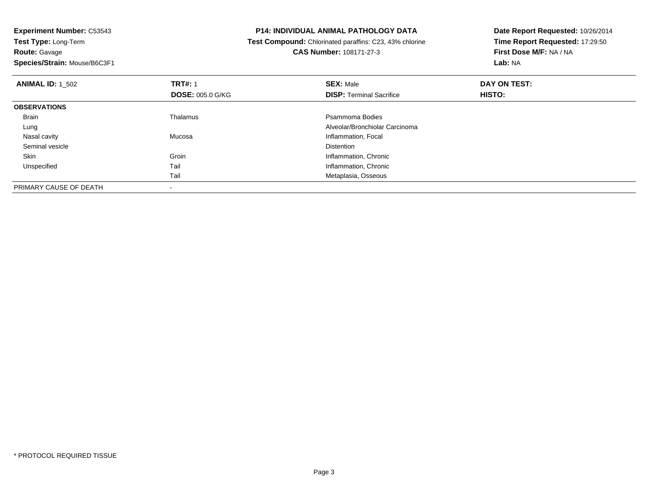| <b>Experiment Number: C53543</b>          | <b>P14: INDIVIDUAL ANIMAL PATHOLOGY DATA</b>            | Date Report Requested: 10/26/2014<br>Time Report Requested: 17:29:50 |  |
|-------------------------------------------|---------------------------------------------------------|----------------------------------------------------------------------|--|
| Test Type: Long-Term                      | Test Compound: Chlorinated paraffins: C23, 43% chlorine |                                                                      |  |
| <b>Route: Gavage</b>                      | CAS Number: 108171-27-3                                 | First Dose M/F: NA / NA                                              |  |
| Species/Strain: Mouse/B6C3F1              |                                                         | Lab: NA                                                              |  |
| <b>TRT#: 1</b><br><b>ANIMAL ID: 1 502</b> | <b>SEX: Male</b>                                        | DAY ON TEST:                                                         |  |
| <b>DOSE: 005.0 G/KG</b>                   | <b>DISP:</b> Terminal Sacrifice                         | HISTO:                                                               |  |
| <b>OBSERVATIONS</b>                       |                                                         |                                                                      |  |
| Thalamus<br>Brain                         | Psammoma Bodies                                         |                                                                      |  |
| Lung                                      | Alveolar/Bronchiolar Carcinoma                          |                                                                      |  |
| Mucosa<br>Nasal cavity                    | Inflammation, Focal                                     |                                                                      |  |
| Seminal vesicle                           | Distention                                              |                                                                      |  |
| Groin<br>Skin                             | Inflammation, Chronic                                   |                                                                      |  |
| Tail<br>Unspecified                       | Inflammation, Chronic                                   |                                                                      |  |
| Tail                                      | Metaplasia, Osseous                                     |                                                                      |  |
| PRIMARY CAUSE OF DEATH                    |                                                         |                                                                      |  |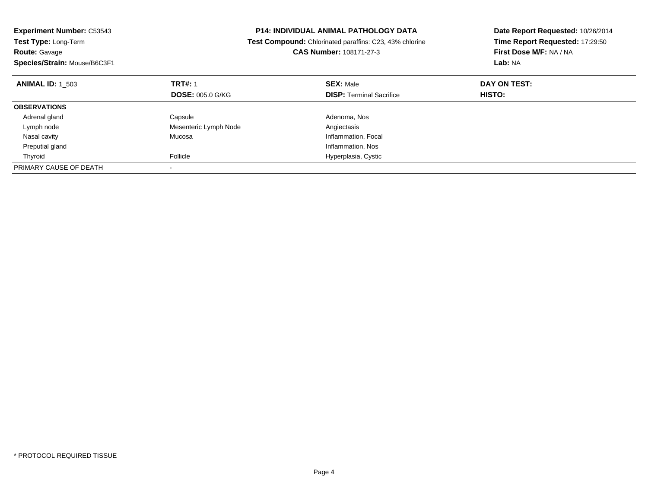| <b>Experiment Number: C53543</b> | P14: INDIVIDUAL ANIMAL PATHOLOGY DATA<br>Test Compound: Chlorinated paraffins: C23, 43% chlorine |                                 | Date Report Requested: 10/26/2014 |
|----------------------------------|--------------------------------------------------------------------------------------------------|---------------------------------|-----------------------------------|
| Test Type: Long-Term             |                                                                                                  |                                 | Time Report Requested: 17:29:50   |
| <b>Route: Gavage</b>             |                                                                                                  | <b>CAS Number: 108171-27-3</b>  | First Dose M/F: NA / NA           |
| Species/Strain: Mouse/B6C3F1     |                                                                                                  |                                 | Lab: NA                           |
| <b>ANIMAL ID: 1 503</b>          | <b>TRT#: 1</b>                                                                                   | <b>SEX: Male</b>                | DAY ON TEST:                      |
|                                  | <b>DOSE: 005.0 G/KG</b>                                                                          | <b>DISP: Terminal Sacrifice</b> | <b>HISTO:</b>                     |
| <b>OBSERVATIONS</b>              |                                                                                                  |                                 |                                   |
| Adrenal gland                    | Capsule                                                                                          | Adenoma, Nos                    |                                   |
| Lymph node                       | Mesenteric Lymph Node                                                                            | Angiectasis                     |                                   |
| Nasal cavity                     | Mucosa                                                                                           | Inflammation, Focal             |                                   |
| Preputial gland                  |                                                                                                  | Inflammation, Nos               |                                   |
| Thyroid                          | Follicle                                                                                         | Hyperplasia, Cystic             |                                   |
| PRIMARY CAUSE OF DEATH           |                                                                                                  |                                 |                                   |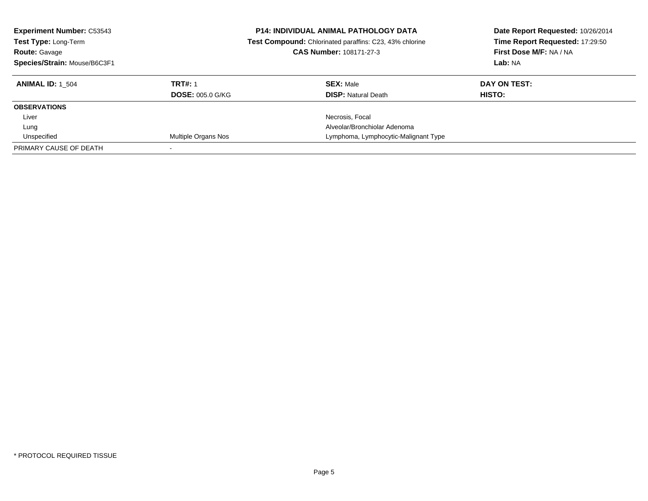| <b>Experiment Number: C53543</b><br>Test Type: Long-Term<br><b>Route: Gavage</b><br>Species/Strain: Mouse/B6C3F1 |                         | <b>P14: INDIVIDUAL ANIMAL PATHOLOGY DATA</b><br>Date Report Requested: 10/26/2014<br>Time Report Requested: 17:29:50<br>Test Compound: Chlorinated paraffins: C23, 43% chlorine<br>First Dose M/F: NA / NA<br>CAS Number: 108171-27-3<br>Lab: NA |               |
|------------------------------------------------------------------------------------------------------------------|-------------------------|--------------------------------------------------------------------------------------------------------------------------------------------------------------------------------------------------------------------------------------------------|---------------|
| <b>ANIMAL ID: 1 504</b>                                                                                          | <b>TRT#: 1</b>          | <b>SEX: Male</b>                                                                                                                                                                                                                                 | DAY ON TEST:  |
|                                                                                                                  | <b>DOSE: 005.0 G/KG</b> | <b>DISP:</b> Natural Death                                                                                                                                                                                                                       | <b>HISTO:</b> |
| <b>OBSERVATIONS</b>                                                                                              |                         |                                                                                                                                                                                                                                                  |               |
| Liver                                                                                                            |                         | Necrosis, Focal                                                                                                                                                                                                                                  |               |
| Lung                                                                                                             |                         | Alveolar/Bronchiolar Adenoma                                                                                                                                                                                                                     |               |
| Unspecified                                                                                                      | Multiple Organs Nos     | Lymphoma, Lymphocytic-Malignant Type                                                                                                                                                                                                             |               |
| PRIMARY CAUSE OF DEATH                                                                                           |                         |                                                                                                                                                                                                                                                  |               |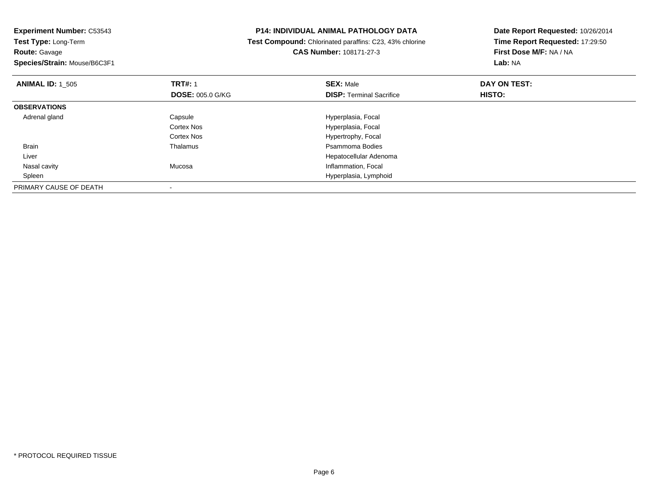| <b>Experiment Number: C53543</b><br>Test Type: Long-Term |                         | <b>P14: INDIVIDUAL ANIMAL PATHOLOGY DATA</b>            | Date Report Requested: 10/26/2014 |  |
|----------------------------------------------------------|-------------------------|---------------------------------------------------------|-----------------------------------|--|
|                                                          |                         | Test Compound: Chlorinated paraffins: C23, 43% chlorine | Time Report Requested: 17:29:50   |  |
| <b>Route: Gavage</b>                                     |                         | CAS Number: 108171-27-3                                 | First Dose M/F: NA / NA           |  |
| Species/Strain: Mouse/B6C3F1                             |                         |                                                         | <b>Lab: NA</b>                    |  |
| <b>ANIMAL ID: 1 505</b>                                  | <b>TRT#: 1</b>          | <b>SEX: Male</b>                                        | DAY ON TEST:                      |  |
|                                                          | <b>DOSE: 005.0 G/KG</b> | <b>DISP:</b> Terminal Sacrifice                         | HISTO:                            |  |
| <b>OBSERVATIONS</b>                                      |                         |                                                         |                                   |  |
| Adrenal gland                                            | Capsule                 | Hyperplasia, Focal                                      |                                   |  |
|                                                          | Cortex Nos              | Hyperplasia, Focal                                      |                                   |  |
|                                                          | Cortex Nos              | Hypertrophy, Focal                                      |                                   |  |
| Brain                                                    | Thalamus                | Psammoma Bodies                                         |                                   |  |
| Liver                                                    |                         | Hepatocellular Adenoma                                  |                                   |  |
| Nasal cavity                                             | Mucosa                  | Inflammation, Focal                                     |                                   |  |
| Spleen                                                   |                         | Hyperplasia, Lymphoid                                   |                                   |  |
| PRIMARY CAUSE OF DEATH                                   |                         |                                                         |                                   |  |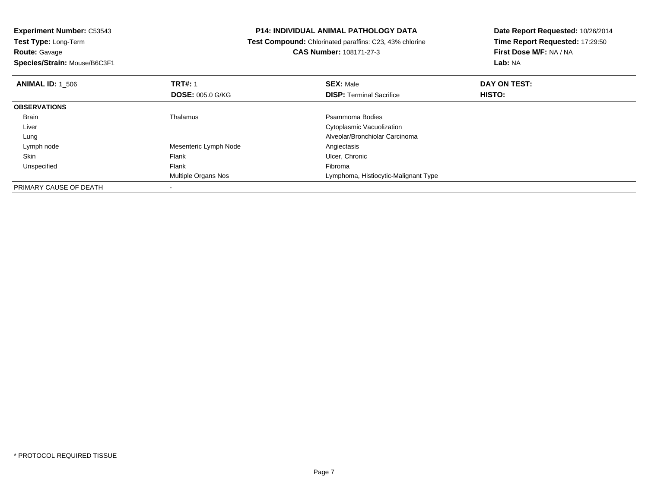**Experiment Number:** C53543**Test Type:** Long-Term**Route:** Gavage

**Species/Strain:** Mouse/B6C3F1

### **P14: INDIVIDUAL ANIMAL PATHOLOGY DATA**

 **Test Compound:** Chlorinated paraffins: C23, 43% chlorine**CAS Number:** 108171-27-3

| <b>ANIMAL ID: 1 506</b> | <b>TRT#: 1</b><br><b>DOSE: 005.0 G/KG</b> | <b>SEX: Male</b><br><b>DISP: Terminal Sacrifice</b> | DAY ON TEST:<br><b>HISTO:</b> |  |
|-------------------------|-------------------------------------------|-----------------------------------------------------|-------------------------------|--|
| <b>OBSERVATIONS</b>     |                                           |                                                     |                               |  |
| <b>Brain</b>            | Thalamus                                  | Psammoma Bodies                                     |                               |  |
| Liver                   |                                           | Cytoplasmic Vacuolization                           |                               |  |
| Lung                    |                                           | Alveolar/Bronchiolar Carcinoma                      |                               |  |
| Lymph node              | Mesenteric Lymph Node                     | Angiectasis                                         |                               |  |
| Skin                    | Flank                                     | Ulcer, Chronic                                      |                               |  |
| Unspecified             | Flank                                     | Fibroma                                             |                               |  |
|                         | Multiple Organs Nos                       | Lymphoma, Histiocytic-Malignant Type                |                               |  |
| PRIMARY CAUSE OF DEATH  |                                           |                                                     |                               |  |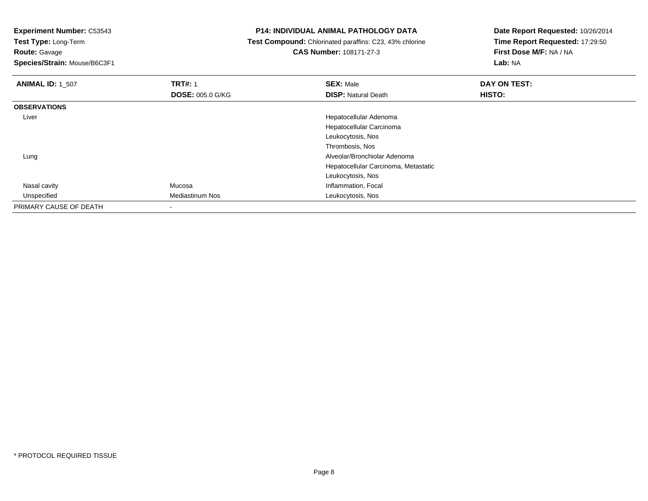**Experiment Number:** C53543

**Test Type:** Long-Term

**Route:** Gavage

**Species/Strain:** Mouse/B6C3F1

# **P14: INDIVIDUAL ANIMAL PATHOLOGY DATA**

 **Test Compound:** Chlorinated paraffins: C23, 43% chlorine**CAS Number:** 108171-27-3

| <b>ANIMAL ID: 1_507</b> | <b>TRT#: 1</b>          | <b>SEX: Male</b>                     | DAY ON TEST: |  |
|-------------------------|-------------------------|--------------------------------------|--------------|--|
|                         | <b>DOSE: 005.0 G/KG</b> | <b>DISP: Natural Death</b>           | HISTO:       |  |
| <b>OBSERVATIONS</b>     |                         |                                      |              |  |
| Liver                   |                         | Hepatocellular Adenoma               |              |  |
|                         |                         | Hepatocellular Carcinoma             |              |  |
|                         |                         | Leukocytosis, Nos                    |              |  |
|                         |                         | Thrombosis, Nos                      |              |  |
| Lung                    |                         | Alveolar/Bronchiolar Adenoma         |              |  |
|                         |                         | Hepatocellular Carcinoma, Metastatic |              |  |
|                         |                         | Leukocytosis, Nos                    |              |  |
| Nasal cavity            | Mucosa                  | Inflammation, Focal                  |              |  |
| Unspecified             | <b>Mediastinum Nos</b>  | Leukocytosis, Nos                    |              |  |
| PRIMARY CAUSE OF DEATH  |                         |                                      |              |  |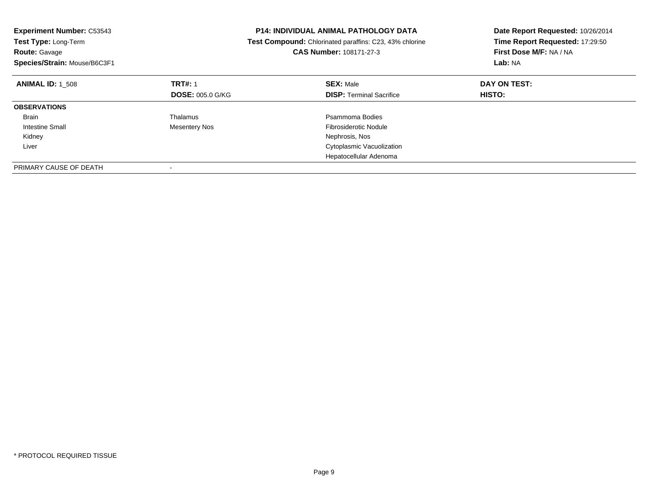| Experiment Number: C53543<br>Test Type: Long-Term<br><b>Route: Gavage</b><br>Species/Strain: Mouse/B6C3F1 |                         | <b>P14: INDIVIDUAL ANIMAL PATHOLOGY DATA</b><br>Test Compound: Chlorinated paraffins: C23, 43% chlorine<br>CAS Number: 108171-27-3 | Date Report Requested: 10/26/2014<br>Time Report Requested: 17:29:50<br>First Dose M/F: NA / NA<br>Lab: NA |
|-----------------------------------------------------------------------------------------------------------|-------------------------|------------------------------------------------------------------------------------------------------------------------------------|------------------------------------------------------------------------------------------------------------|
| <b>ANIMAL ID: 1 508</b>                                                                                   | <b>TRT#: 1</b>          | <b>SEX: Male</b>                                                                                                                   | DAY ON TEST:                                                                                               |
|                                                                                                           | <b>DOSE: 005.0 G/KG</b> | <b>DISP:</b> Terminal Sacrifice                                                                                                    | <b>HISTO:</b>                                                                                              |
| <b>OBSERVATIONS</b>                                                                                       |                         |                                                                                                                                    |                                                                                                            |
| <b>Brain</b>                                                                                              | Thalamus                | Psammoma Bodies                                                                                                                    |                                                                                                            |
| Intestine Small                                                                                           | Mesentery Nos           | <b>Fibrosiderotic Nodule</b>                                                                                                       |                                                                                                            |
| Kidney                                                                                                    |                         | Nephrosis, Nos                                                                                                                     |                                                                                                            |
| Liver                                                                                                     |                         | Cytoplasmic Vacuolization                                                                                                          |                                                                                                            |
|                                                                                                           |                         | Hepatocellular Adenoma                                                                                                             |                                                                                                            |
| PRIMARY CAUSE OF DEATH                                                                                    |                         |                                                                                                                                    |                                                                                                            |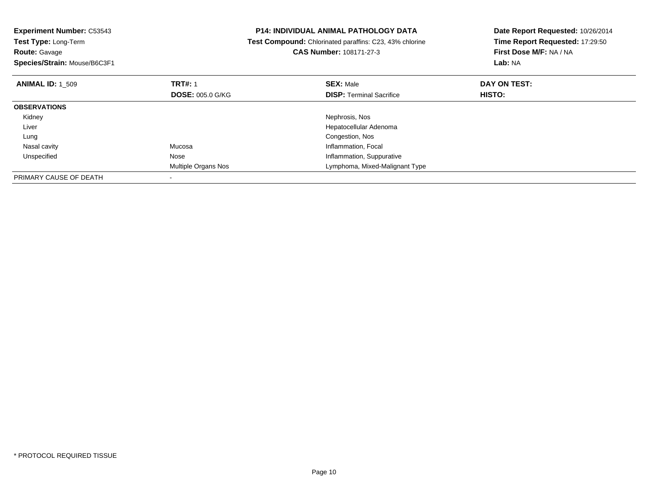| <b>Experiment Number: C53543</b><br><b>Test Type: Long-Term</b> |                         | <b>P14: INDIVIDUAL ANIMAL PATHOLOGY DATA</b>            | Date Report Requested: 10/26/2014 |
|-----------------------------------------------------------------|-------------------------|---------------------------------------------------------|-----------------------------------|
|                                                                 |                         | Test Compound: Chlorinated paraffins: C23, 43% chlorine | Time Report Requested: 17:29:50   |
| <b>Route: Gavage</b>                                            |                         | <b>CAS Number: 108171-27-3</b>                          | First Dose M/F: NA / NA           |
| Species/Strain: Mouse/B6C3F1                                    |                         |                                                         | Lab: NA                           |
| <b>ANIMAL ID: 1 509</b>                                         | <b>TRT#: 1</b>          | <b>SEX: Male</b>                                        | DAY ON TEST:                      |
|                                                                 | <b>DOSE: 005.0 G/KG</b> | <b>DISP: Terminal Sacrifice</b>                         | HISTO:                            |
| <b>OBSERVATIONS</b>                                             |                         |                                                         |                                   |
| Kidney                                                          |                         | Nephrosis, Nos                                          |                                   |
| Liver                                                           |                         | Hepatocellular Adenoma                                  |                                   |
| Lung                                                            |                         | Congestion, Nos                                         |                                   |
| Nasal cavity                                                    | Mucosa                  | Inflammation, Focal                                     |                                   |
| Unspecified                                                     | Nose                    | Inflammation, Suppurative                               |                                   |
|                                                                 | Multiple Organs Nos     | Lymphoma, Mixed-Malignant Type                          |                                   |
| PRIMARY CAUSE OF DEATH                                          |                         |                                                         |                                   |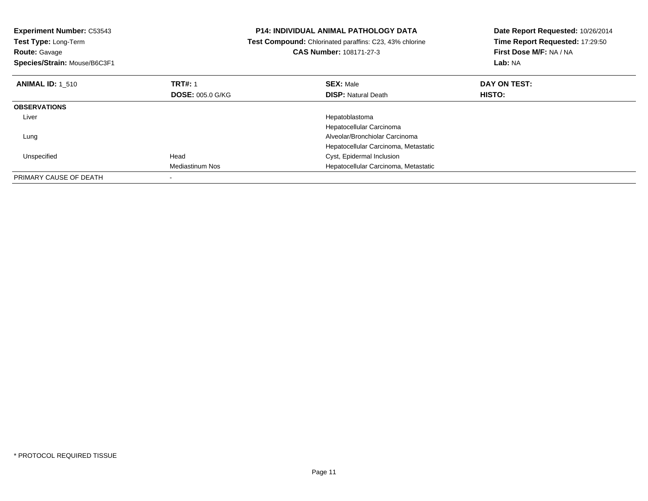| <b>Experiment Number: C53543</b><br>Test Type: Long-Term<br><b>Route: Gavage</b><br>Species/Strain: Mouse/B6C3F1 |                         | P14: INDIVIDUAL ANIMAL PATHOLOGY DATA<br>Date Report Requested: 10/26/2014<br>Time Report Requested: 17:29:50<br>Test Compound: Chlorinated paraffins: C23, 43% chlorine<br>First Dose M/F: NA / NA<br>CAS Number: 108171-27-3<br>Lab: NA |              |
|------------------------------------------------------------------------------------------------------------------|-------------------------|-------------------------------------------------------------------------------------------------------------------------------------------------------------------------------------------------------------------------------------------|--------------|
| <b>ANIMAL ID: 1 510</b>                                                                                          | <b>TRT#: 1</b>          | <b>SEX: Male</b>                                                                                                                                                                                                                          | DAY ON TEST: |
|                                                                                                                  | <b>DOSE: 005.0 G/KG</b> | <b>DISP:</b> Natural Death                                                                                                                                                                                                                | HISTO:       |
| <b>OBSERVATIONS</b>                                                                                              |                         |                                                                                                                                                                                                                                           |              |
| Liver                                                                                                            |                         | Hepatoblastoma                                                                                                                                                                                                                            |              |
|                                                                                                                  |                         | Hepatocellular Carcinoma                                                                                                                                                                                                                  |              |
| Lung                                                                                                             |                         | Alveolar/Bronchiolar Carcinoma                                                                                                                                                                                                            |              |
|                                                                                                                  |                         | Hepatocellular Carcinoma, Metastatic                                                                                                                                                                                                      |              |
| Unspecified                                                                                                      | Head                    | Cyst, Epidermal Inclusion                                                                                                                                                                                                                 |              |
|                                                                                                                  | Mediastinum Nos         | Hepatocellular Carcinoma, Metastatic                                                                                                                                                                                                      |              |
| PRIMARY CAUSE OF DEATH                                                                                           |                         |                                                                                                                                                                                                                                           |              |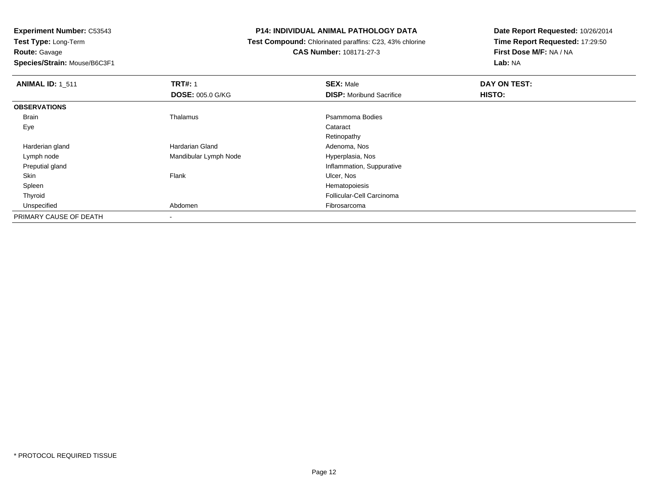**Route:** Gavage

**Species/Strain:** Mouse/B6C3F1

# **P14: INDIVIDUAL ANIMAL PATHOLOGY DATA**

 **Test Compound:** Chlorinated paraffins: C23, 43% chlorine**CAS Number:** 108171-27-3

| <b>ANIMAL ID: 1_511</b> | <b>TRT#: 1</b>          | <b>SEX: Male</b>                | DAY ON TEST: |  |
|-------------------------|-------------------------|---------------------------------|--------------|--|
|                         | <b>DOSE: 005.0 G/KG</b> | <b>DISP:</b> Moribund Sacrifice | HISTO:       |  |
| <b>OBSERVATIONS</b>     |                         |                                 |              |  |
| <b>Brain</b>            | Thalamus                | Psammoma Bodies                 |              |  |
| Eye                     |                         | Cataract                        |              |  |
|                         |                         | Retinopathy                     |              |  |
| Harderian gland         | Hardarian Gland         | Adenoma, Nos                    |              |  |
| Lymph node              | Mandibular Lymph Node   | Hyperplasia, Nos                |              |  |
| Preputial gland         |                         | Inflammation, Suppurative       |              |  |
| Skin                    | Flank                   | Ulcer, Nos                      |              |  |
| Spleen                  |                         | Hematopoiesis                   |              |  |
| Thyroid                 |                         | Follicular-Cell Carcinoma       |              |  |
| Unspecified             | Abdomen                 | Fibrosarcoma                    |              |  |
| PRIMARY CAUSE OF DEATH  |                         |                                 |              |  |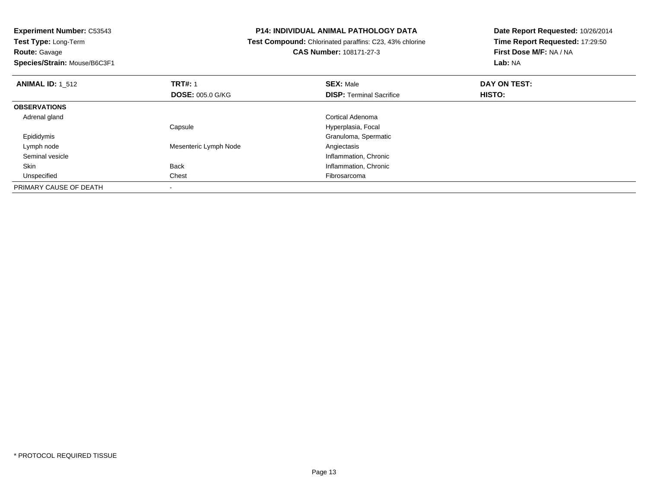**Experiment Number:** C53543**Test Type:** Long-Term**Route:** Gavage **Species/Strain:** Mouse/B6C3F1**P14: INDIVIDUAL ANIMAL PATHOLOGY DATA Test Compound:** Chlorinated paraffins: C23, 43% chlorine**CAS Number:** 108171-27-3**Date Report Requested:** 10/26/2014**Time Report Requested:** 17:29:50**First Dose M/F:** NA / NA**Lab:** NA**ANIMAL ID:** 1\_512**2 DAY ON TRT#:** 1 **SEX:** Male **SEX:** Male **DAY ON TEST: DOSE:** 005.0 G/KG**DISP:** Terminal Sacrifice **HISTO: OBSERVATIONS** Adrenal gland Cortical Adenoma Capsule Hyperplasia, Focal Epididymis Granuloma, Spermatic Lymph nodeMesenteric Lymph Node Seminal vesicleInflammation, Chronic<br>Inflammation, Chronic<br>Inflammation, Chronic SkinInflammation, Chronic Unspecifiedd **Chest** Chest **Fibrosarcoma** PRIMARY CAUSE OF DEATH-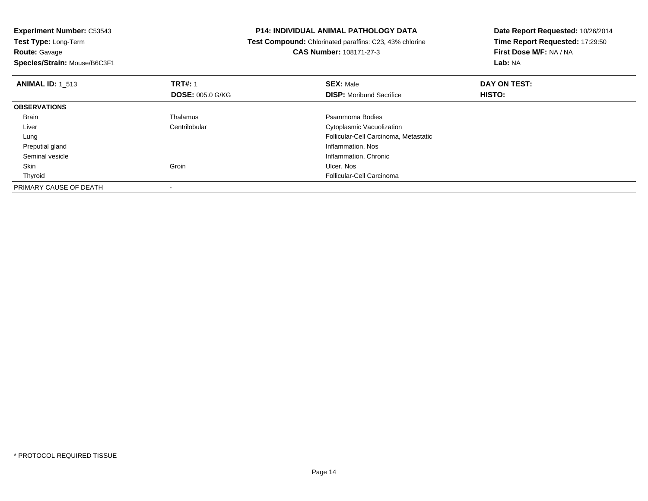**Experiment Number:** C53543**Test Type:** Long-Term**Route:** Gavage **Species/Strain:** Mouse/B6C3F1**P14: INDIVIDUAL ANIMAL PATHOLOGY DATA Test Compound:** Chlorinated paraffins: C23, 43% chlorine**CAS Number:** 108171-27-3**Date Report Requested:** 10/26/2014**Time Report Requested:** 17:29:50**First Dose M/F:** NA / NA**Lab:** NA**ANIMAL ID:** 1\_513**TRT#:** 1 **SEX:** Male **DAY ON TEST: DOSE:** 005.0 G/KG**DISP:** Moribund Sacrifice **HISTO: OBSERVATIONS** BrainThalamus **Participality Control** Press, Participality Psammoma Bodies<br>
Psammoma Bodies<br>
Potoplasmic Vacuol LiverCytoplasmic Vacuolization Follicular-Cell Carcinoma, Metastatic Lung Preputial gland Inflammation, Nos Seminal vesicleInflammation, Chronic<br>
Ulcer, Nos<br>
Ulcer, Nos Skinn and the control of the Community of Groin and the Community of the Community of the Ulcer, Nos Thyroid Follicular-Cell Carcinoma PRIMARY CAUSE OF DEATH-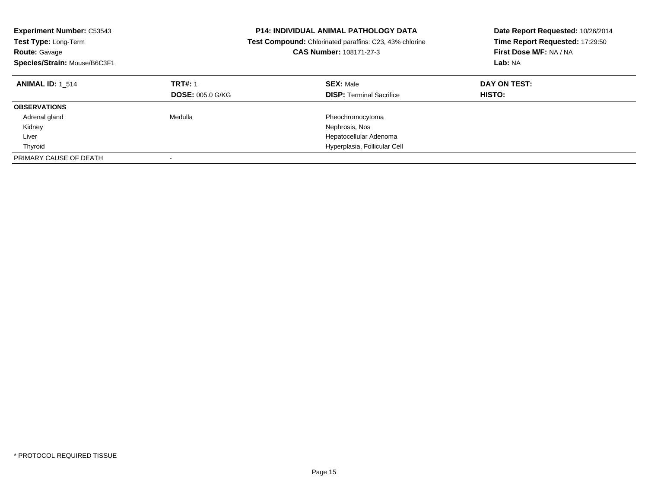| <b>Experiment Number: C53543</b><br>Test Type: Long-Term<br><b>Route: Gavage</b><br>Species/Strain: Mouse/B6C3F1 |                                           | <b>P14: INDIVIDUAL ANIMAL PATHOLOGY DATA</b><br><b>Test Compound:</b> Chlorinated paraffins: C23, 43% chlorine<br><b>CAS Number: 108171-27-3</b> | Date Report Requested: 10/26/2014<br>Time Report Requested: 17:29:50<br>First Dose M/F: NA / NA<br>Lab: NA |
|------------------------------------------------------------------------------------------------------------------|-------------------------------------------|--------------------------------------------------------------------------------------------------------------------------------------------------|------------------------------------------------------------------------------------------------------------|
| <b>ANIMAL ID:</b> 1 514                                                                                          | <b>TRT#: 1</b><br><b>DOSE: 005.0 G/KG</b> | <b>SEX: Male</b><br><b>DISP:</b> Terminal Sacrifice                                                                                              | DAY ON TEST:<br>HISTO:                                                                                     |
| <b>OBSERVATIONS</b>                                                                                              |                                           |                                                                                                                                                  |                                                                                                            |
| Adrenal gland                                                                                                    | Medulla                                   | Pheochromocytoma                                                                                                                                 |                                                                                                            |
| Kidney                                                                                                           |                                           | Nephrosis, Nos                                                                                                                                   |                                                                                                            |
| Liver                                                                                                            |                                           | Hepatocellular Adenoma                                                                                                                           |                                                                                                            |
| Thyroid                                                                                                          |                                           | Hyperplasia, Follicular Cell                                                                                                                     |                                                                                                            |
| PRIMARY CAUSE OF DEATH                                                                                           |                                           |                                                                                                                                                  |                                                                                                            |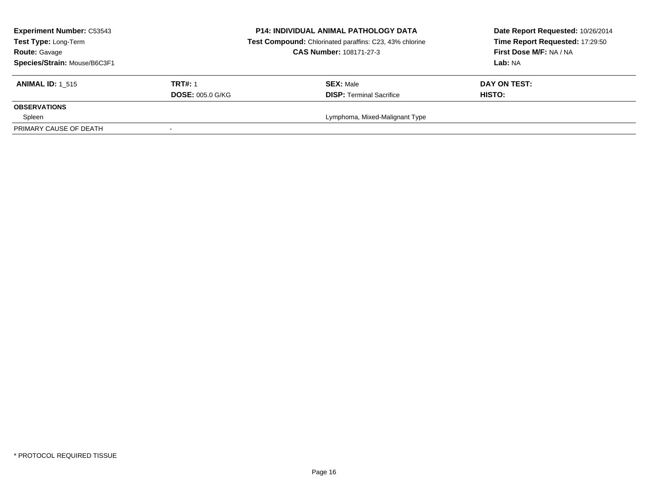| <b>Experiment Number: C53543</b><br>Test Type: Long-Term<br><b>Route: Gavage</b><br>Species/Strain: Mouse/B6C3F1 |                         | <b>P14: INDIVIDUAL ANIMAL PATHOLOGY DATA</b><br>Test Compound: Chlorinated paraffins: C23, 43% chlorine<br><b>CAS Number: 108171-27-3</b> | Date Report Requested: 10/26/2014<br>Time Report Requested: 17:29:50<br>First Dose M/F: NA / NA<br>Lab: NA |  |
|------------------------------------------------------------------------------------------------------------------|-------------------------|-------------------------------------------------------------------------------------------------------------------------------------------|------------------------------------------------------------------------------------------------------------|--|
| <b>ANIMAL ID: 1 515</b>                                                                                          | <b>TRT#: 1</b>          | <b>SEX: Male</b>                                                                                                                          | DAY ON TEST:                                                                                               |  |
|                                                                                                                  | <b>DOSE: 005.0 G/KG</b> | <b>DISP: Terminal Sacrifice</b>                                                                                                           | HISTO:                                                                                                     |  |
| <b>OBSERVATIONS</b>                                                                                              |                         |                                                                                                                                           |                                                                                                            |  |
| Spleen                                                                                                           |                         | Lymphoma, Mixed-Malignant Type                                                                                                            |                                                                                                            |  |
| PRIMARY CAUSE OF DEATH                                                                                           |                         |                                                                                                                                           |                                                                                                            |  |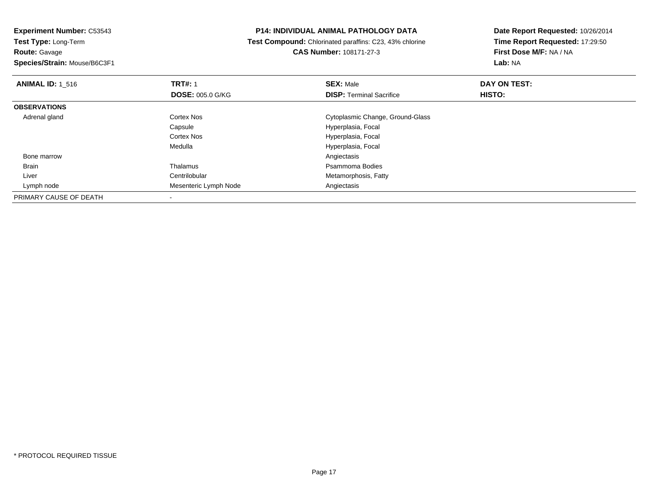**Route:** Gavage

**Species/Strain:** Mouse/B6C3F1

# **P14: INDIVIDUAL ANIMAL PATHOLOGY DATA**

 **Test Compound:** Chlorinated paraffins: C23, 43% chlorine**CAS Number:** 108171-27-3

| <b>ANIMAL ID: 1 516</b> | <b>TRT#: 1</b>          | <b>SEX: Male</b>                 | DAY ON TEST:  |  |
|-------------------------|-------------------------|----------------------------------|---------------|--|
|                         | <b>DOSE: 005.0 G/KG</b> | <b>DISP:</b> Terminal Sacrifice  | <b>HISTO:</b> |  |
| <b>OBSERVATIONS</b>     |                         |                                  |               |  |
| Adrenal gland           | Cortex Nos              | Cytoplasmic Change, Ground-Glass |               |  |
|                         | Capsule                 | Hyperplasia, Focal               |               |  |
|                         | <b>Cortex Nos</b>       | Hyperplasia, Focal               |               |  |
|                         | Medulla                 | Hyperplasia, Focal               |               |  |
| Bone marrow             |                         | Angiectasis                      |               |  |
| <b>Brain</b>            | Thalamus                | Psammoma Bodies                  |               |  |
| Liver                   | Centrilobular           | Metamorphosis, Fatty             |               |  |
| Lymph node              | Mesenteric Lymph Node   | Angiectasis                      |               |  |
| PRIMARY CAUSE OF DEATH  |                         |                                  |               |  |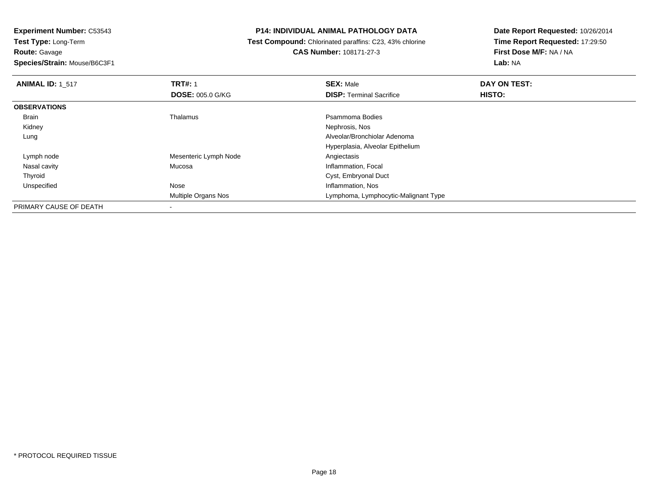**Route:** Gavage

**Species/Strain:** Mouse/B6C3F1

# **P14: INDIVIDUAL ANIMAL PATHOLOGY DATA**

 **Test Compound:** Chlorinated paraffins: C23, 43% chlorine**CAS Number:** 108171-27-3

| <b>ANIMAL ID: 1 517</b> | <b>TRT#: 1</b>           | <b>SEX: Male</b>                     | DAY ON TEST: |  |
|-------------------------|--------------------------|--------------------------------------|--------------|--|
|                         | <b>DOSE: 005.0 G/KG</b>  | <b>DISP: Terminal Sacrifice</b>      | HISTO:       |  |
| <b>OBSERVATIONS</b>     |                          |                                      |              |  |
| Brain                   | Thalamus                 | Psammoma Bodies                      |              |  |
| Kidney                  |                          | Nephrosis, Nos                       |              |  |
| Lung                    |                          | Alveolar/Bronchiolar Adenoma         |              |  |
|                         |                          | Hyperplasia, Alveolar Epithelium     |              |  |
| Lymph node              | Mesenteric Lymph Node    | Angiectasis                          |              |  |
| Nasal cavity            | Mucosa                   | Inflammation, Focal                  |              |  |
| Thyroid                 |                          | Cyst, Embryonal Duct                 |              |  |
| Unspecified             | Nose                     | Inflammation, Nos                    |              |  |
|                         | Multiple Organs Nos      | Lymphoma, Lymphocytic-Malignant Type |              |  |
| PRIMARY CAUSE OF DEATH  | $\overline{\phantom{a}}$ |                                      |              |  |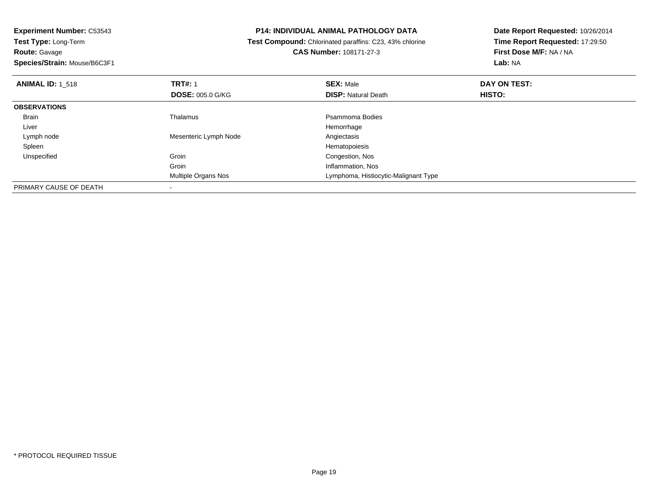**Experiment Number:** C53543**Test Type:** Long-Term**Route:** Gavage **Species/Strain:** Mouse/B6C3F1**P14: INDIVIDUAL ANIMAL PATHOLOGY DATA Test Compound:** Chlorinated paraffins: C23, 43% chlorine**CAS Number:** 108171-27-3**Date Report Requested:** 10/26/2014**Time Report Requested:** 17:29:50**First Dose M/F:** NA / NA**Lab:** NA**ANIMAL ID:** 1\_518**REX:** Male **DAY ON TEST: TRT#:** 1 **SEX:** Male **SEX:** Male **DOSE:** 005.0 G/KG**DISP:** Natural Death **HISTO: OBSERVATIONS** Brainn and the control of the Thalamus and the control of the Psammoma Bodies and the Psammoma Bodies of the Psammoma Bodies and the Psammoma Bodies of the Psammoma Bodies of the Psammoma Bodies of the Psammoma Bodies of the Ps Liverr and the control of the control of the control of the control of the control of the control of the control of Angiectasis Lymph nodeMesenteric Lymph Node<br>
Hematopoiesis<br>
Hematopoiesis Spleenn and the state of the state of the state of the state of the state of the state of the state of the state of the state of the state of the state of the state of the state of the state of the state of the state of the stat UnspecifiedGroin **Congestion, Nos** Groin Inflammation, Nos Multiple Organs Nos Lymphoma, Histiocytic-Malignant TypePRIMARY CAUSE OF DEATH-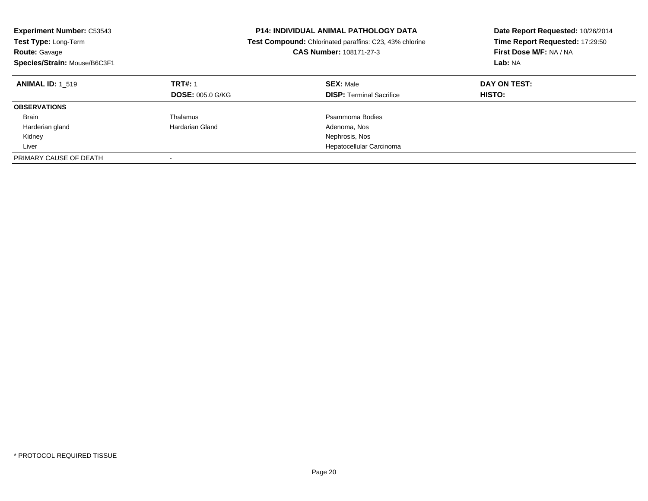| <b>Experiment Number: C53543</b><br>Test Type: Long-Term<br>Route: Gavage<br>Species/Strain: Mouse/B6C3F1 |                         | <b>P14: INDIVIDUAL ANIMAL PATHOLOGY DATA</b><br><b>Test Compound:</b> Chlorinated paraffins: C23, 43% chlorine<br><b>CAS Number: 108171-27-3</b> | Date Report Requested: 10/26/2014<br>Time Report Requested: 17:29:50<br>First Dose M/F: NA / NA<br>Lab: NA |
|-----------------------------------------------------------------------------------------------------------|-------------------------|--------------------------------------------------------------------------------------------------------------------------------------------------|------------------------------------------------------------------------------------------------------------|
| <b>ANIMAL ID: 1 519</b>                                                                                   | <b>TRT#: 1</b>          | <b>SEX: Male</b>                                                                                                                                 | DAY ON TEST:                                                                                               |
|                                                                                                           | <b>DOSE: 005.0 G/KG</b> | <b>DISP:</b> Terminal Sacrifice                                                                                                                  | <b>HISTO:</b>                                                                                              |
| <b>OBSERVATIONS</b>                                                                                       |                         |                                                                                                                                                  |                                                                                                            |
| <b>Brain</b>                                                                                              | Thalamus                | Psammoma Bodies                                                                                                                                  |                                                                                                            |
| Harderian gland                                                                                           | Hardarian Gland         | Adenoma, Nos                                                                                                                                     |                                                                                                            |
| Kidney                                                                                                    |                         | Nephrosis, Nos                                                                                                                                   |                                                                                                            |
| Liver                                                                                                     |                         | Hepatocellular Carcinoma                                                                                                                         |                                                                                                            |
| PRIMARY CAUSE OF DEATH                                                                                    |                         |                                                                                                                                                  |                                                                                                            |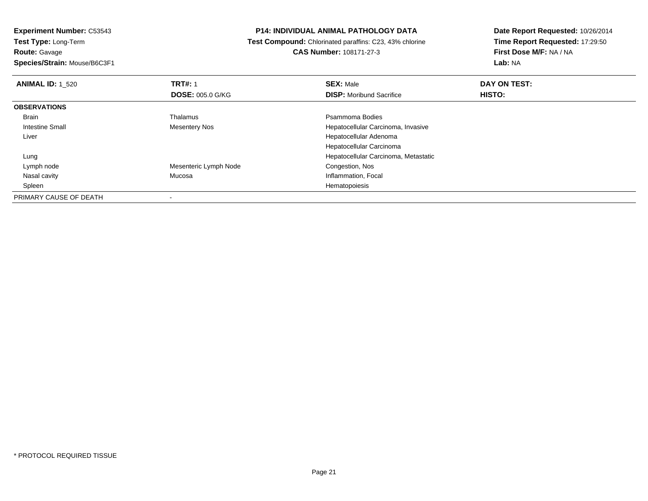**Route:** Gavage

**Species/Strain:** Mouse/B6C3F1

### **P14: INDIVIDUAL ANIMAL PATHOLOGY DATA**

 **Test Compound:** Chlorinated paraffins: C23, 43% chlorine**CAS Number:** 108171-27-3

| <b>ANIMAL ID: 1 520</b> | <b>TRT#: 1</b>          | <b>SEX: Male</b>                     | DAY ON TEST:  |  |
|-------------------------|-------------------------|--------------------------------------|---------------|--|
|                         | <b>DOSE: 005.0 G/KG</b> | <b>DISP:</b> Moribund Sacrifice      | <b>HISTO:</b> |  |
| <b>OBSERVATIONS</b>     |                         |                                      |               |  |
| Brain                   | Thalamus                | Psammoma Bodies                      |               |  |
| Intestine Small         | <b>Mesentery Nos</b>    | Hepatocellular Carcinoma, Invasive   |               |  |
| Liver                   |                         | Hepatocellular Adenoma               |               |  |
|                         |                         | Hepatocellular Carcinoma             |               |  |
| Lung                    |                         | Hepatocellular Carcinoma, Metastatic |               |  |
| Lymph node              | Mesenteric Lymph Node   | Congestion, Nos                      |               |  |
| Nasal cavity            | Mucosa                  | Inflammation, Focal                  |               |  |
| Spleen                  |                         | Hematopoiesis                        |               |  |
| PRIMARY CAUSE OF DEATH  |                         |                                      |               |  |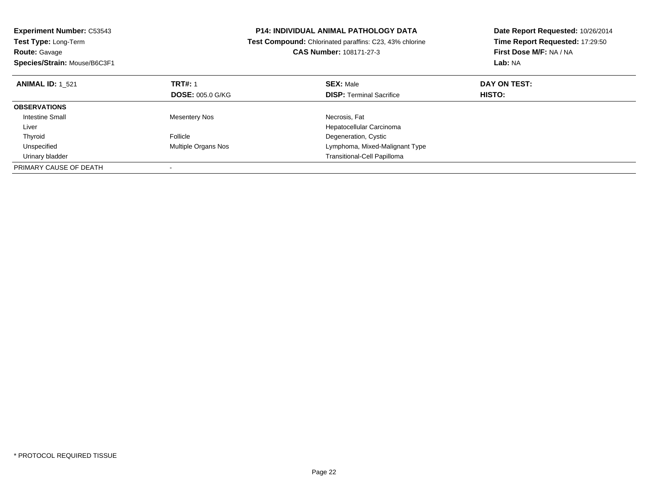| <b>Experiment Number: C53543</b><br>Test Type: Long-Term |                         | <b>P14: INDIVIDUAL ANIMAL PATHOLOGY DATA</b>            | Date Report Requested: 10/26/2014 |
|----------------------------------------------------------|-------------------------|---------------------------------------------------------|-----------------------------------|
|                                                          |                         | Test Compound: Chlorinated paraffins: C23, 43% chlorine | Time Report Requested: 17:29:50   |
| <b>Route: Gavage</b>                                     |                         | CAS Number: 108171-27-3                                 | First Dose M/F: NA / NA           |
| Species/Strain: Mouse/B6C3F1                             |                         |                                                         | Lab: NA                           |
| <b>ANIMAL ID: 1 521</b>                                  | <b>TRT#: 1</b>          | <b>SEX: Male</b>                                        | DAY ON TEST:                      |
|                                                          | <b>DOSE: 005.0 G/KG</b> | <b>DISP:</b> Terminal Sacrifice                         | HISTO:                            |
| <b>OBSERVATIONS</b>                                      |                         |                                                         |                                   |
| Intestine Small                                          | <b>Mesentery Nos</b>    | Necrosis, Fat                                           |                                   |
| Liver                                                    |                         | Hepatocellular Carcinoma                                |                                   |
| Thyroid                                                  | Follicle                | Degeneration, Cystic                                    |                                   |
| Unspecified                                              | Multiple Organs Nos     | Lymphoma, Mixed-Malignant Type                          |                                   |
| Urinary bladder                                          |                         | <b>Transitional-Cell Papilloma</b>                      |                                   |
| PRIMARY CAUSE OF DEATH                                   |                         |                                                         |                                   |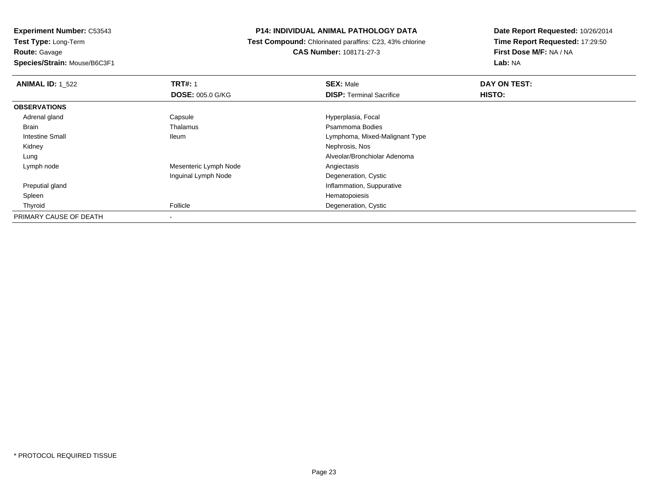**Experiment Number:** C53543**Test Type:** Long-Term**Route:** Gavage**Species/Strain:** Mouse/B6C3F1

### **P14: INDIVIDUAL ANIMAL PATHOLOGY DATA**

 **Test Compound:** Chlorinated paraffins: C23, 43% chlorine**CAS Number:** 108171-27-3

| <b>ANIMAL ID: 1_522</b> | <b>TRT#: 1</b>          | <b>SEX: Male</b>                | DAY ON TEST: |  |
|-------------------------|-------------------------|---------------------------------|--------------|--|
|                         | <b>DOSE: 005.0 G/KG</b> | <b>DISP: Terminal Sacrifice</b> | HISTO:       |  |
| <b>OBSERVATIONS</b>     |                         |                                 |              |  |
| Adrenal gland           | Capsule                 | Hyperplasia, Focal              |              |  |
| Brain                   | Thalamus                | Psammoma Bodies                 |              |  |
| <b>Intestine Small</b>  | <b>Ileum</b>            | Lymphoma, Mixed-Malignant Type  |              |  |
| Kidney                  |                         | Nephrosis, Nos                  |              |  |
| Lung                    |                         | Alveolar/Bronchiolar Adenoma    |              |  |
| Lymph node              | Mesenteric Lymph Node   | Angiectasis                     |              |  |
|                         | Inguinal Lymph Node     | Degeneration, Cystic            |              |  |
| Preputial gland         |                         | Inflammation, Suppurative       |              |  |
| Spleen                  |                         | Hematopoiesis                   |              |  |
| Thyroid                 | Follicle                | Degeneration, Cystic            |              |  |
| PRIMARY CAUSE OF DEATH  |                         |                                 |              |  |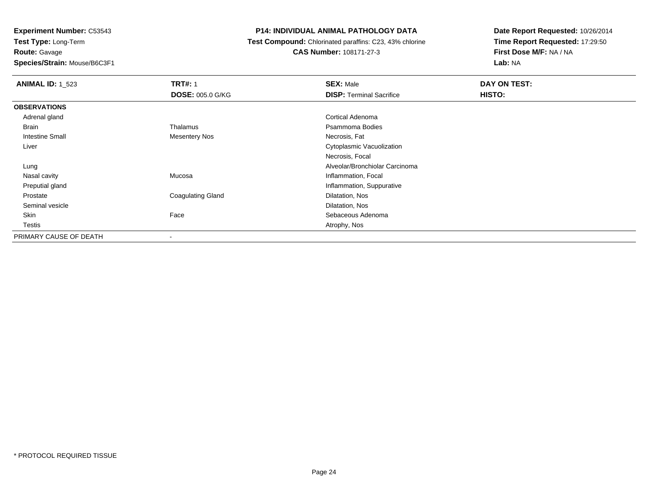**Route:** Gavage

**Species/Strain:** Mouse/B6C3F1

# **P14: INDIVIDUAL ANIMAL PATHOLOGY DATA**

 **Test Compound:** Chlorinated paraffins: C23, 43% chlorine**CAS Number:** 108171-27-3

| <b>ANIMAL ID: 1 523</b> | <b>TRT#: 1</b>           | <b>SEX: Male</b>                | DAY ON TEST: |
|-------------------------|--------------------------|---------------------------------|--------------|
|                         | <b>DOSE: 005.0 G/KG</b>  | <b>DISP: Terminal Sacrifice</b> | HISTO:       |
| <b>OBSERVATIONS</b>     |                          |                                 |              |
| Adrenal gland           |                          | Cortical Adenoma                |              |
| Brain                   | Thalamus                 | Psammoma Bodies                 |              |
| <b>Intestine Small</b>  | <b>Mesentery Nos</b>     | Necrosis, Fat                   |              |
| Liver                   |                          | Cytoplasmic Vacuolization       |              |
|                         |                          | Necrosis, Focal                 |              |
| Lung                    |                          | Alveolar/Bronchiolar Carcinoma  |              |
| Nasal cavity            | Mucosa                   | Inflammation, Focal             |              |
| Preputial gland         |                          | Inflammation, Suppurative       |              |
| Prostate                | <b>Coagulating Gland</b> | Dilatation, Nos                 |              |
| Seminal vesicle         |                          | Dilatation, Nos                 |              |
| Skin                    | Face                     | Sebaceous Adenoma               |              |
| <b>Testis</b>           |                          | Atrophy, Nos                    |              |
| PRIMARY CAUSE OF DEATH  | $\,$                     |                                 |              |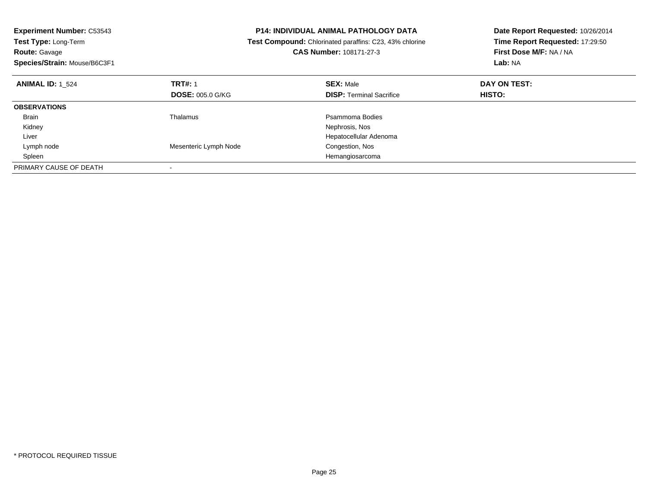| <b>Experiment Number: C53543</b> |                                                                | <b>P14: INDIVIDUAL ANIMAL PATHOLOGY DATA</b> | Date Report Requested: 10/26/2014 |  |
|----------------------------------|----------------------------------------------------------------|----------------------------------------------|-----------------------------------|--|
| Test Type: Long-Term             | <b>Test Compound:</b> Chlorinated paraffins: C23, 43% chlorine |                                              | Time Report Requested: 17:29:50   |  |
| Route: Gavage                    |                                                                | CAS Number: 108171-27-3                      | First Dose M/F: NA / NA           |  |
| Species/Strain: Mouse/B6C3F1     |                                                                |                                              | Lab: NA                           |  |
| <b>ANIMAL ID: 1 524</b>          | <b>TRT#: 1</b>                                                 | <b>SEX: Male</b>                             | DAY ON TEST:                      |  |
|                                  | <b>DOSE: 005.0 G/KG</b>                                        | <b>DISP: Terminal Sacrifice</b>              | <b>HISTO:</b>                     |  |
| <b>OBSERVATIONS</b>              |                                                                |                                              |                                   |  |
| Brain                            | Thalamus                                                       | Psammoma Bodies                              |                                   |  |
| Kidney                           |                                                                | Nephrosis, Nos                               |                                   |  |
| Liver                            |                                                                | Hepatocellular Adenoma                       |                                   |  |
| Lymph node                       | Mesenteric Lymph Node                                          | Congestion, Nos                              |                                   |  |
| Spleen                           |                                                                | Hemangiosarcoma                              |                                   |  |
| PRIMARY CAUSE OF DEATH           |                                                                |                                              |                                   |  |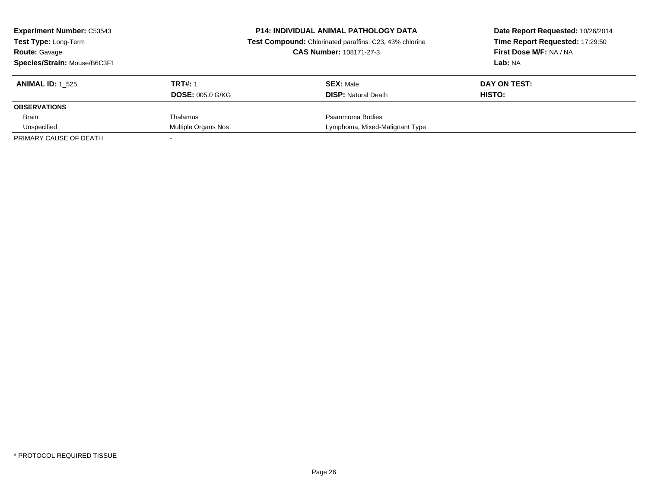| <b>Experiment Number: C53543</b><br><b>Test Type: Long-Term</b><br><b>Route: Gavage</b><br>Species/Strain: Mouse/B6C3F1 |                                           | <b>P14: INDIVIDUAL ANIMAL PATHOLOGY DATA</b><br>Test Compound: Chlorinated paraffins: C23, 43% chlorine<br><b>CAS Number: 108171-27-3</b> | Date Report Requested: 10/26/2014<br>Time Report Requested: 17:29:50<br>First Dose M/F: NA / NA<br>Lab: NA |  |
|-------------------------------------------------------------------------------------------------------------------------|-------------------------------------------|-------------------------------------------------------------------------------------------------------------------------------------------|------------------------------------------------------------------------------------------------------------|--|
| <b>ANIMAL ID:</b> 1 525                                                                                                 | <b>TRT#: 1</b><br><b>DOSE: 005.0 G/KG</b> | <b>SEX: Male</b><br><b>DISP:</b> Natural Death                                                                                            | DAY ON TEST:<br>HISTO:                                                                                     |  |
| <b>OBSERVATIONS</b>                                                                                                     |                                           |                                                                                                                                           |                                                                                                            |  |
| <b>Brain</b>                                                                                                            | Thalamus                                  | Psammoma Bodies                                                                                                                           |                                                                                                            |  |
| Unspecified                                                                                                             | Multiple Organs Nos                       | Lymphoma, Mixed-Malignant Type                                                                                                            |                                                                                                            |  |
| PRIMARY CAUSE OF DEATH                                                                                                  |                                           |                                                                                                                                           |                                                                                                            |  |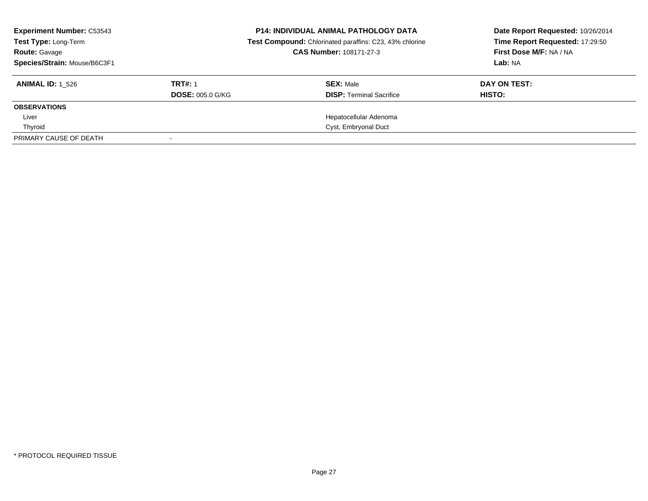| <b>Experiment Number: C53543</b><br>Test Type: Long-Term<br><b>Route: Gavage</b><br>Species/Strain: Mouse/B6C3F1 |                                           | <b>P14: INDIVIDUAL ANIMAL PATHOLOGY DATA</b><br>Test Compound: Chlorinated paraffins: C23, 43% chlorine<br><b>CAS Number: 108171-27-3</b> | Date Report Requested: 10/26/2014<br>Time Report Requested: 17:29:50<br>First Dose M/F: NA / NA<br>Lab: NA |  |
|------------------------------------------------------------------------------------------------------------------|-------------------------------------------|-------------------------------------------------------------------------------------------------------------------------------------------|------------------------------------------------------------------------------------------------------------|--|
| <b>ANIMAL ID: 1 526</b>                                                                                          | <b>TRT#: 1</b><br><b>DOSE: 005.0 G/KG</b> | <b>SEX: Male</b><br><b>DISP: Terminal Sacrifice</b>                                                                                       | DAY ON TEST:<br>HISTO:                                                                                     |  |
| <b>OBSERVATIONS</b>                                                                                              |                                           |                                                                                                                                           |                                                                                                            |  |
| Liver                                                                                                            |                                           | Hepatocellular Adenoma                                                                                                                    |                                                                                                            |  |
| Thyroid                                                                                                          |                                           | Cyst, Embryonal Duct                                                                                                                      |                                                                                                            |  |
| PRIMARY CAUSE OF DEATH                                                                                           |                                           |                                                                                                                                           |                                                                                                            |  |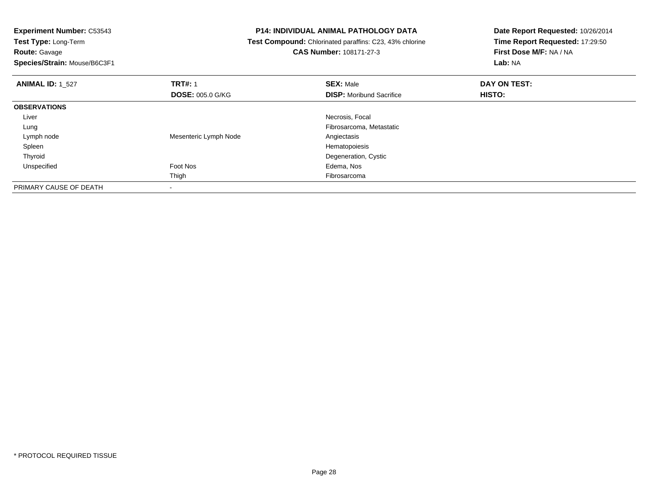**Experiment Number:** C53543**Test Type:** Long-Term**Route:** Gavage **Species/Strain:** Mouse/B6C3F1**P14: INDIVIDUAL ANIMAL PATHOLOGY DATA Test Compound:** Chlorinated paraffins: C23, 43% chlorine**CAS Number:** 108171-27-3**Date Report Requested:** 10/26/2014**Time Report Requested:** 17:29:50**First Dose M/F:** NA / NA**Lab:** NA**ANIMAL ID:** 1\_527 **TRT#:** <sup>1</sup> **SEX:** Male **DAY ON TEST: DOSE:** 005.0 G/KG**DISP:** Moribund Sacrifice **HISTO: OBSERVATIONS** Liver Necrosis, Focal Lung Fibrosarcoma, Metastatic Lymph nodeMesenteric Lymph Node<br>
Hematopoiesis<br>
Hematopoiesis Spleenn and the state of the state of the state of the state of the state of the state of the state of the state of the state of the state of the state of the state of the state of the state of the state of the state of the stat ThyroidDegeneration, Cystic<br>
Foot Nos<br>
Edema, Nos Unspecified Foot Nos Edema, Nos Thigh Fibrosarcoma PRIMARY CAUSE OF DEATH

-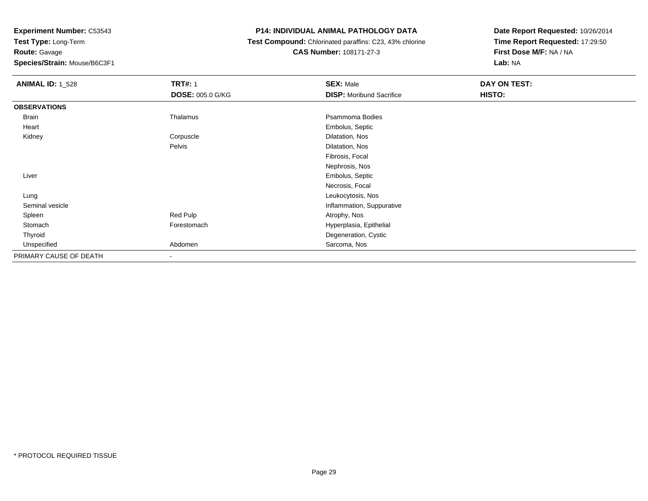**Route:** Gavage

**Species/Strain:** Mouse/B6C3F1

# **P14: INDIVIDUAL ANIMAL PATHOLOGY DATA**

 **Test Compound:** Chlorinated paraffins: C23, 43% chlorine**CAS Number:** 108171-27-3

| <b>ANIMAL ID: 1_528</b> | <b>TRT#: 1</b>          | <b>SEX: Male</b>                | DAY ON TEST: |  |
|-------------------------|-------------------------|---------------------------------|--------------|--|
|                         | <b>DOSE: 005.0 G/KG</b> | <b>DISP:</b> Moribund Sacrifice | HISTO:       |  |
| <b>OBSERVATIONS</b>     |                         |                                 |              |  |
| Brain                   | Thalamus                | Psammoma Bodies                 |              |  |
| Heart                   |                         | Embolus, Septic                 |              |  |
| Kidney                  | Corpuscle               | Dilatation, Nos                 |              |  |
|                         | Pelvis                  | Dilatation, Nos                 |              |  |
|                         |                         | Fibrosis, Focal                 |              |  |
|                         |                         | Nephrosis, Nos                  |              |  |
| Liver                   |                         | Embolus, Septic                 |              |  |
|                         |                         | Necrosis, Focal                 |              |  |
| Lung                    |                         | Leukocytosis, Nos               |              |  |
| Seminal vesicle         |                         | Inflammation, Suppurative       |              |  |
| Spleen                  | Red Pulp                | Atrophy, Nos                    |              |  |
| Stomach                 | Forestomach             | Hyperplasia, Epithelial         |              |  |
| Thyroid                 |                         | Degeneration, Cystic            |              |  |
| Unspecified             | Abdomen                 | Sarcoma, Nos                    |              |  |
| PRIMARY CAUSE OF DEATH  | ۰                       |                                 |              |  |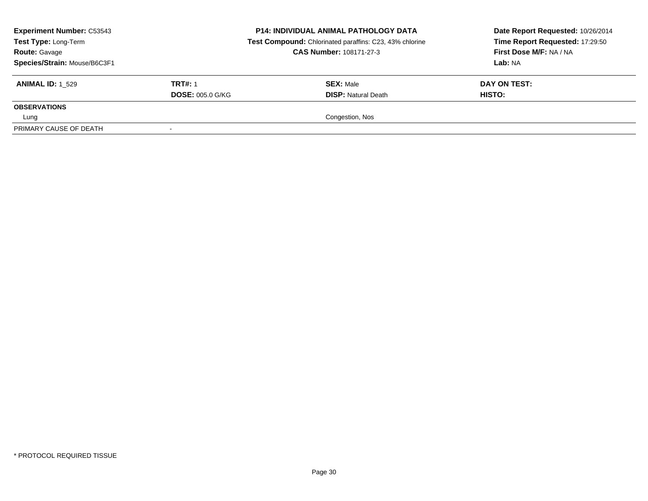| <b>Experiment Number: C53543</b><br>Test Type: Long-Term<br><b>Route: Gavage</b><br>Species/Strain: Mouse/B6C3F1 |                         | <b>P14: INDIVIDUAL ANIMAL PATHOLOGY DATA</b><br>Test Compound: Chlorinated paraffins: C23, 43% chlorine<br><b>CAS Number: 108171-27-3</b> | Date Report Requested: 10/26/2014<br>Time Report Requested: 17:29:50<br>First Dose M/F: NA / NA<br>Lab: NA |  |
|------------------------------------------------------------------------------------------------------------------|-------------------------|-------------------------------------------------------------------------------------------------------------------------------------------|------------------------------------------------------------------------------------------------------------|--|
| <b>ANIMAL ID: 1 529</b>                                                                                          | <b>TRT#: 1</b>          | <b>SEX: Male</b>                                                                                                                          | DAY ON TEST:                                                                                               |  |
|                                                                                                                  | <b>DOSE: 005.0 G/KG</b> | <b>DISP:</b> Natural Death                                                                                                                | <b>HISTO:</b>                                                                                              |  |
| <b>OBSERVATIONS</b>                                                                                              |                         |                                                                                                                                           |                                                                                                            |  |
| Lung                                                                                                             |                         | Congestion, Nos                                                                                                                           |                                                                                                            |  |
| PRIMARY CAUSE OF DEATH                                                                                           |                         |                                                                                                                                           |                                                                                                            |  |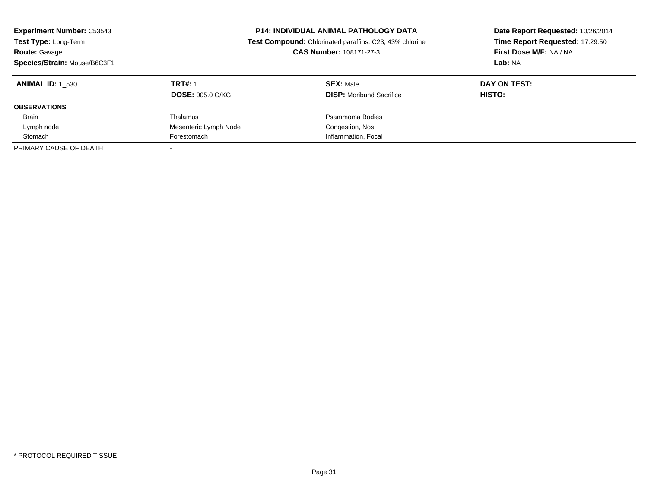| <b>Experiment Number: C53543</b><br>Test Type: Long-Term<br>Route: Gavage<br>Species/Strain: Mouse/B6C3F1 |                         | <b>P14: INDIVIDUAL ANIMAL PATHOLOGY DATA</b><br>Date Report Requested: 10/26/2014<br>Time Report Requested: 17:29:50<br><b>Test Compound:</b> Chlorinated paraffins: C23, 43% chlorine<br>First Dose M/F: NA / NA<br><b>CAS Number: 108171-27-3</b><br>Lab: NA |              |
|-----------------------------------------------------------------------------------------------------------|-------------------------|----------------------------------------------------------------------------------------------------------------------------------------------------------------------------------------------------------------------------------------------------------------|--------------|
| <b>ANIMAL ID: 1 530</b>                                                                                   | <b>TRT#: 1</b>          | <b>SEX: Male</b>                                                                                                                                                                                                                                               | DAY ON TEST: |
|                                                                                                           | <b>DOSE: 005.0 G/KG</b> | <b>DISP:</b> Moribund Sacrifice                                                                                                                                                                                                                                | HISTO:       |
| <b>OBSERVATIONS</b>                                                                                       |                         |                                                                                                                                                                                                                                                                |              |
| <b>Brain</b>                                                                                              | Thalamus                | Psammoma Bodies                                                                                                                                                                                                                                                |              |
| Lymph node                                                                                                | Mesenteric Lymph Node   | Congestion, Nos                                                                                                                                                                                                                                                |              |
| Stomach                                                                                                   | Forestomach             | Inflammation, Focal                                                                                                                                                                                                                                            |              |
| PRIMARY CAUSE OF DEATH                                                                                    |                         |                                                                                                                                                                                                                                                                |              |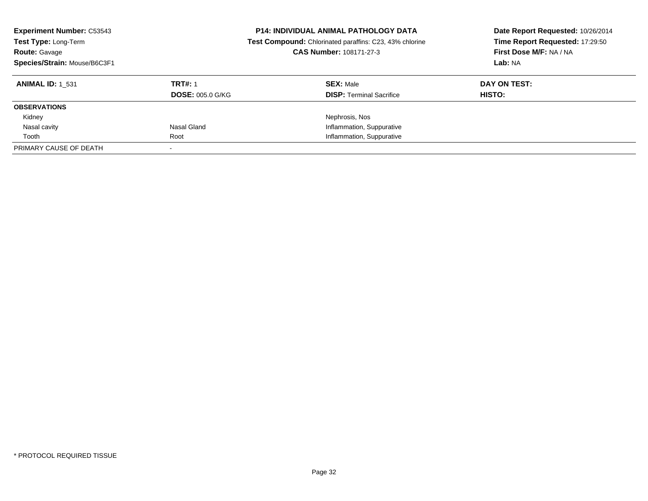| <b>Experiment Number: C53543</b><br>Test Type: Long-Term<br><b>Route: Gavage</b><br>Species/Strain: Mouse/B6C3F1 |                         | <b>P14: INDIVIDUAL ANIMAL PATHOLOGY DATA</b><br>Date Report Requested: 10/26/2014<br>Time Report Requested: 17:29:50<br>Test Compound: Chlorinated paraffins: C23, 43% chlorine<br>First Dose M/F: NA / NA<br>CAS Number: 108171-27-3<br>Lab: NA |              |
|------------------------------------------------------------------------------------------------------------------|-------------------------|--------------------------------------------------------------------------------------------------------------------------------------------------------------------------------------------------------------------------------------------------|--------------|
| <b>ANIMAL ID: 1 531</b>                                                                                          | <b>TRT#: 1</b>          | <b>SEX: Male</b>                                                                                                                                                                                                                                 | DAY ON TEST: |
|                                                                                                                  | <b>DOSE: 005.0 G/KG</b> | <b>DISP:</b> Terminal Sacrifice                                                                                                                                                                                                                  | HISTO:       |
| <b>OBSERVATIONS</b>                                                                                              |                         |                                                                                                                                                                                                                                                  |              |
| Kidney                                                                                                           |                         | Nephrosis, Nos                                                                                                                                                                                                                                   |              |
| Nasal cavity                                                                                                     | Nasal Gland             | Inflammation, Suppurative                                                                                                                                                                                                                        |              |
| Tooth                                                                                                            | Root                    | Inflammation, Suppurative                                                                                                                                                                                                                        |              |
| PRIMARY CAUSE OF DEATH                                                                                           |                         |                                                                                                                                                                                                                                                  |              |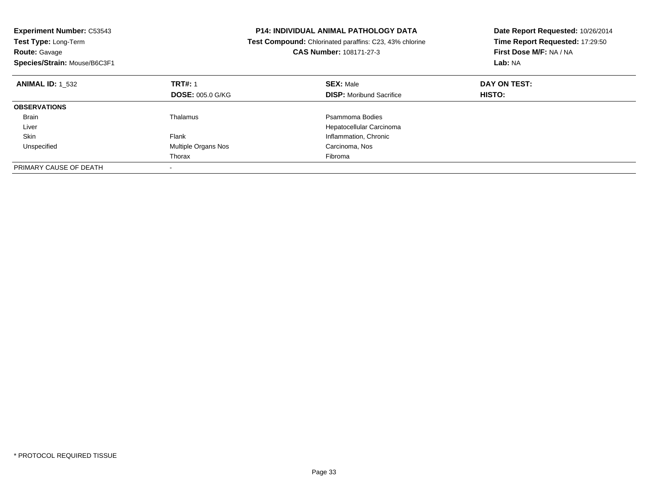| Experiment Number: C53543<br><b>Test Type: Long-Term</b><br><b>Route: Gavage</b><br>Species/Strain: Mouse/B6C3F1 | P14: INDIVIDUAL ANIMAL PATHOLOGY DATA<br>Test Compound: Chlorinated paraffins: C23, 43% chlorine<br><b>CAS Number: 108171-27-3</b> |                                                     | Date Report Requested: 10/26/2014<br>Time Report Requested: 17:29:50<br>First Dose M/F: NA / NA<br>Lab: NA |  |
|------------------------------------------------------------------------------------------------------------------|------------------------------------------------------------------------------------------------------------------------------------|-----------------------------------------------------|------------------------------------------------------------------------------------------------------------|--|
| <b>ANIMAL ID: 1 532</b>                                                                                          | <b>TRT#: 1</b><br><b>DOSE: 005.0 G/KG</b>                                                                                          | <b>SEX: Male</b><br><b>DISP:</b> Moribund Sacrifice | DAY ON TEST:<br><b>HISTO:</b>                                                                              |  |
| <b>OBSERVATIONS</b>                                                                                              |                                                                                                                                    |                                                     |                                                                                                            |  |
| <b>Brain</b><br>Liver                                                                                            | Thalamus                                                                                                                           | Psammoma Bodies<br>Hepatocellular Carcinoma         |                                                                                                            |  |
| Skin                                                                                                             | Flank                                                                                                                              | Inflammation, Chronic                               |                                                                                                            |  |
| Unspecified                                                                                                      | Multiple Organs Nos                                                                                                                | Carcinoma, Nos                                      |                                                                                                            |  |
|                                                                                                                  | Thorax                                                                                                                             | Fibroma                                             |                                                                                                            |  |
| PRIMARY CAUSE OF DEATH                                                                                           |                                                                                                                                    |                                                     |                                                                                                            |  |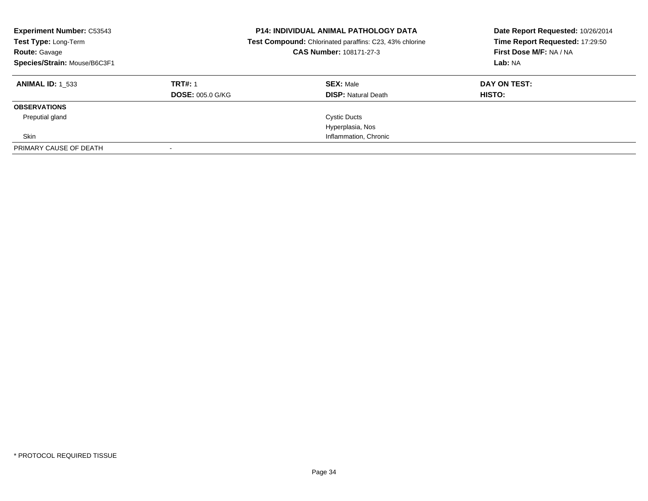| <b>Experiment Number: C53543</b><br>Test Type: Long-Term<br><b>Route: Gavage</b><br>Species/Strain: Mouse/B6C3F1 |                         | <b>P14: INDIVIDUAL ANIMAL PATHOLOGY DATA</b><br>Test Compound: Chlorinated paraffins: C23, 43% chlorine<br>CAS Number: 108171-27-3 | Date Report Requested: 10/26/2014<br>Time Report Requested: 17:29:50<br>First Dose M/F: NA / NA<br>Lab: NA |
|------------------------------------------------------------------------------------------------------------------|-------------------------|------------------------------------------------------------------------------------------------------------------------------------|------------------------------------------------------------------------------------------------------------|
| <b>ANIMAL ID:</b> 1 533                                                                                          | <b>TRT#: 1</b>          | <b>SEX: Male</b>                                                                                                                   | DAY ON TEST:                                                                                               |
|                                                                                                                  | <b>DOSE: 005.0 G/KG</b> | <b>DISP: Natural Death</b>                                                                                                         | HISTO:                                                                                                     |
| <b>OBSERVATIONS</b>                                                                                              |                         |                                                                                                                                    |                                                                                                            |
| Preputial gland                                                                                                  |                         | <b>Cystic Ducts</b>                                                                                                                |                                                                                                            |
|                                                                                                                  |                         | Hyperplasia, Nos                                                                                                                   |                                                                                                            |
| Skin                                                                                                             |                         | Inflammation, Chronic                                                                                                              |                                                                                                            |
| PRIMARY CAUSE OF DEATH                                                                                           |                         |                                                                                                                                    |                                                                                                            |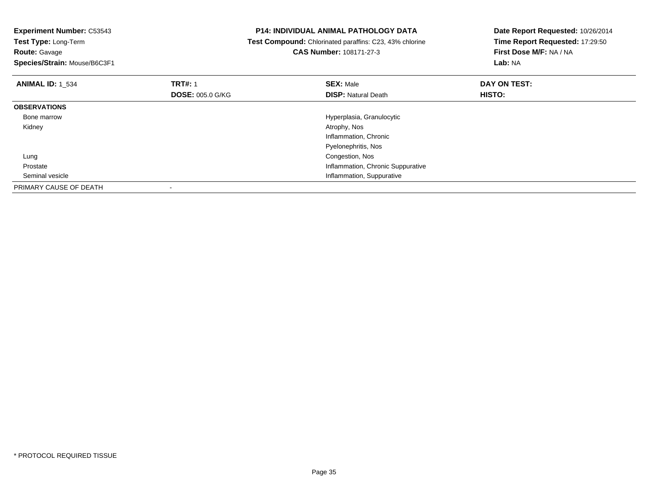**Experiment Number:** C53543

**Test Type:** Long-Term**Route:** Gavage

**Species/Strain:** Mouse/B6C3F1

# **P14: INDIVIDUAL ANIMAL PATHOLOGY DATA**

 **Test Compound:** Chlorinated paraffins: C23, 43% chlorine**CAS Number:** 108171-27-3

| <b>ANIMAL ID: 1 534</b> | <b>TRT#: 1</b><br><b>DOSE: 005.0 G/KG</b> | <b>SEX: Male</b><br><b>DISP:</b> Natural Death | DAY ON TEST:<br>HISTO: |
|-------------------------|-------------------------------------------|------------------------------------------------|------------------------|
| <b>OBSERVATIONS</b>     |                                           |                                                |                        |
| Bone marrow             |                                           | Hyperplasia, Granulocytic                      |                        |
| Kidney                  |                                           | Atrophy, Nos                                   |                        |
|                         |                                           | Inflammation, Chronic                          |                        |
|                         |                                           | Pyelonephritis, Nos                            |                        |
| Lung                    |                                           | Congestion, Nos                                |                        |
| Prostate                |                                           | Inflammation, Chronic Suppurative              |                        |
| Seminal vesicle         |                                           | Inflammation, Suppurative                      |                        |
| PRIMARY CAUSE OF DEATH  |                                           |                                                |                        |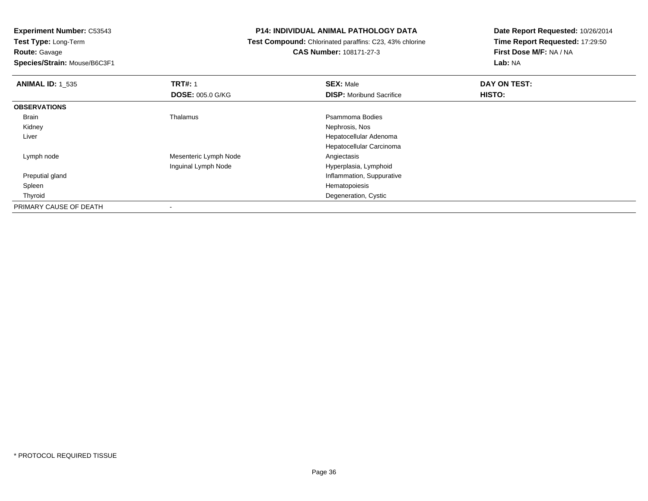**Route:** Gavage

**Species/Strain:** Mouse/B6C3F1

# **P14: INDIVIDUAL ANIMAL PATHOLOGY DATA**

 **Test Compound:** Chlorinated paraffins: C23, 43% chlorine**CAS Number:** 108171-27-3

| <b>ANIMAL ID: 1 535</b> | <b>TRT#: 1</b>          | <b>SEX: Male</b>                | DAY ON TEST: |  |
|-------------------------|-------------------------|---------------------------------|--------------|--|
|                         | <b>DOSE: 005.0 G/KG</b> | <b>DISP:</b> Moribund Sacrifice | HISTO:       |  |
| <b>OBSERVATIONS</b>     |                         |                                 |              |  |
| Brain                   | Thalamus                | Psammoma Bodies                 |              |  |
| Kidney                  |                         | Nephrosis, Nos                  |              |  |
| Liver                   |                         | Hepatocellular Adenoma          |              |  |
|                         |                         | Hepatocellular Carcinoma        |              |  |
| Lymph node              | Mesenteric Lymph Node   | Angiectasis                     |              |  |
|                         | Inguinal Lymph Node     | Hyperplasia, Lymphoid           |              |  |
| Preputial gland         |                         | Inflammation, Suppurative       |              |  |
| Spleen                  |                         | Hematopoiesis                   |              |  |
| Thyroid                 |                         | Degeneration, Cystic            |              |  |
| PRIMARY CAUSE OF DEATH  |                         |                                 |              |  |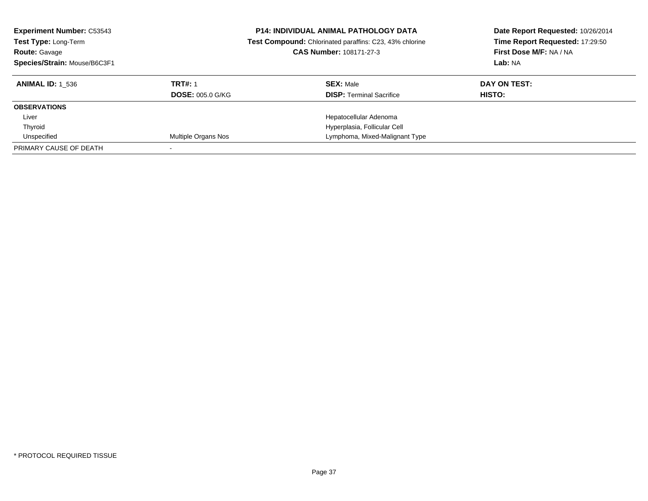| <b>Experiment Number: C53543</b><br>Test Type: Long-Term<br><b>Route: Gavage</b><br>Species/Strain: Mouse/B6C3F1 |                         | <b>P14: INDIVIDUAL ANIMAL PATHOLOGY DATA</b><br>Date Report Requested: 10/26/2014<br>Time Report Requested: 17:29:50<br>Test Compound: Chlorinated paraffins: C23, 43% chlorine<br>First Dose M/F: NA / NA<br><b>CAS Number: 108171-27-3</b><br>Lab: NA |              |
|------------------------------------------------------------------------------------------------------------------|-------------------------|---------------------------------------------------------------------------------------------------------------------------------------------------------------------------------------------------------------------------------------------------------|--------------|
| <b>ANIMAL ID:</b> 1 536                                                                                          | <b>TRT#: 1</b>          | <b>SEX: Male</b>                                                                                                                                                                                                                                        | DAY ON TEST: |
|                                                                                                                  | <b>DOSE: 005.0 G/KG</b> | <b>DISP:</b> Terminal Sacrifice                                                                                                                                                                                                                         | HISTO:       |
| <b>OBSERVATIONS</b>                                                                                              |                         |                                                                                                                                                                                                                                                         |              |
| Liver                                                                                                            |                         | Hepatocellular Adenoma                                                                                                                                                                                                                                  |              |
| Thyroid                                                                                                          |                         | Hyperplasia, Follicular Cell                                                                                                                                                                                                                            |              |
| Unspecified                                                                                                      | Multiple Organs Nos     | Lymphoma, Mixed-Malignant Type                                                                                                                                                                                                                          |              |
| PRIMARY CAUSE OF DEATH                                                                                           |                         |                                                                                                                                                                                                                                                         |              |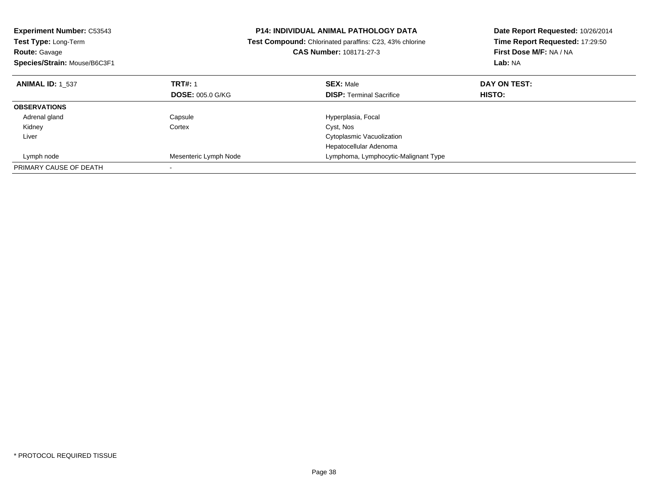| <b>Experiment Number: C53543</b><br>Test Type: Long-Term<br><b>Route: Gavage</b><br>Species/Strain: Mouse/B6C3F1 |                         | <b>P14: INDIVIDUAL ANIMAL PATHOLOGY DATA</b><br>Date Report Requested: 10/26/2014<br>Time Report Requested: 17:29:50<br>Test Compound: Chlorinated paraffins: C23, 43% chlorine<br>First Dose M/F: NA / NA<br><b>CAS Number: 108171-27-3</b><br>Lab: NA |              |
|------------------------------------------------------------------------------------------------------------------|-------------------------|---------------------------------------------------------------------------------------------------------------------------------------------------------------------------------------------------------------------------------------------------------|--------------|
| <b>ANIMAL ID: 1 537</b>                                                                                          | <b>TRT#: 1</b>          | <b>SEX: Male</b>                                                                                                                                                                                                                                        | DAY ON TEST: |
|                                                                                                                  | <b>DOSE: 005.0 G/KG</b> | <b>DISP: Terminal Sacrifice</b>                                                                                                                                                                                                                         | HISTO:       |
| <b>OBSERVATIONS</b>                                                                                              |                         |                                                                                                                                                                                                                                                         |              |
| Adrenal gland                                                                                                    | Capsule                 | Hyperplasia, Focal                                                                                                                                                                                                                                      |              |
| Kidney                                                                                                           | Cortex                  | Cyst, Nos                                                                                                                                                                                                                                               |              |
| Liver                                                                                                            |                         | Cytoplasmic Vacuolization                                                                                                                                                                                                                               |              |
|                                                                                                                  |                         | Hepatocellular Adenoma                                                                                                                                                                                                                                  |              |
| Lymph node                                                                                                       | Mesenteric Lymph Node   | Lymphoma, Lymphocytic-Malignant Type                                                                                                                                                                                                                    |              |
| PRIMARY CAUSE OF DEATH                                                                                           |                         |                                                                                                                                                                                                                                                         |              |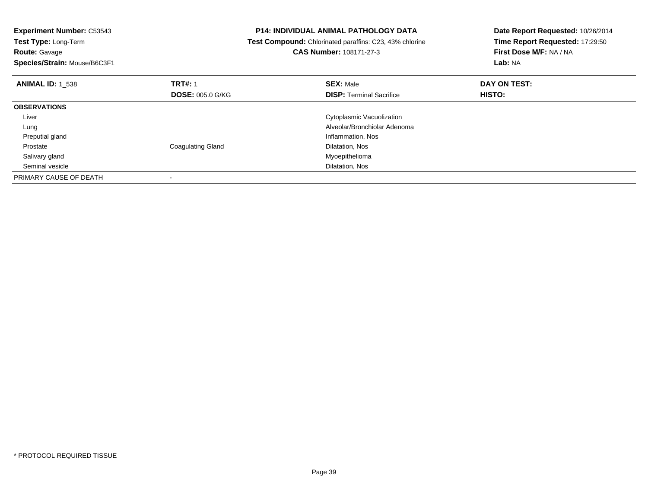| <b>Experiment Number: C53543</b><br>Test Type: Long-Term<br><b>Route: Gavage</b> |                          | <b>P14: INDIVIDUAL ANIMAL PATHOLOGY DATA</b><br>Test Compound: Chlorinated paraffins: C23, 43% chlorine<br>CAS Number: 108171-27-3 | Date Report Requested: 10/26/2014<br>Time Report Requested: 17:29:50<br>First Dose M/F: NA / NA |
|----------------------------------------------------------------------------------|--------------------------|------------------------------------------------------------------------------------------------------------------------------------|-------------------------------------------------------------------------------------------------|
| Species/Strain: Mouse/B6C3F1                                                     |                          |                                                                                                                                    | Lab: NA                                                                                         |
| <b>ANIMAL ID: 1 538</b>                                                          | <b>TRT#: 1</b>           | <b>SEX: Male</b>                                                                                                                   | DAY ON TEST:                                                                                    |
|                                                                                  | <b>DOSE: 005.0 G/KG</b>  | <b>DISP: Terminal Sacrifice</b>                                                                                                    | <b>HISTO:</b>                                                                                   |
| <b>OBSERVATIONS</b>                                                              |                          |                                                                                                                                    |                                                                                                 |
| Liver                                                                            |                          | Cytoplasmic Vacuolization                                                                                                          |                                                                                                 |
| Lung                                                                             |                          | Alveolar/Bronchiolar Adenoma                                                                                                       |                                                                                                 |
| Preputial gland                                                                  |                          | Inflammation, Nos                                                                                                                  |                                                                                                 |
| Prostate                                                                         | <b>Coagulating Gland</b> | Dilatation, Nos                                                                                                                    |                                                                                                 |
| Salivary gland                                                                   |                          | Myoepithelioma                                                                                                                     |                                                                                                 |
| Seminal vesicle                                                                  |                          | Dilatation, Nos                                                                                                                    |                                                                                                 |
| PRIMARY CAUSE OF DEATH                                                           |                          |                                                                                                                                    |                                                                                                 |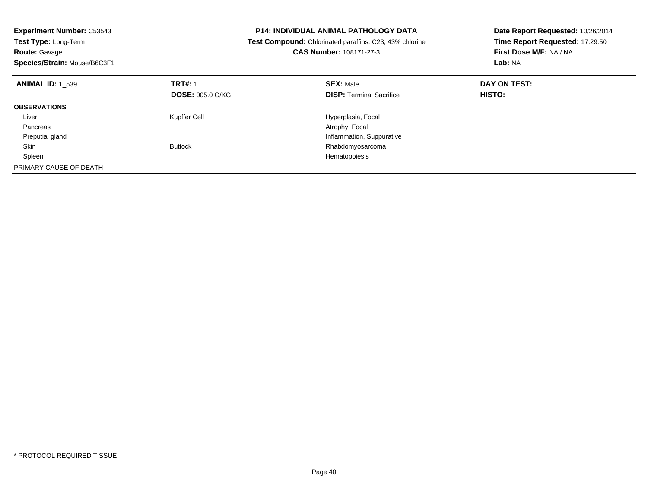| <b>Experiment Number: C53543</b><br>Test Type: Long-Term<br><b>Route: Gavage</b> |                         | <b>P14: INDIVIDUAL ANIMAL PATHOLOGY DATA</b><br>Date Report Requested: 10/26/2014<br>Time Report Requested: 17:29:50<br>Test Compound: Chlorinated paraffins: C23, 43% chlorine<br>First Dose M/F: NA / NA<br><b>CAS Number: 108171-27-3</b> |               |
|----------------------------------------------------------------------------------|-------------------------|----------------------------------------------------------------------------------------------------------------------------------------------------------------------------------------------------------------------------------------------|---------------|
| Species/Strain: Mouse/B6C3F1                                                     |                         |                                                                                                                                                                                                                                              | Lab: NA       |
| <b>ANIMAL ID: 1 539</b>                                                          | <b>TRT#: 1</b>          | <b>SEX: Male</b>                                                                                                                                                                                                                             | DAY ON TEST:  |
|                                                                                  | <b>DOSE: 005.0 G/KG</b> | <b>DISP: Terminal Sacrifice</b>                                                                                                                                                                                                              | <b>HISTO:</b> |
| <b>OBSERVATIONS</b>                                                              |                         |                                                                                                                                                                                                                                              |               |
| Liver                                                                            | Kupffer Cell            | Hyperplasia, Focal                                                                                                                                                                                                                           |               |
| Pancreas                                                                         |                         | Atrophy, Focal                                                                                                                                                                                                                               |               |
| Preputial gland                                                                  |                         | Inflammation, Suppurative                                                                                                                                                                                                                    |               |
| Skin                                                                             | <b>Buttock</b>          | Rhabdomyosarcoma                                                                                                                                                                                                                             |               |
| Spleen                                                                           |                         | Hematopoiesis                                                                                                                                                                                                                                |               |
| PRIMARY CAUSE OF DEATH                                                           |                         |                                                                                                                                                                                                                                              |               |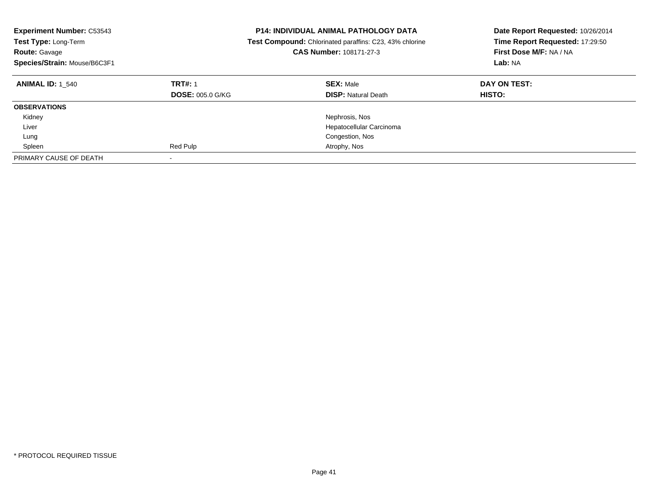| <b>Experiment Number: C53543</b><br><b>Test Type: Long-Term</b><br><b>Route: Gavage</b><br>Species/Strain: Mouse/B6C3F1 |                                           | <b>P14: INDIVIDUAL ANIMAL PATHOLOGY DATA</b><br>Date Report Requested: 10/26/2014<br>Time Report Requested: 17:29:50<br><b>Test Compound:</b> Chlorinated paraffins: C23, 43% chlorine<br>CAS Number: 108171-27-3<br>First Dose M/F: NA / NA<br>Lab: NA |                               |
|-------------------------------------------------------------------------------------------------------------------------|-------------------------------------------|---------------------------------------------------------------------------------------------------------------------------------------------------------------------------------------------------------------------------------------------------------|-------------------------------|
| <b>ANIMAL ID: 1 540</b>                                                                                                 | <b>TRT#: 1</b><br><b>DOSE: 005.0 G/KG</b> | <b>SEX: Male</b><br><b>DISP: Natural Death</b>                                                                                                                                                                                                          | DAY ON TEST:<br><b>HISTO:</b> |
| <b>OBSERVATIONS</b>                                                                                                     |                                           |                                                                                                                                                                                                                                                         |                               |
| Kidney                                                                                                                  |                                           | Nephrosis, Nos                                                                                                                                                                                                                                          |                               |
| Liver                                                                                                                   |                                           | Hepatocellular Carcinoma                                                                                                                                                                                                                                |                               |
| Lung                                                                                                                    |                                           | Congestion, Nos                                                                                                                                                                                                                                         |                               |
| Spleen                                                                                                                  | Red Pulp                                  | Atrophy, Nos                                                                                                                                                                                                                                            |                               |
| PRIMARY CAUSE OF DEATH                                                                                                  |                                           |                                                                                                                                                                                                                                                         |                               |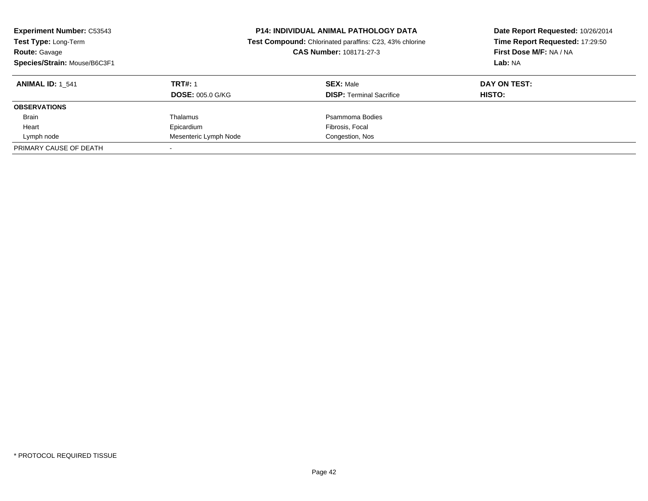| <b>Experiment Number: C53543</b><br>Test Type: Long-Term<br><b>Route: Gavage</b><br>Species/Strain: Mouse/B6C3F1 |                         | <b>P14: INDIVIDUAL ANIMAL PATHOLOGY DATA</b><br>Date Report Requested: 10/26/2014<br>Time Report Requested: 17:29:50<br>Test Compound: Chlorinated paraffins: C23, 43% chlorine<br>First Dose M/F: NA / NA<br>CAS Number: 108171-27-3<br>Lab: NA |               |
|------------------------------------------------------------------------------------------------------------------|-------------------------|--------------------------------------------------------------------------------------------------------------------------------------------------------------------------------------------------------------------------------------------------|---------------|
| <b>ANIMAL ID: 1 541</b>                                                                                          | <b>TRT#: 1</b>          | <b>SEX: Male</b>                                                                                                                                                                                                                                 | DAY ON TEST:  |
|                                                                                                                  | <b>DOSE: 005.0 G/KG</b> | <b>DISP:</b> Terminal Sacrifice                                                                                                                                                                                                                  | <b>HISTO:</b> |
| <b>OBSERVATIONS</b>                                                                                              |                         |                                                                                                                                                                                                                                                  |               |
| <b>Brain</b>                                                                                                     | Thalamus                | Psammoma Bodies                                                                                                                                                                                                                                  |               |
| Heart                                                                                                            | Epicardium              | Fibrosis, Focal                                                                                                                                                                                                                                  |               |
| Lymph node                                                                                                       | Mesenteric Lymph Node   | Congestion, Nos                                                                                                                                                                                                                                  |               |
| PRIMARY CAUSE OF DEATH                                                                                           |                         |                                                                                                                                                                                                                                                  |               |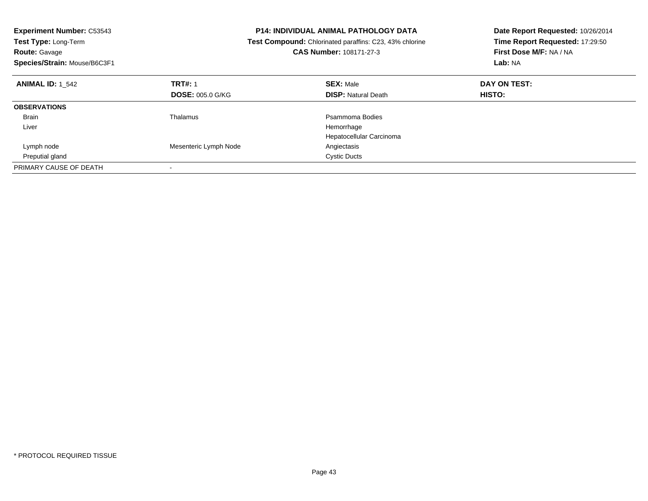| <b>Experiment Number: C53543</b> |                                                         | <b>P14: INDIVIDUAL ANIMAL PATHOLOGY DATA</b> | Date Report Requested: 10/26/2014 |  |
|----------------------------------|---------------------------------------------------------|----------------------------------------------|-----------------------------------|--|
| Test Type: Long-Term             | Test Compound: Chlorinated paraffins: C23, 43% chlorine |                                              | Time Report Requested: 17:29:50   |  |
| <b>Route: Gavage</b>             |                                                         | <b>CAS Number: 108171-27-3</b>               | First Dose M/F: NA / NA           |  |
| Species/Strain: Mouse/B6C3F1     |                                                         |                                              | Lab: NA                           |  |
| <b>ANIMAL ID: 1 542</b>          | <b>TRT#: 1</b>                                          | <b>SEX: Male</b>                             | DAY ON TEST:                      |  |
|                                  | <b>DOSE: 005.0 G/KG</b>                                 | <b>DISP: Natural Death</b>                   | <b>HISTO:</b>                     |  |
| <b>OBSERVATIONS</b>              |                                                         |                                              |                                   |  |
| Brain                            | Thalamus                                                | Psammoma Bodies                              |                                   |  |
| Liver                            |                                                         | Hemorrhage                                   |                                   |  |
|                                  |                                                         | Hepatocellular Carcinoma                     |                                   |  |
| Lymph node                       | Mesenteric Lymph Node                                   | Angiectasis                                  |                                   |  |
| Preputial gland                  |                                                         | <b>Cystic Ducts</b>                          |                                   |  |
| PRIMARY CAUSE OF DEATH           |                                                         |                                              |                                   |  |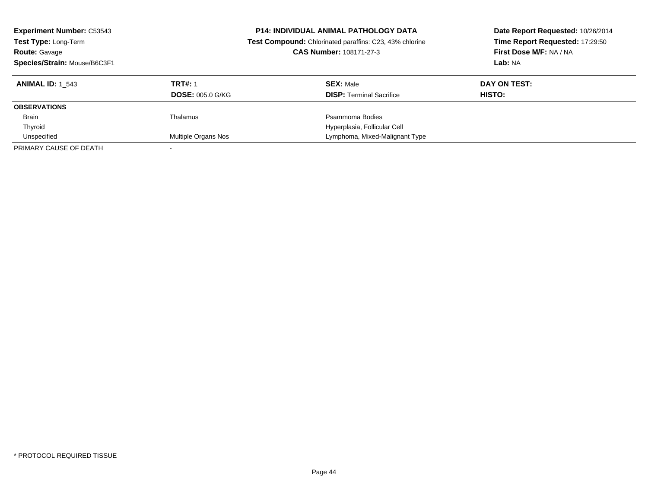| <b>Experiment Number: C53543</b><br>Test Type: Long-Term<br><b>Route: Gavage</b><br>Species/Strain: Mouse/B6C3F1 |                         | <b>P14: INDIVIDUAL ANIMAL PATHOLOGY DATA</b><br>Date Report Requested: 10/26/2014<br>Time Report Requested: 17:29:50<br>Test Compound: Chlorinated paraffins: C23, 43% chlorine<br>First Dose M/F: NA / NA<br>CAS Number: 108171-27-3<br>Lab: NA |               |
|------------------------------------------------------------------------------------------------------------------|-------------------------|--------------------------------------------------------------------------------------------------------------------------------------------------------------------------------------------------------------------------------------------------|---------------|
| <b>ANIMAL ID:</b> 1 543                                                                                          | <b>TRT#: 1</b>          | <b>SEX: Male</b>                                                                                                                                                                                                                                 | DAY ON TEST:  |
|                                                                                                                  | <b>DOSE: 005.0 G/KG</b> | <b>DISP:</b> Terminal Sacrifice                                                                                                                                                                                                                  | <b>HISTO:</b> |
| <b>OBSERVATIONS</b>                                                                                              |                         |                                                                                                                                                                                                                                                  |               |
| <b>Brain</b>                                                                                                     | Thalamus                | Psammoma Bodies                                                                                                                                                                                                                                  |               |
| Thyroid                                                                                                          |                         | Hyperplasia, Follicular Cell                                                                                                                                                                                                                     |               |
| Unspecified                                                                                                      | Multiple Organs Nos     | Lymphoma, Mixed-Malignant Type                                                                                                                                                                                                                   |               |
| PRIMARY CAUSE OF DEATH                                                                                           |                         |                                                                                                                                                                                                                                                  |               |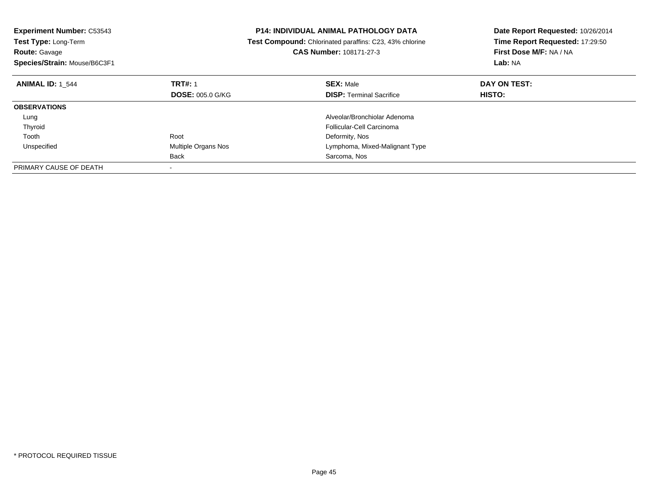| <b>Experiment Number: C53543</b><br><b>Test Type: Long-Term</b><br><b>Route: Gavage</b> |                         | Date Report Requested: 10/26/2014<br><b>P14: INDIVIDUAL ANIMAL PATHOLOGY DATA</b><br>Time Report Requested: 17:29:50<br>Test Compound: Chlorinated paraffins: C23, 43% chlorine<br>First Dose M/F: NA / NA<br>CAS Number: 108171-27-3 |               |
|-----------------------------------------------------------------------------------------|-------------------------|---------------------------------------------------------------------------------------------------------------------------------------------------------------------------------------------------------------------------------------|---------------|
| Species/Strain: Mouse/B6C3F1                                                            |                         |                                                                                                                                                                                                                                       | Lab: NA       |
| <b>ANIMAL ID: 1 544</b>                                                                 | <b>TRT#: 1</b>          | <b>SEX: Male</b>                                                                                                                                                                                                                      | DAY ON TEST:  |
|                                                                                         | <b>DOSE: 005.0 G/KG</b> | <b>DISP: Terminal Sacrifice</b>                                                                                                                                                                                                       | <b>HISTO:</b> |
| <b>OBSERVATIONS</b>                                                                     |                         |                                                                                                                                                                                                                                       |               |
| Lung                                                                                    |                         | Alveolar/Bronchiolar Adenoma                                                                                                                                                                                                          |               |
| Thyroid                                                                                 |                         | Follicular-Cell Carcinoma                                                                                                                                                                                                             |               |
| Tooth                                                                                   | Root                    | Deformity, Nos                                                                                                                                                                                                                        |               |
| Unspecified                                                                             | Multiple Organs Nos     | Lymphoma, Mixed-Malignant Type                                                                                                                                                                                                        |               |
|                                                                                         | Back                    | Sarcoma, Nos                                                                                                                                                                                                                          |               |
| PRIMARY CAUSE OF DEATH                                                                  |                         |                                                                                                                                                                                                                                       |               |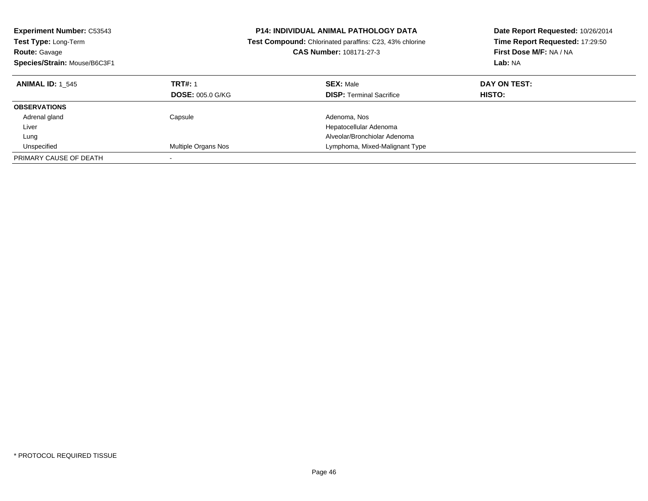| <b>Experiment Number: C53543</b><br><b>Test Type: Long-Term</b><br><b>Route: Gavage</b><br>Species/Strain: Mouse/B6C3F1 |                         | <b>P14: INDIVIDUAL ANIMAL PATHOLOGY DATA</b><br>Date Report Requested: 10/26/2014<br>Time Report Requested: 17:29:50<br>Test Compound: Chlorinated paraffins: C23, 43% chlorine<br>First Dose M/F: NA / NA<br><b>CAS Number: 108171-27-3</b><br><b>Lab: NA</b> |               |
|-------------------------------------------------------------------------------------------------------------------------|-------------------------|----------------------------------------------------------------------------------------------------------------------------------------------------------------------------------------------------------------------------------------------------------------|---------------|
| <b>ANIMAL ID: 1 545</b>                                                                                                 | <b>TRT#: 1</b>          | <b>SEX: Male</b>                                                                                                                                                                                                                                               | DAY ON TEST:  |
|                                                                                                                         | <b>DOSE: 005.0 G/KG</b> | <b>DISP:</b> Terminal Sacrifice                                                                                                                                                                                                                                | <b>HISTO:</b> |
| <b>OBSERVATIONS</b>                                                                                                     |                         |                                                                                                                                                                                                                                                                |               |
| Adrenal gland                                                                                                           | Capsule                 | Adenoma, Nos                                                                                                                                                                                                                                                   |               |
| Liver                                                                                                                   |                         | Hepatocellular Adenoma                                                                                                                                                                                                                                         |               |
| Lung                                                                                                                    |                         | Alveolar/Bronchiolar Adenoma                                                                                                                                                                                                                                   |               |
| Unspecified                                                                                                             | Multiple Organs Nos     | Lymphoma, Mixed-Malignant Type                                                                                                                                                                                                                                 |               |
| PRIMARY CAUSE OF DEATH                                                                                                  |                         |                                                                                                                                                                                                                                                                |               |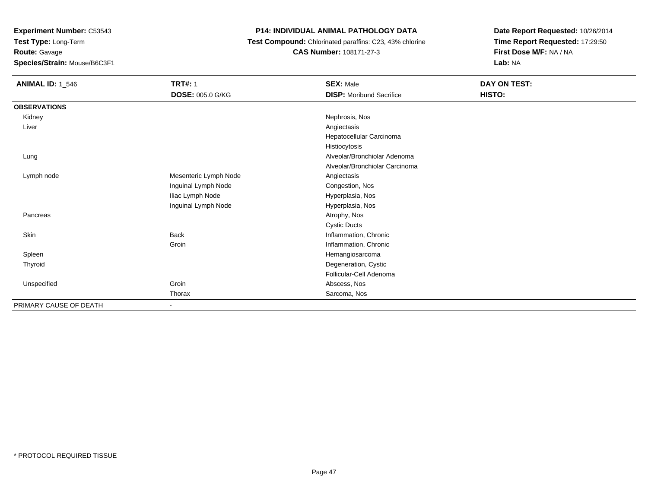**Experiment Number:** C53543

**Test Type:** Long-Term**Route:** Gavage

**Species/Strain:** Mouse/B6C3F1

## **P14: INDIVIDUAL ANIMAL PATHOLOGY DATA**

 **Test Compound:** Chlorinated paraffins: C23, 43% chlorine**CAS Number:** 108171-27-3

| <b>ANIMAL ID: 1_546</b> | <b>TRT#: 1</b>          | <b>SEX: Male</b>                | DAY ON TEST: |  |
|-------------------------|-------------------------|---------------------------------|--------------|--|
|                         | <b>DOSE: 005.0 G/KG</b> | <b>DISP:</b> Moribund Sacrifice | HISTO:       |  |
| <b>OBSERVATIONS</b>     |                         |                                 |              |  |
| Kidney                  |                         | Nephrosis, Nos                  |              |  |
| Liver                   |                         | Angiectasis                     |              |  |
|                         |                         | Hepatocellular Carcinoma        |              |  |
|                         |                         | Histiocytosis                   |              |  |
| Lung                    |                         | Alveolar/Bronchiolar Adenoma    |              |  |
|                         |                         | Alveolar/Bronchiolar Carcinoma  |              |  |
| Lymph node              | Mesenteric Lymph Node   | Angiectasis                     |              |  |
|                         | Inguinal Lymph Node     | Congestion, Nos                 |              |  |
|                         | Iliac Lymph Node        | Hyperplasia, Nos                |              |  |
|                         | Inguinal Lymph Node     | Hyperplasia, Nos                |              |  |
| Pancreas                |                         | Atrophy, Nos                    |              |  |
|                         |                         | <b>Cystic Ducts</b>             |              |  |
| Skin                    | Back                    | Inflammation, Chronic           |              |  |
|                         | Groin                   | Inflammation, Chronic           |              |  |
| Spleen                  |                         | Hemangiosarcoma                 |              |  |
| Thyroid                 |                         | Degeneration, Cystic            |              |  |
|                         |                         | Follicular-Cell Adenoma         |              |  |
| Unspecified             | Groin                   | Abscess, Nos                    |              |  |
|                         | Thorax                  | Sarcoma, Nos                    |              |  |
| PRIMARY CAUSE OF DEATH  |                         |                                 |              |  |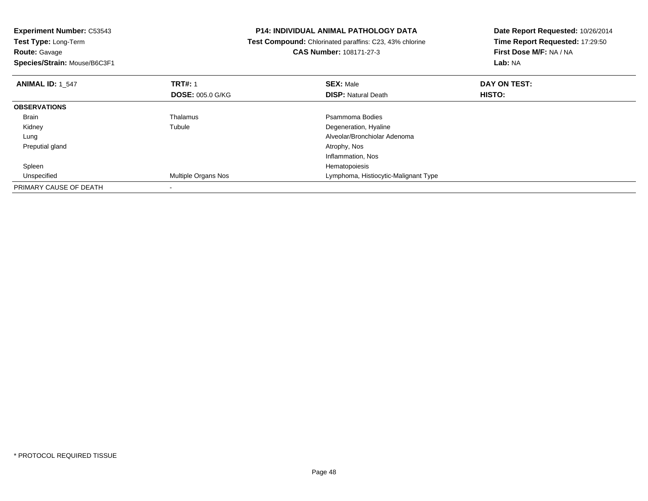**Experiment Number:** C53543**Test Type:** Long-Term**Route:** Gavage **Species/Strain:** Mouse/B6C3F1**P14: INDIVIDUAL ANIMAL PATHOLOGY DATA Test Compound:** Chlorinated paraffins: C23, 43% chlorine**CAS Number:** 108171-27-3**Date Report Requested:** 10/26/2014**Time Report Requested:** 17:29:50**First Dose M/F:** NA / NA**Lab:** NA**ANIMAL ID:** 1\_547 **TRT#:** <sup>1</sup> **SEX:** Male **DAY ON TEST: DOSE:** 005.0 G/KG**DISP:** Natural Death **HISTO: OBSERVATIONS** BrainThalamus **Participality Control** Press, Participality Psammoma Bodies<br>Tubule Press, Participality Poster Press, Poetar Press, Poetar Press, Poetar Press, Poetar Press, Press, Press, Kidneyy the contract of the contract of the contract of the contract of the contract of the contract of the contract of the contract of the contract of the contract of the contract of the contract of the contract of the contract Degeneration, Hyaline Lung Alveolar/Bronchiolar Adenoma Preputial glandd and the control of the control of the control of the control of the control of the control of the control of the control of the control of the control of the control of the control of the control of the control of the co Inflammation, Nos Spleenn and the state of the state of the state of the state of the state of the state of the state of the state of the state of the state of the state of the state of the state of the state of the state of the state of the stat Unspecified Multiple Organs Nos Lymphoma, Histiocytic-Malignant Type PRIMARY CAUSE OF DEATH-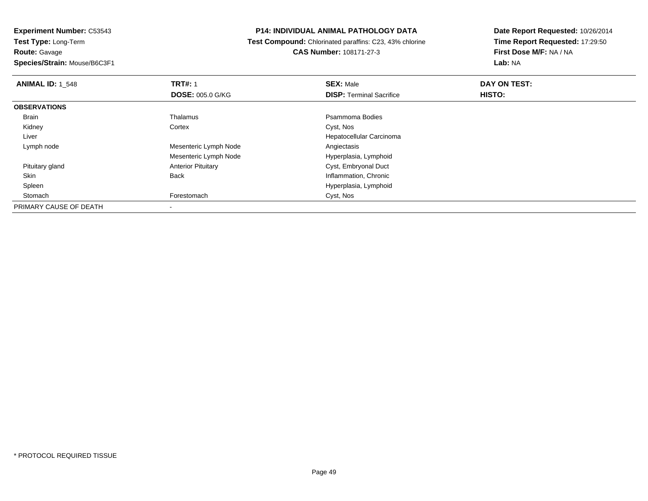**Experiment Number:** C53543**Test Type:** Long-Term**Route:** Gavage

**Species/Strain:** Mouse/B6C3F1

#### **P14: INDIVIDUAL ANIMAL PATHOLOGY DATA**

 **Test Compound:** Chlorinated paraffins: C23, 43% chlorine**CAS Number:** 108171-27-3

| <b>ANIMAL ID: 1 548</b> | <b>TRT#: 1</b>            | <b>SEX: Male</b>                | DAY ON TEST: |  |
|-------------------------|---------------------------|---------------------------------|--------------|--|
|                         | <b>DOSE: 005.0 G/KG</b>   | <b>DISP: Terminal Sacrifice</b> | HISTO:       |  |
| <b>OBSERVATIONS</b>     |                           |                                 |              |  |
| Brain                   | Thalamus                  | Psammoma Bodies                 |              |  |
| Kidney                  | Cortex                    | Cyst, Nos                       |              |  |
| Liver                   |                           | Hepatocellular Carcinoma        |              |  |
| Lymph node              | Mesenteric Lymph Node     | Angiectasis                     |              |  |
|                         | Mesenteric Lymph Node     | Hyperplasia, Lymphoid           |              |  |
| Pituitary gland         | <b>Anterior Pituitary</b> | Cyst, Embryonal Duct            |              |  |
| Skin                    | <b>Back</b>               | Inflammation, Chronic           |              |  |
| Spleen                  |                           | Hyperplasia, Lymphoid           |              |  |
| Stomach                 | Forestomach               | Cyst, Nos                       |              |  |
| PRIMARY CAUSE OF DEATH  |                           |                                 |              |  |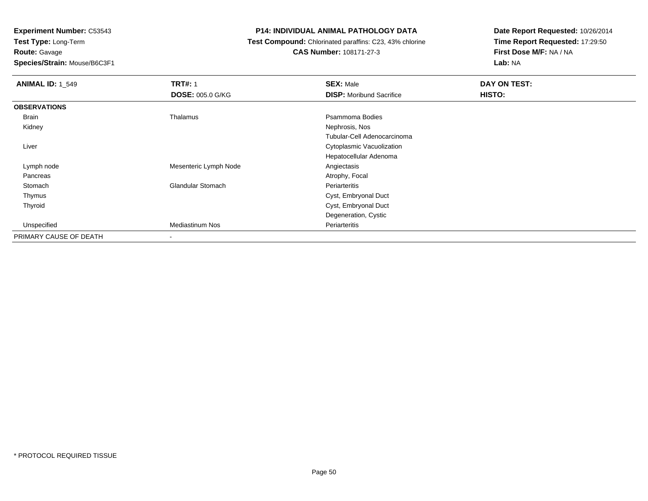**Experiment Number:** C53543

**Test Type:** Long-Term**Route:** Gavage

**Species/Strain:** Mouse/B6C3F1

## **P14: INDIVIDUAL ANIMAL PATHOLOGY DATA**

 **Test Compound:** Chlorinated paraffins: C23, 43% chlorine**CAS Number:** 108171-27-3

| <b>ANIMAL ID: 1 549</b> | <b>TRT#: 1</b><br><b>DOSE: 005.0 G/KG</b> | <b>SEX: Male</b><br><b>DISP:</b> Moribund Sacrifice | DAY ON TEST:<br>HISTO: |
|-------------------------|-------------------------------------------|-----------------------------------------------------|------------------------|
| <b>OBSERVATIONS</b>     |                                           |                                                     |                        |
| Brain                   | Thalamus                                  | Psammoma Bodies                                     |                        |
| Kidney                  |                                           | Nephrosis, Nos                                      |                        |
|                         |                                           | Tubular-Cell Adenocarcinoma                         |                        |
| Liver                   |                                           | Cytoplasmic Vacuolization                           |                        |
|                         |                                           | Hepatocellular Adenoma                              |                        |
| Lymph node              | Mesenteric Lymph Node                     | Angiectasis                                         |                        |
| Pancreas                |                                           | Atrophy, Focal                                      |                        |
| Stomach                 | <b>Glandular Stomach</b>                  | Periarteritis                                       |                        |
| Thymus                  |                                           | Cyst, Embryonal Duct                                |                        |
| Thyroid                 |                                           | Cyst, Embryonal Duct                                |                        |
|                         |                                           | Degeneration, Cystic                                |                        |
| Unspecified             | <b>Mediastinum Nos</b>                    | Periarteritis                                       |                        |
| PRIMARY CAUSE OF DEATH  |                                           |                                                     |                        |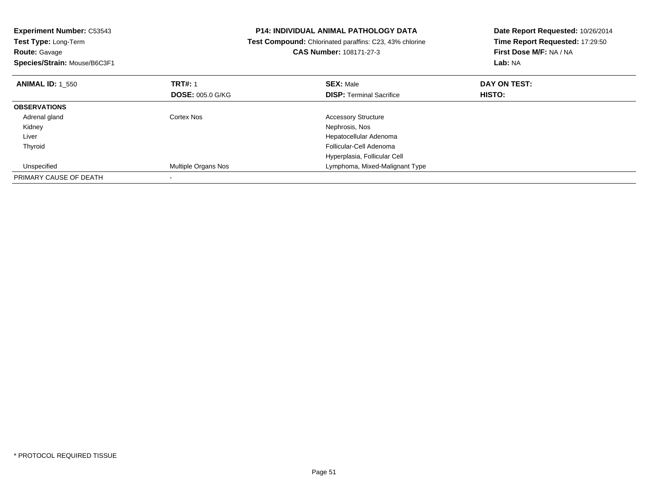| <b>Experiment Number: C53543</b><br><b>Test Type: Long-Term</b> |                         | <b>P14: INDIVIDUAL ANIMAL PATHOLOGY DATA</b><br>Date Report Requested: 10/26/2014<br>Time Report Requested: 17:29:50<br>Test Compound: Chlorinated paraffins: C23, 43% chlorine |                                    |
|-----------------------------------------------------------------|-------------------------|---------------------------------------------------------------------------------------------------------------------------------------------------------------------------------|------------------------------------|
| <b>Route: Gavage</b><br>Species/Strain: Mouse/B6C3F1            |                         | CAS Number: 108171-27-3                                                                                                                                                         | First Dose M/F: NA / NA<br>Lab: NA |
|                                                                 |                         |                                                                                                                                                                                 |                                    |
| <b>ANIMAL ID: 1 550</b>                                         | <b>TRT#: 1</b>          | <b>SEX: Male</b>                                                                                                                                                                | DAY ON TEST:                       |
|                                                                 | <b>DOSE: 005.0 G/KG</b> | <b>DISP:</b> Terminal Sacrifice                                                                                                                                                 | <b>HISTO:</b>                      |
| <b>OBSERVATIONS</b>                                             |                         |                                                                                                                                                                                 |                                    |
| Adrenal gland                                                   | Cortex Nos              | <b>Accessory Structure</b>                                                                                                                                                      |                                    |
| Kidney                                                          |                         | Nephrosis, Nos                                                                                                                                                                  |                                    |
| Liver                                                           |                         | Hepatocellular Adenoma                                                                                                                                                          |                                    |
| Thyroid                                                         |                         | Follicular-Cell Adenoma                                                                                                                                                         |                                    |
|                                                                 |                         | Hyperplasia, Follicular Cell                                                                                                                                                    |                                    |
| Unspecified                                                     | Multiple Organs Nos     | Lymphoma, Mixed-Malignant Type                                                                                                                                                  |                                    |
| PRIMARY CAUSE OF DEATH                                          |                         |                                                                                                                                                                                 |                                    |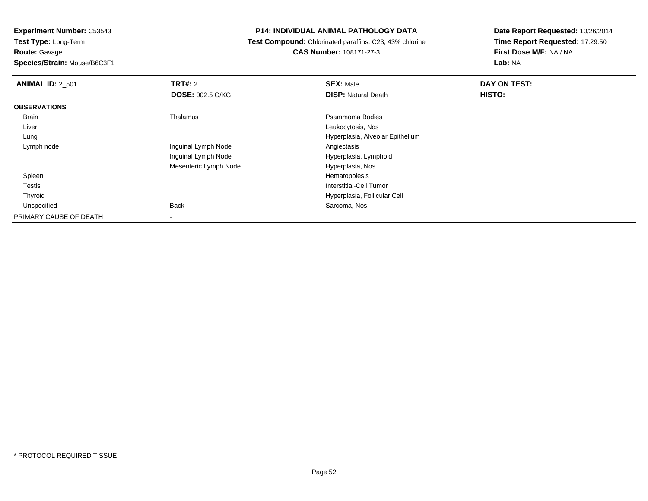**Route:** Gavage

**Species/Strain:** Mouse/B6C3F1

## **P14: INDIVIDUAL ANIMAL PATHOLOGY DATA**

 **Test Compound:** Chlorinated paraffins: C23, 43% chlorine**CAS Number:** 108171-27-3

| <b>ANIMAL ID: 2 501</b> | <b>TRT#: 2</b>           | <b>SEX: Male</b>                 | DAY ON TEST: |
|-------------------------|--------------------------|----------------------------------|--------------|
|                         | <b>DOSE: 002.5 G/KG</b>  | <b>DISP: Natural Death</b>       | HISTO:       |
| <b>OBSERVATIONS</b>     |                          |                                  |              |
| Brain                   | Thalamus                 | Psammoma Bodies                  |              |
| Liver                   |                          | Leukocytosis, Nos                |              |
| Lung                    |                          | Hyperplasia, Alveolar Epithelium |              |
| Lymph node              | Inguinal Lymph Node      | Angiectasis                      |              |
|                         | Inguinal Lymph Node      | Hyperplasia, Lymphoid            |              |
|                         | Mesenteric Lymph Node    | Hyperplasia, Nos                 |              |
| Spleen                  |                          | Hematopoiesis                    |              |
| Testis                  |                          | Interstitial-Cell Tumor          |              |
| Thyroid                 |                          | Hyperplasia, Follicular Cell     |              |
| Unspecified             | <b>Back</b>              | Sarcoma, Nos                     |              |
| PRIMARY CAUSE OF DEATH  | $\overline{\phantom{a}}$ |                                  |              |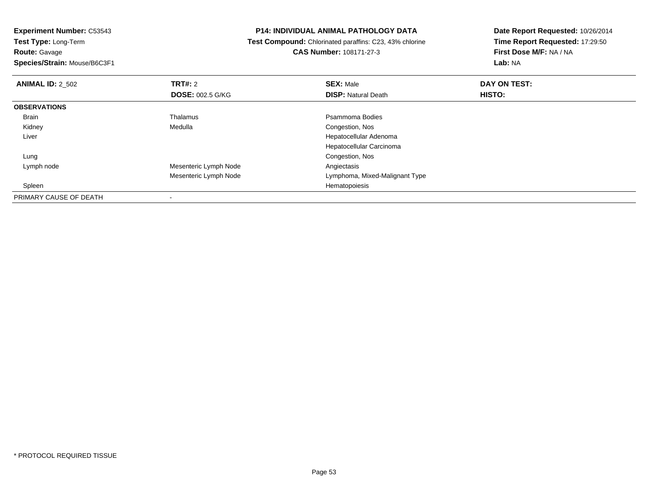**Route:** Gavage

**Species/Strain:** Mouse/B6C3F1

### **P14: INDIVIDUAL ANIMAL PATHOLOGY DATA**

 **Test Compound:** Chlorinated paraffins: C23, 43% chlorine**CAS Number:** 108171-27-3

| <b>ANIMAL ID: 2 502</b> | TRT#: 2                 | <b>SEX: Male</b>               | DAY ON TEST: |  |
|-------------------------|-------------------------|--------------------------------|--------------|--|
|                         | <b>DOSE: 002.5 G/KG</b> | <b>DISP: Natural Death</b>     | HISTO:       |  |
| <b>OBSERVATIONS</b>     |                         |                                |              |  |
| <b>Brain</b>            | Thalamus                | Psammoma Bodies                |              |  |
| Kidney                  | Medulla                 | Congestion, Nos                |              |  |
| Liver                   |                         | Hepatocellular Adenoma         |              |  |
|                         |                         | Hepatocellular Carcinoma       |              |  |
| Lung                    |                         | Congestion, Nos                |              |  |
| Lymph node              | Mesenteric Lymph Node   | Angiectasis                    |              |  |
|                         | Mesenteric Lymph Node   | Lymphoma, Mixed-Malignant Type |              |  |
| Spleen                  |                         | Hematopoiesis                  |              |  |
| PRIMARY CAUSE OF DEATH  |                         |                                |              |  |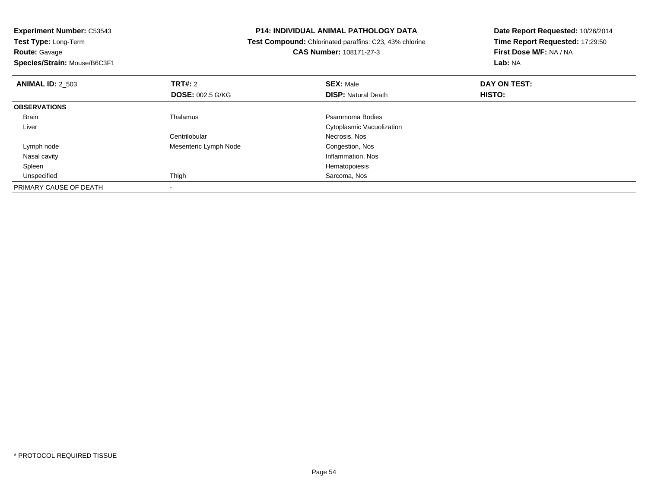**Experiment Number:** C53543**Test Type:** Long-Term**Route:** Gavage **Species/Strain:** Mouse/B6C3F1**P14: INDIVIDUAL ANIMAL PATHOLOGY DATA Test Compound:** Chlorinated paraffins: C23, 43% chlorine**CAS Number:** 108171-27-3**Date Report Requested:** 10/26/2014**Time Report Requested:** 17:29:50**First Dose M/F:** NA / NA**Lab:** NA**ANIMAL ID:** 2\_503**TRT#:** 2 **SEX:** Male **DAY ON TEST: DOSE:** 002.5 G/KG**DISP:** Natural Death **HISTO: OBSERVATIONS** BrainThalamus **Properties** Psammoma Bodies Liver Cytoplasmic Vacuolization**Centrilobular**  Necrosis, NosCongestion, Nos Lymph nodeMesenteric Lymph Node Nasal cavity Inflammation, Nos Spleenn and the state of the state of the state of the state of the state of the state of the state of the state of the state of the state of the state of the state of the state of the state of the state of the state of the stat Unspecifiedd **Sarcoma, Nos and Sarcoma, Nos and Sarcoma**, Nos and Sarcoma, Nos and Sarcoma, Nos and Sarcoma, Nos and Sarcoma, Nos and Sarcoma, Nos and Sarcoma, Nos and Sarcoma, Nos and Sarcoma, Nos and Sarcoma, Nos and Sarcoma, Nos a

PRIMARY CAUSE OF DEATH-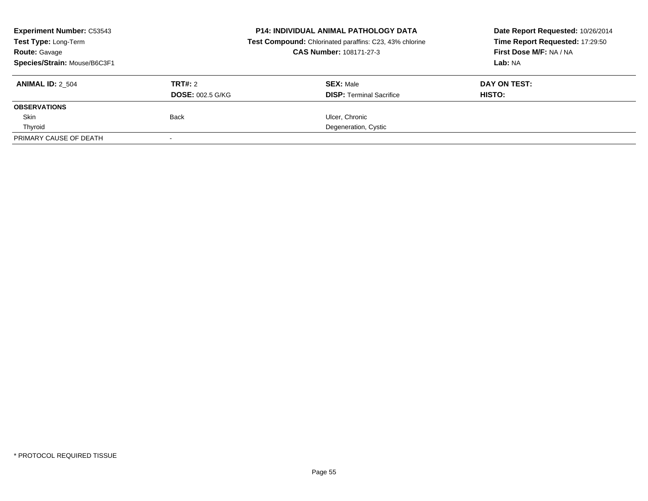| <b>Experiment Number: C53543</b><br>Test Type: Long-Term<br><b>Route: Gavage</b> |                         | <b>P14: INDIVIDUAL ANIMAL PATHOLOGY DATA</b><br>Date Report Requested: 10/26/2014<br>Time Report Requested: 17:29:50<br>Test Compound: Chlorinated paraffins: C23, 43% chlorine<br>First Dose M/F: NA / NA<br><b>CAS Number: 108171-27-3</b> |              |
|----------------------------------------------------------------------------------|-------------------------|----------------------------------------------------------------------------------------------------------------------------------------------------------------------------------------------------------------------------------------------|--------------|
| Species/Strain: Mouse/B6C3F1                                                     |                         |                                                                                                                                                                                                                                              | Lab: NA      |
| <b>ANIMAL ID: 2_504</b>                                                          | TRT#: 2                 | <b>SEX: Male</b>                                                                                                                                                                                                                             | DAY ON TEST: |
|                                                                                  | <b>DOSE: 002.5 G/KG</b> | <b>DISP:</b> Terminal Sacrifice                                                                                                                                                                                                              | HISTO:       |
| <b>OBSERVATIONS</b>                                                              |                         |                                                                                                                                                                                                                                              |              |
| Skin                                                                             | <b>Back</b>             | Ulcer, Chronic                                                                                                                                                                                                                               |              |
| Thyroid                                                                          |                         | Degeneration, Cystic                                                                                                                                                                                                                         |              |
| PRIMARY CAUSE OF DEATH                                                           |                         |                                                                                                                                                                                                                                              |              |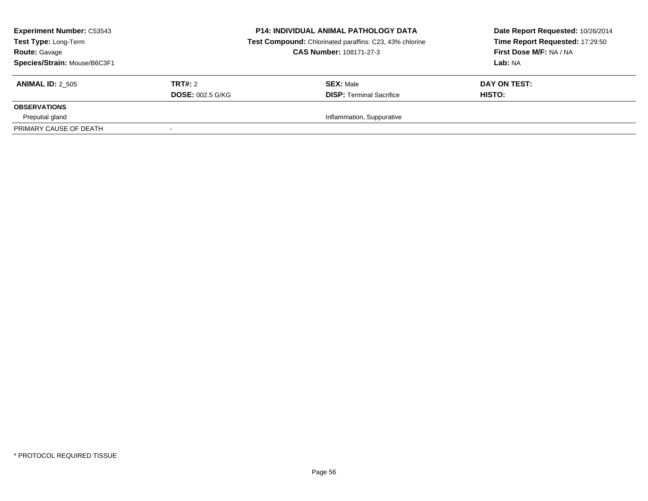| <b>Experiment Number: C53543</b><br>Test Type: Long-Term<br><b>Route: Gavage</b><br>Species/Strain: Mouse/B6C3F1 |                         | <b>P14: INDIVIDUAL ANIMAL PATHOLOGY DATA</b><br>Test Compound: Chlorinated paraffins: C23, 43% chlorine<br><b>CAS Number: 108171-27-3</b> | Date Report Requested: 10/26/2014<br>Time Report Requested: 17:29:50<br>First Dose M/F: NA / NA<br>Lab: NA |  |
|------------------------------------------------------------------------------------------------------------------|-------------------------|-------------------------------------------------------------------------------------------------------------------------------------------|------------------------------------------------------------------------------------------------------------|--|
| <b>ANIMAL ID: 2 505</b>                                                                                          | TRT#: 2                 | <b>SEX: Male</b>                                                                                                                          | DAY ON TEST:                                                                                               |  |
|                                                                                                                  | <b>DOSE: 002.5 G/KG</b> | <b>DISP: Terminal Sacrifice</b>                                                                                                           | HISTO:                                                                                                     |  |
| <b>OBSERVATIONS</b>                                                                                              |                         |                                                                                                                                           |                                                                                                            |  |
| Preputial gland                                                                                                  |                         | Inflammation, Suppurative                                                                                                                 |                                                                                                            |  |
| PRIMARY CAUSE OF DEATH                                                                                           |                         |                                                                                                                                           |                                                                                                            |  |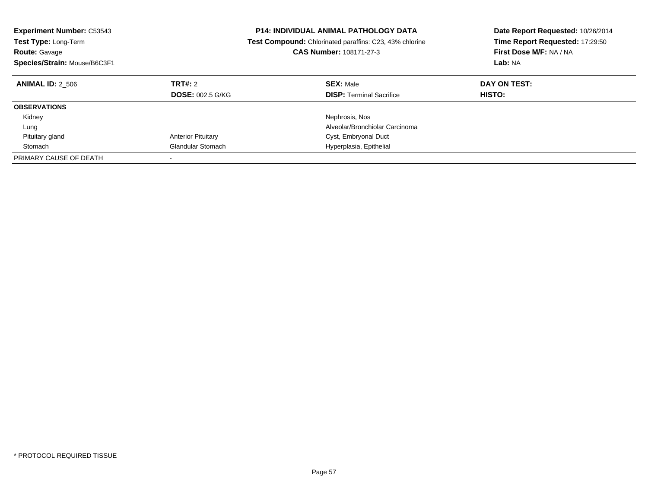| <b>Experiment Number: C53543</b><br><b>Test Type: Long-Term</b><br><b>Route: Gavage</b><br>Species/Strain: Mouse/B6C3F1 |                                    | <b>P14: INDIVIDUAL ANIMAL PATHOLOGY DATA</b><br>Date Report Requested: 10/26/2014<br>Time Report Requested: 17:29:50<br><b>Test Compound:</b> Chlorinated paraffins: C23, 43% chlorine<br>CAS Number: 108171-27-3<br>First Dose M/F: NA / NA<br>Lab: NA |                               |
|-------------------------------------------------------------------------------------------------------------------------|------------------------------------|---------------------------------------------------------------------------------------------------------------------------------------------------------------------------------------------------------------------------------------------------------|-------------------------------|
| <b>ANIMAL ID: 2 506</b>                                                                                                 | TRT#: 2<br><b>DOSE: 002.5 G/KG</b> | <b>SEX: Male</b><br><b>DISP:</b> Terminal Sacrifice                                                                                                                                                                                                     | DAY ON TEST:<br><b>HISTO:</b> |
| <b>OBSERVATIONS</b>                                                                                                     |                                    |                                                                                                                                                                                                                                                         |                               |
| Kidney                                                                                                                  |                                    | Nephrosis, Nos                                                                                                                                                                                                                                          |                               |
| Lung                                                                                                                    |                                    | Alveolar/Bronchiolar Carcinoma                                                                                                                                                                                                                          |                               |
| Pituitary gland                                                                                                         | <b>Anterior Pituitary</b>          | Cyst, Embryonal Duct                                                                                                                                                                                                                                    |                               |
| Stomach                                                                                                                 | <b>Glandular Stomach</b>           | Hyperplasia, Epithelial                                                                                                                                                                                                                                 |                               |
| PRIMARY CAUSE OF DEATH                                                                                                  |                                    |                                                                                                                                                                                                                                                         |                               |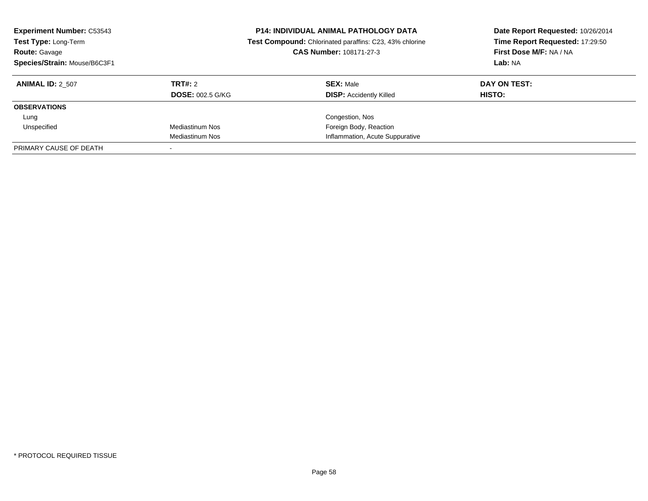| <b>Experiment Number: C53543</b><br>Test Type: Long-Term<br><b>Route: Gavage</b><br>Species/Strain: Mouse/B6C3F1 |                         | <b>P14: INDIVIDUAL ANIMAL PATHOLOGY DATA</b><br>Date Report Requested: 10/26/2014<br>Time Report Requested: 17:29:50<br>Test Compound: Chlorinated paraffins: C23, 43% chlorine<br>CAS Number: 108171-27-3<br>First Dose M/F: NA / NA<br>Lab: NA |               |
|------------------------------------------------------------------------------------------------------------------|-------------------------|--------------------------------------------------------------------------------------------------------------------------------------------------------------------------------------------------------------------------------------------------|---------------|
| <b>ANIMAL ID: 2 507</b>                                                                                          | TRT#: 2                 | <b>SEX: Male</b>                                                                                                                                                                                                                                 | DAY ON TEST:  |
|                                                                                                                  | <b>DOSE: 002.5 G/KG</b> | <b>DISP:</b> Accidently Killed                                                                                                                                                                                                                   | <b>HISTO:</b> |
| <b>OBSERVATIONS</b>                                                                                              |                         |                                                                                                                                                                                                                                                  |               |
| Lung                                                                                                             |                         | Congestion, Nos                                                                                                                                                                                                                                  |               |
| Unspecified                                                                                                      | Mediastinum Nos         | Foreign Body, Reaction                                                                                                                                                                                                                           |               |
|                                                                                                                  | Mediastinum Nos         | Inflammation, Acute Suppurative                                                                                                                                                                                                                  |               |
| PRIMARY CAUSE OF DEATH                                                                                           |                         |                                                                                                                                                                                                                                                  |               |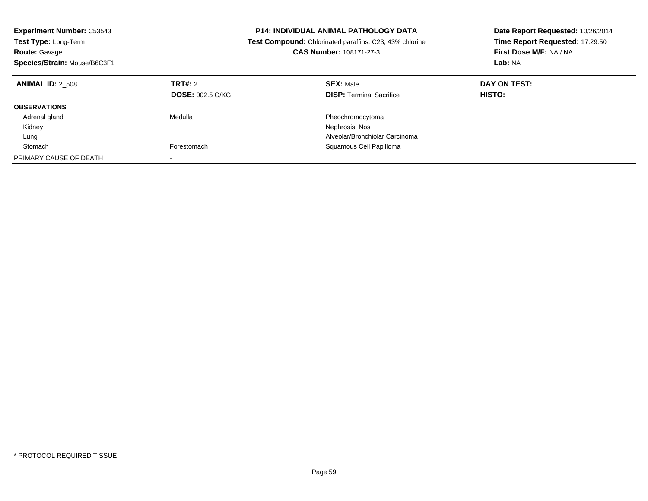| <b>Experiment Number: C53543</b><br><b>Test Type: Long-Term</b><br><b>Route: Gavage</b><br>Species/Strain: Mouse/B6C3F1 |                                    | <b>P14: INDIVIDUAL ANIMAL PATHOLOGY DATA</b><br>Date Report Requested: 10/26/2014<br>Time Report Requested: 17:29:50<br><b>Test Compound:</b> Chlorinated paraffins: C23, 43% chlorine<br>CAS Number: 108171-27-3<br>First Dose M/F: NA / NA<br>Lab: NA |                               |
|-------------------------------------------------------------------------------------------------------------------------|------------------------------------|---------------------------------------------------------------------------------------------------------------------------------------------------------------------------------------------------------------------------------------------------------|-------------------------------|
| <b>ANIMAL ID: 2 508</b>                                                                                                 | TRT#: 2<br><b>DOSE: 002.5 G/KG</b> | <b>SEX: Male</b><br><b>DISP:</b> Terminal Sacrifice                                                                                                                                                                                                     | DAY ON TEST:<br><b>HISTO:</b> |
| <b>OBSERVATIONS</b>                                                                                                     |                                    |                                                                                                                                                                                                                                                         |                               |
| Adrenal gland                                                                                                           | Medulla                            | Pheochromocytoma                                                                                                                                                                                                                                        |                               |
| Kidney                                                                                                                  |                                    | Nephrosis, Nos                                                                                                                                                                                                                                          |                               |
| Lung                                                                                                                    |                                    | Alveolar/Bronchiolar Carcinoma                                                                                                                                                                                                                          |                               |
| Stomach                                                                                                                 | Forestomach                        | Squamous Cell Papilloma                                                                                                                                                                                                                                 |                               |
| PRIMARY CAUSE OF DEATH                                                                                                  |                                    |                                                                                                                                                                                                                                                         |                               |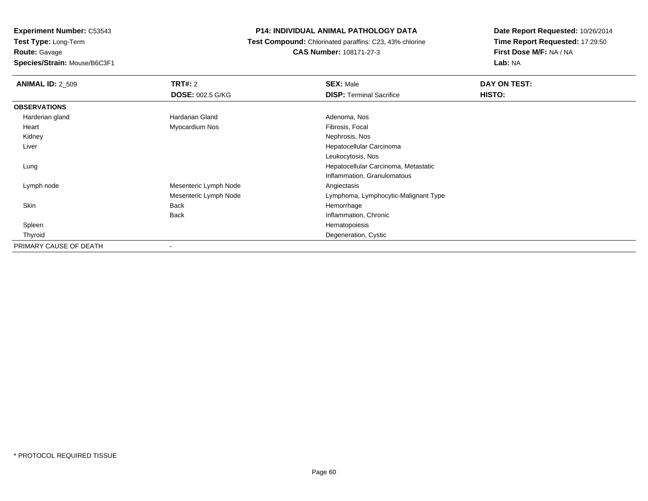**Experiment Number:** C53543**Test Type:** Long-Term**Route:** Gavage

**Species/Strain:** Mouse/B6C3F1

#### **P14: INDIVIDUAL ANIMAL PATHOLOGY DATA**

 **Test Compound:** Chlorinated paraffins: C23, 43% chlorine**CAS Number:** 108171-27-3

| <b>ANIMAL ID: 2_509</b> | TRT#: 2                 | <b>SEX: Male</b>                     | DAY ON TEST: |  |
|-------------------------|-------------------------|--------------------------------------|--------------|--|
|                         | <b>DOSE: 002.5 G/KG</b> | <b>DISP: Terminal Sacrifice</b>      | HISTO:       |  |
| <b>OBSERVATIONS</b>     |                         |                                      |              |  |
| Harderian gland         | Hardarian Gland         | Adenoma, Nos                         |              |  |
| Heart                   | Myocardium Nos          | Fibrosis, Focal                      |              |  |
| Kidney                  |                         | Nephrosis, Nos                       |              |  |
| Liver                   |                         | Hepatocellular Carcinoma             |              |  |
|                         |                         | Leukocytosis, Nos                    |              |  |
| Lung                    |                         | Hepatocellular Carcinoma, Metastatic |              |  |
|                         |                         | Inflammation, Granulomatous          |              |  |
| Lymph node              | Mesenteric Lymph Node   | Angiectasis                          |              |  |
|                         | Mesenteric Lymph Node   | Lymphoma, Lymphocytic-Malignant Type |              |  |
| Skin                    | <b>Back</b>             | Hemorrhage                           |              |  |
|                         | <b>Back</b>             | Inflammation, Chronic                |              |  |
| Spleen                  |                         | Hematopoiesis                        |              |  |
| Thyroid                 |                         | Degeneration, Cystic                 |              |  |
| PRIMARY CAUSE OF DEATH  |                         |                                      |              |  |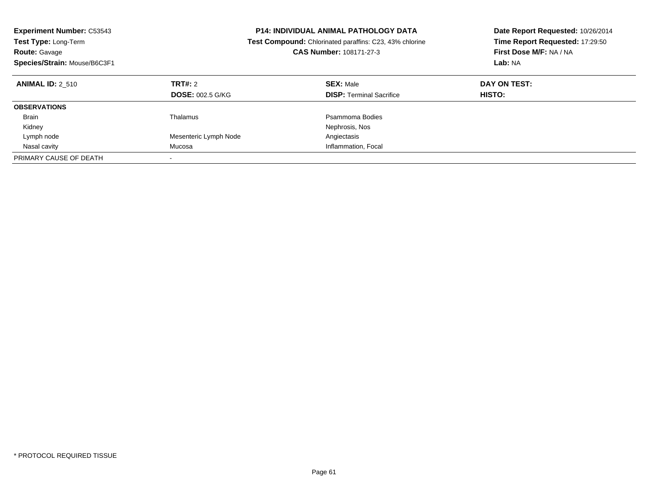| <b>Experiment Number: C53543</b><br>Test Type: Long-Term<br><b>Route: Gavage</b><br>Species/Strain: Mouse/B6C3F1 | <b>P14: INDIVIDUAL ANIMAL PATHOLOGY DATA</b><br><b>Test Compound:</b> Chlorinated paraffins: C23, 43% chlorine<br><b>CAS Number: 108171-27-3</b> |                                                     | Date Report Requested: 10/26/2014<br>Time Report Requested: 17:29:50<br>First Dose M/F: NA / NA<br>Lab: NA |
|------------------------------------------------------------------------------------------------------------------|--------------------------------------------------------------------------------------------------------------------------------------------------|-----------------------------------------------------|------------------------------------------------------------------------------------------------------------|
| <b>ANIMAL ID: 2 510</b>                                                                                          | TRT#: 2<br><b>DOSE: 002.5 G/KG</b>                                                                                                               | <b>SEX: Male</b><br><b>DISP:</b> Terminal Sacrifice | DAY ON TEST:<br><b>HISTO:</b>                                                                              |
| <b>OBSERVATIONS</b>                                                                                              |                                                                                                                                                  |                                                     |                                                                                                            |
| <b>Brain</b>                                                                                                     | Thalamus                                                                                                                                         | Psammoma Bodies                                     |                                                                                                            |
| Kidney                                                                                                           |                                                                                                                                                  | Nephrosis, Nos                                      |                                                                                                            |
| Lymph node                                                                                                       | Mesenteric Lymph Node                                                                                                                            | Angiectasis                                         |                                                                                                            |
| Nasal cavity                                                                                                     | Mucosa                                                                                                                                           | Inflammation, Focal                                 |                                                                                                            |
| PRIMARY CAUSE OF DEATH                                                                                           |                                                                                                                                                  |                                                     |                                                                                                            |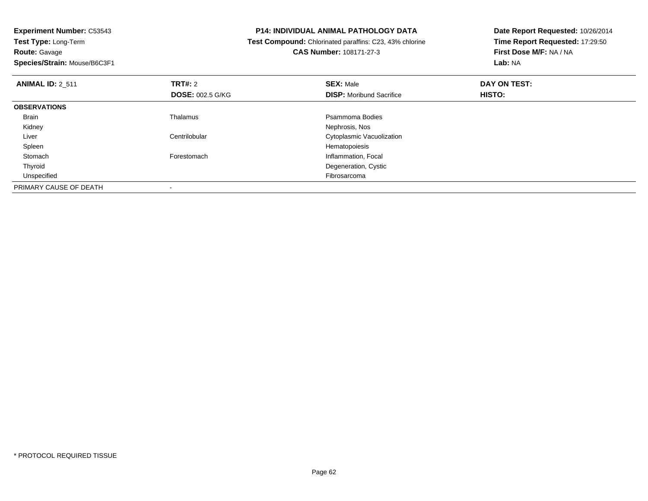**Experiment Number:** C53543**Test Type:** Long-Term**Route:** Gavage

**Species/Strain:** Mouse/B6C3F1

#### **P14: INDIVIDUAL ANIMAL PATHOLOGY DATA**

 **Test Compound:** Chlorinated paraffins: C23, 43% chlorine**CAS Number:** 108171-27-3

| <b>ANIMAL ID: 2 511</b> | TRT#: 2<br><b>DOSE: 002.5 G/KG</b> | <b>SEX: Male</b><br><b>DISP:</b> Moribund Sacrifice | DAY ON TEST:<br>HISTO: |  |
|-------------------------|------------------------------------|-----------------------------------------------------|------------------------|--|
| <b>OBSERVATIONS</b>     |                                    |                                                     |                        |  |
| <b>Brain</b>            | Thalamus                           | Psammoma Bodies                                     |                        |  |
| Kidney                  |                                    | Nephrosis, Nos                                      |                        |  |
| Liver                   | Centrilobular                      | Cytoplasmic Vacuolization                           |                        |  |
| Spleen                  |                                    | Hematopoiesis                                       |                        |  |
| Stomach                 | Forestomach                        | Inflammation, Focal                                 |                        |  |
| Thyroid                 |                                    | Degeneration, Cystic                                |                        |  |
| Unspecified             |                                    | Fibrosarcoma                                        |                        |  |
| PRIMARY CAUSE OF DEATH  |                                    |                                                     |                        |  |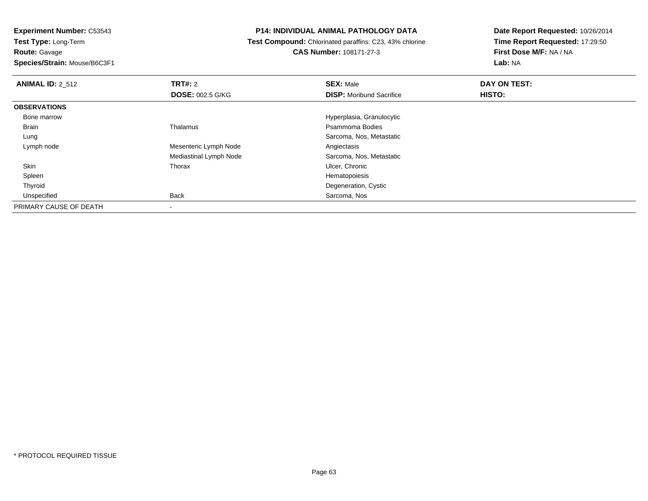**Route:** Gavage

**Species/Strain:** Mouse/B6C3F1

#### **P14: INDIVIDUAL ANIMAL PATHOLOGY DATA**

 **Test Compound:** Chlorinated paraffins: C23, 43% chlorine**CAS Number:** 108171-27-3

| <b>ANIMAL ID: 2 512</b> | <b>TRT#: 2</b>          | <b>SEX: Male</b>                | DAY ON TEST: |  |
|-------------------------|-------------------------|---------------------------------|--------------|--|
|                         | <b>DOSE: 002.5 G/KG</b> | <b>DISP:</b> Moribund Sacrifice | HISTO:       |  |
| <b>OBSERVATIONS</b>     |                         |                                 |              |  |
| Bone marrow             |                         | Hyperplasia, Granulocytic       |              |  |
| <b>Brain</b>            | Thalamus                | Psammoma Bodies                 |              |  |
| Lung                    |                         | Sarcoma, Nos, Metastatic        |              |  |
| Lymph node              | Mesenteric Lymph Node   | Angiectasis                     |              |  |
|                         | Mediastinal Lymph Node  | Sarcoma, Nos, Metastatic        |              |  |
| Skin                    | Thorax                  | Ulcer, Chronic                  |              |  |
| Spleen                  |                         | Hematopoiesis                   |              |  |
| Thyroid                 |                         | Degeneration, Cystic            |              |  |
| Unspecified             | Back                    | Sarcoma, Nos                    |              |  |
| PRIMARY CAUSE OF DEATH  |                         |                                 |              |  |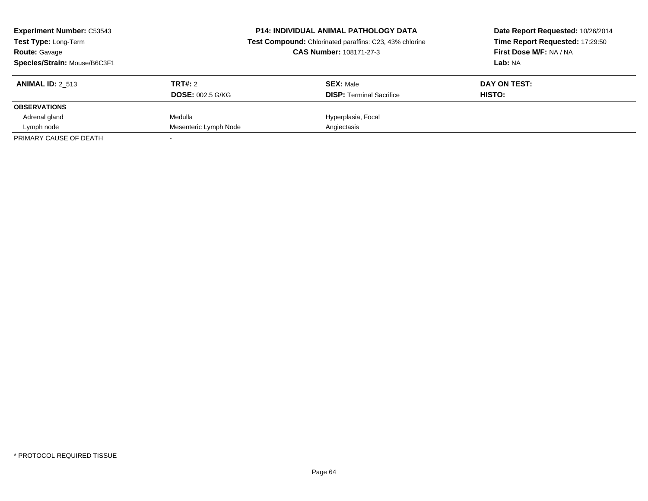| <b>Experiment Number: C53543</b><br><b>Test Type: Long-Term</b><br><b>Route: Gavage</b><br>Species/Strain: Mouse/B6C3F1 |                                    | <b>P14: INDIVIDUAL ANIMAL PATHOLOGY DATA</b><br>Test Compound: Chlorinated paraffins: C23, 43% chlorine<br><b>CAS Number: 108171-27-3</b> | Date Report Requested: 10/26/2014<br>Time Report Requested: 17:29:50<br>First Dose M/F: NA / NA<br>Lab: NA |
|-------------------------------------------------------------------------------------------------------------------------|------------------------------------|-------------------------------------------------------------------------------------------------------------------------------------------|------------------------------------------------------------------------------------------------------------|
| <b>ANIMAL ID: 2 513</b>                                                                                                 | TRT#: 2<br><b>DOSE: 002.5 G/KG</b> | <b>SEX: Male</b><br><b>DISP:</b> Terminal Sacrifice                                                                                       | DAY ON TEST:<br>HISTO:                                                                                     |
| <b>OBSERVATIONS</b>                                                                                                     |                                    |                                                                                                                                           |                                                                                                            |
| Adrenal gland                                                                                                           | Medulla                            | Hyperplasia, Focal                                                                                                                        |                                                                                                            |
| Lymph node                                                                                                              | Mesenteric Lymph Node              | Angiectasis                                                                                                                               |                                                                                                            |
| PRIMARY CAUSE OF DEATH                                                                                                  |                                    |                                                                                                                                           |                                                                                                            |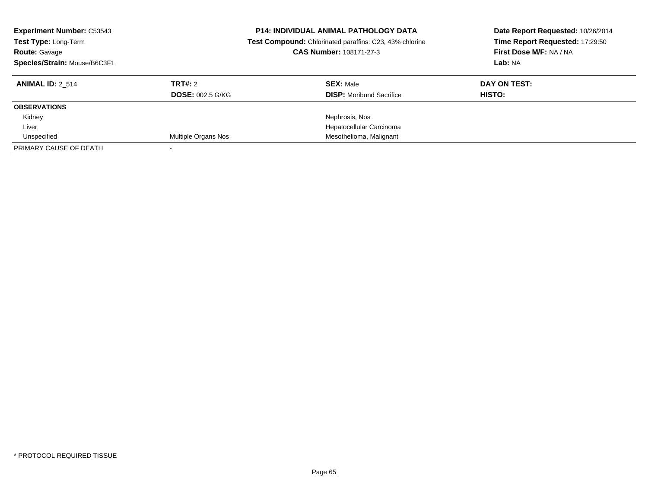| <b>Experiment Number: C53543</b><br>Test Type: Long-Term<br><b>Route: Gavage</b><br>Species/Strain: Mouse/B6C3F1 |                         | <b>P14: INDIVIDUAL ANIMAL PATHOLOGY DATA</b><br>Test Compound: Chlorinated paraffins: C23, 43% chlorine<br>CAS Number: 108171-27-3 | Date Report Requested: 10/26/2014<br>Time Report Requested: 17:29:50<br>First Dose M/F: NA / NA<br>Lab: NA |
|------------------------------------------------------------------------------------------------------------------|-------------------------|------------------------------------------------------------------------------------------------------------------------------------|------------------------------------------------------------------------------------------------------------|
| <b>ANIMAL ID: 2 514</b>                                                                                          | TRT#: 2                 | <b>SEX: Male</b>                                                                                                                   | DAY ON TEST:                                                                                               |
|                                                                                                                  | <b>DOSE: 002.5 G/KG</b> | <b>DISP:</b> Moribund Sacrifice                                                                                                    | <b>HISTO:</b>                                                                                              |
| <b>OBSERVATIONS</b>                                                                                              |                         |                                                                                                                                    |                                                                                                            |
| Kidney                                                                                                           |                         | Nephrosis, Nos                                                                                                                     |                                                                                                            |
| Liver                                                                                                            |                         | Hepatocellular Carcinoma                                                                                                           |                                                                                                            |
| Unspecified                                                                                                      | Multiple Organs Nos     | Mesothelioma, Malignant                                                                                                            |                                                                                                            |
| PRIMARY CAUSE OF DEATH                                                                                           |                         |                                                                                                                                    |                                                                                                            |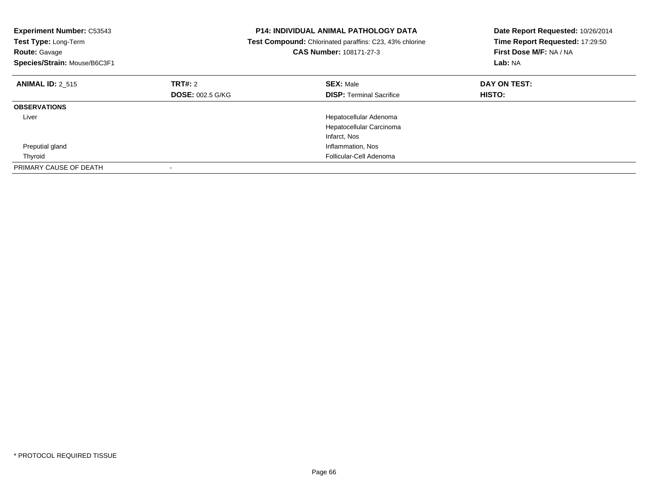| <b>Experiment Number: C53543</b><br>Test Type: Long-Term<br><b>Route: Gavage</b><br>Species/Strain: Mouse/B6C3F1 | <b>P14: INDIVIDUAL ANIMAL PATHOLOGY DATA</b><br>Test Compound: Chlorinated paraffins: C23, 43% chlorine<br>CAS Number: 108171-27-3 |                                 | Date Report Requested: 10/26/2014<br>Time Report Requested: 17:29:50<br>First Dose M/F: NA / NA<br>Lab: NA |
|------------------------------------------------------------------------------------------------------------------|------------------------------------------------------------------------------------------------------------------------------------|---------------------------------|------------------------------------------------------------------------------------------------------------|
| <b>ANIMAL ID: 2 515</b>                                                                                          | TRT#: 2                                                                                                                            | <b>SEX: Male</b>                | DAY ON TEST:                                                                                               |
|                                                                                                                  | <b>DOSE: 002.5 G/KG</b>                                                                                                            | <b>DISP:</b> Terminal Sacrifice | HISTO:                                                                                                     |
| <b>OBSERVATIONS</b>                                                                                              |                                                                                                                                    |                                 |                                                                                                            |
| Liver                                                                                                            |                                                                                                                                    | Hepatocellular Adenoma          |                                                                                                            |
|                                                                                                                  |                                                                                                                                    | Hepatocellular Carcinoma        |                                                                                                            |
|                                                                                                                  |                                                                                                                                    | Infarct, Nos                    |                                                                                                            |
| Preputial gland                                                                                                  |                                                                                                                                    | Inflammation, Nos               |                                                                                                            |
| Thyroid                                                                                                          |                                                                                                                                    | Follicular-Cell Adenoma         |                                                                                                            |
| PRIMARY CAUSE OF DEATH                                                                                           |                                                                                                                                    |                                 |                                                                                                            |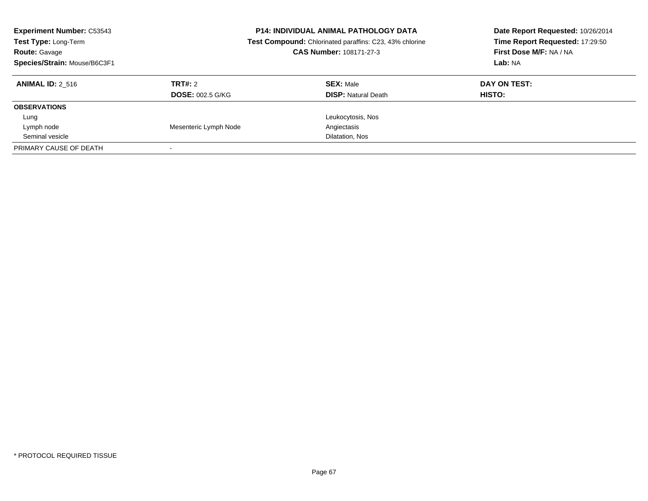| <b>Experiment Number: C53543</b><br>Test Type: Long-Term<br><b>Route: Gavage</b><br>Species/Strain: Mouse/B6C3F1 |                         | <b>P14: INDIVIDUAL ANIMAL PATHOLOGY DATA</b><br>Test Compound: Chlorinated paraffins: C23, 43% chlorine<br>CAS Number: 108171-27-3 | Date Report Requested: 10/26/2014<br>Time Report Requested: 17:29:50<br>First Dose M/F: NA / NA<br>Lab: NA |
|------------------------------------------------------------------------------------------------------------------|-------------------------|------------------------------------------------------------------------------------------------------------------------------------|------------------------------------------------------------------------------------------------------------|
| <b>ANIMAL ID: 2 516</b>                                                                                          | TRT#: 2                 | <b>SEX: Male</b>                                                                                                                   | DAY ON TEST:                                                                                               |
|                                                                                                                  | <b>DOSE: 002.5 G/KG</b> | <b>DISP:</b> Natural Death                                                                                                         | HISTO:                                                                                                     |
| <b>OBSERVATIONS</b>                                                                                              |                         |                                                                                                                                    |                                                                                                            |
| Lung                                                                                                             |                         | Leukocytosis, Nos                                                                                                                  |                                                                                                            |
| Lymph node                                                                                                       | Mesenteric Lymph Node   | Angiectasis                                                                                                                        |                                                                                                            |
| Seminal vesicle                                                                                                  |                         | Dilatation, Nos                                                                                                                    |                                                                                                            |
| PRIMARY CAUSE OF DEATH                                                                                           |                         |                                                                                                                                    |                                                                                                            |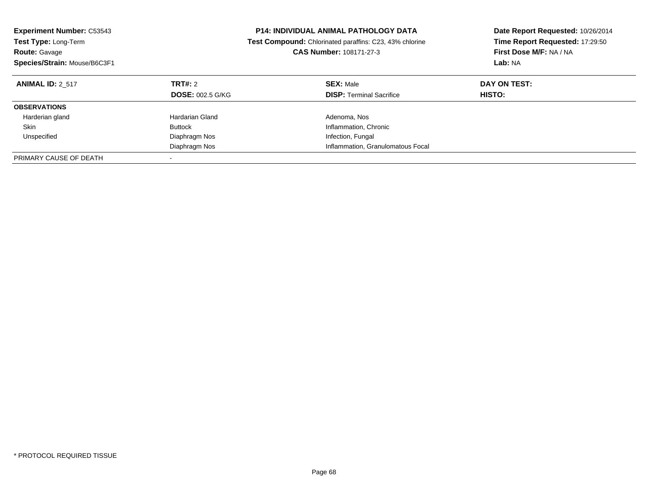| <b>Experiment Number: C53543</b><br><b>Test Type: Long-Term</b><br><b>Route: Gavage</b><br>Species/Strain: Mouse/B6C3F1 |                                    | <b>P14: INDIVIDUAL ANIMAL PATHOLOGY DATA</b><br>Test Compound: Chlorinated paraffins: C23, 43% chlorine<br><b>CAS Number: 108171-27-3</b> | Date Report Requested: 10/26/2014<br>Time Report Requested: 17:29:50<br>First Dose M/F: NA / NA<br>Lab: NA |
|-------------------------------------------------------------------------------------------------------------------------|------------------------------------|-------------------------------------------------------------------------------------------------------------------------------------------|------------------------------------------------------------------------------------------------------------|
| <b>ANIMAL ID: 2 517</b>                                                                                                 | TRT#: 2<br><b>DOSE: 002.5 G/KG</b> | <b>SEX: Male</b><br><b>DISP:</b> Terminal Sacrifice                                                                                       | DAY ON TEST:<br>HISTO:                                                                                     |
| <b>OBSERVATIONS</b>                                                                                                     |                                    |                                                                                                                                           |                                                                                                            |
| Harderian gland                                                                                                         | Hardarian Gland                    | Adenoma, Nos                                                                                                                              |                                                                                                            |
| Skin                                                                                                                    | <b>Buttock</b>                     | Inflammation, Chronic                                                                                                                     |                                                                                                            |
| Unspecified                                                                                                             | Diaphragm Nos                      | Infection, Fungal                                                                                                                         |                                                                                                            |
|                                                                                                                         | Diaphragm Nos                      | Inflammation, Granulomatous Focal                                                                                                         |                                                                                                            |
| PRIMARY CAUSE OF DEATH                                                                                                  |                                    |                                                                                                                                           |                                                                                                            |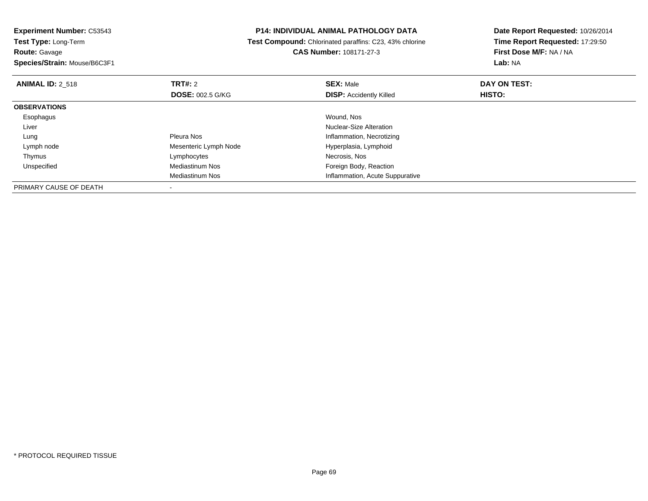# **Route:** Gavage

**Species/Strain:** Mouse/B6C3F1

#### **P14: INDIVIDUAL ANIMAL PATHOLOGY DATA**

#### **Test Compound:** Chlorinated paraffins: C23, 43% chlorine**CAS Number:** 108171-27-3

| <b>ANIMAL ID: 2 518</b> | TRT#: 2                 | <b>SEX: Male</b>                | DAY ON TEST:  |  |
|-------------------------|-------------------------|---------------------------------|---------------|--|
|                         | <b>DOSE: 002.5 G/KG</b> | <b>DISP:</b> Accidently Killed  | <b>HISTO:</b> |  |
| <b>OBSERVATIONS</b>     |                         |                                 |               |  |
| Esophagus               |                         | Wound, Nos                      |               |  |
| Liver                   |                         | <b>Nuclear-Size Alteration</b>  |               |  |
| Lung                    | Pleura Nos              | Inflammation, Necrotizing       |               |  |
| Lymph node              | Mesenteric Lymph Node   | Hyperplasia, Lymphoid           |               |  |
| Thymus                  | Lymphocytes             | Necrosis, Nos                   |               |  |
| Unspecified             | Mediastinum Nos         | Foreign Body, Reaction          |               |  |
|                         | Mediastinum Nos         | Inflammation, Acute Suppurative |               |  |
| PRIMARY CAUSE OF DEATH  |                         |                                 |               |  |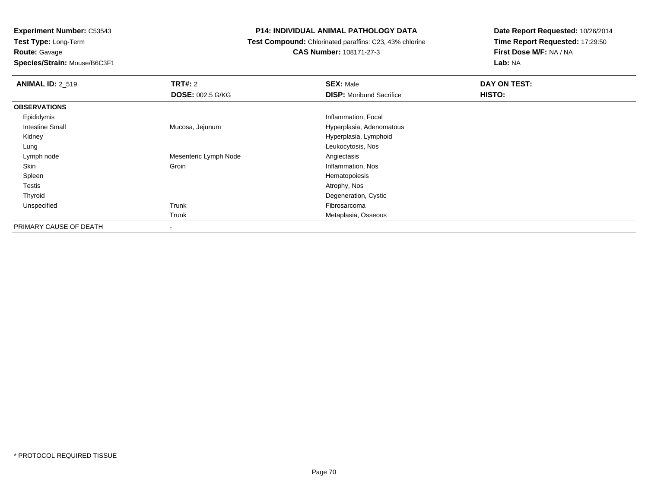**Route:** Gavage

**Species/Strain:** Mouse/B6C3F1

## **P14: INDIVIDUAL ANIMAL PATHOLOGY DATA**

 **Test Compound:** Chlorinated paraffins: C23, 43% chlorine**CAS Number:** 108171-27-3

| <b>ANIMAL ID: 2 519</b> | TRT#: 2                  | <b>SEX: Male</b>                | DAY ON TEST: |  |
|-------------------------|--------------------------|---------------------------------|--------------|--|
|                         | <b>DOSE: 002.5 G/KG</b>  | <b>DISP:</b> Moribund Sacrifice | HISTO:       |  |
| <b>OBSERVATIONS</b>     |                          |                                 |              |  |
| Epididymis              |                          | Inflammation, Focal             |              |  |
| <b>Intestine Small</b>  | Mucosa, Jejunum          | Hyperplasia, Adenomatous        |              |  |
| Kidney                  |                          | Hyperplasia, Lymphoid           |              |  |
| Lung                    |                          | Leukocytosis, Nos               |              |  |
| Lymph node              | Mesenteric Lymph Node    | Angiectasis                     |              |  |
| Skin                    | Groin                    | Inflammation, Nos               |              |  |
| Spleen                  |                          | Hematopoiesis                   |              |  |
| Testis                  |                          | Atrophy, Nos                    |              |  |
| Thyroid                 |                          | Degeneration, Cystic            |              |  |
| Unspecified             | Trunk                    | Fibrosarcoma                    |              |  |
|                         | Trunk                    | Metaplasia, Osseous             |              |  |
| PRIMARY CAUSE OF DEATH  | $\overline{\phantom{a}}$ |                                 |              |  |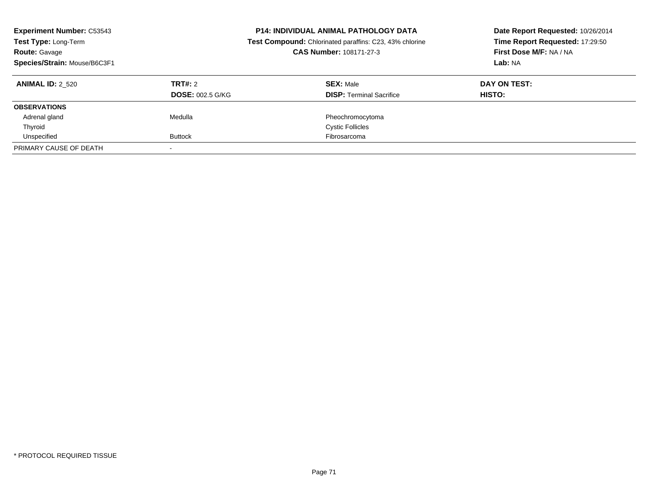| <b>Experiment Number: C53543</b><br>Test Type: Long-Term<br><b>Route: Gavage</b><br>Species/Strain: Mouse/B6C3F1 |                                    | <b>P14: INDIVIDUAL ANIMAL PATHOLOGY DATA</b><br>Test Compound: Chlorinated paraffins: C23, 43% chlorine<br>CAS Number: 108171-27-3 | Date Report Requested: 10/26/2014<br>Time Report Requested: 17:29:50<br>First Dose M/F: NA / NA<br>Lab: NA |
|------------------------------------------------------------------------------------------------------------------|------------------------------------|------------------------------------------------------------------------------------------------------------------------------------|------------------------------------------------------------------------------------------------------------|
| <b>ANIMAL ID: 2 520</b>                                                                                          | TRT#: 2<br><b>DOSE: 002.5 G/KG</b> | <b>SEX: Male</b><br><b>DISP:</b> Terminal Sacrifice                                                                                | DAY ON TEST:<br>HISTO:                                                                                     |
| <b>OBSERVATIONS</b>                                                                                              |                                    |                                                                                                                                    |                                                                                                            |
| Adrenal gland                                                                                                    | Medulla                            | Pheochromocytoma                                                                                                                   |                                                                                                            |
| Thyroid                                                                                                          |                                    | <b>Cystic Follicles</b>                                                                                                            |                                                                                                            |
| Unspecified                                                                                                      | <b>Buttock</b>                     | Fibrosarcoma                                                                                                                       |                                                                                                            |
| PRIMARY CAUSE OF DEATH                                                                                           |                                    |                                                                                                                                    |                                                                                                            |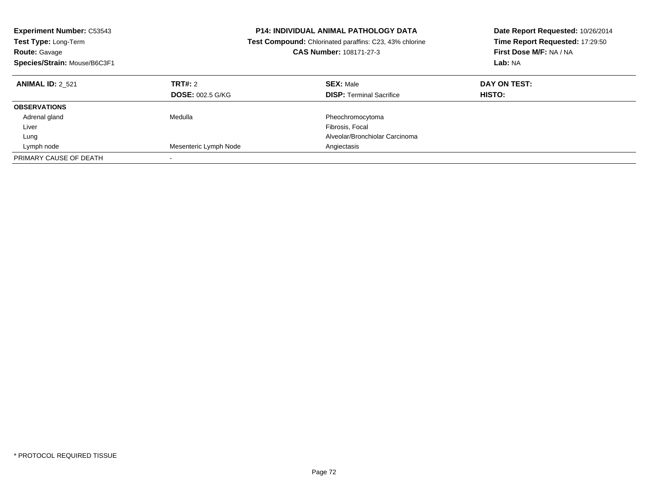| <b>P14: INDIVIDUAL ANIMAL PATHOLOGY DATA</b><br><b>Experiment Number: C53543</b><br>Test Type: Long-Term<br><b>Test Compound:</b> Chlorinated paraffins: C23, 43% chlorine<br><b>CAS Number: 108171-27-3</b><br><b>Route: Gavage</b><br>Species/Strain: Mouse/B6C3F1 |                         | Date Report Requested: 10/26/2014<br>Time Report Requested: 17:29:50<br>First Dose M/F: NA / NA<br>Lab: NA |              |
|----------------------------------------------------------------------------------------------------------------------------------------------------------------------------------------------------------------------------------------------------------------------|-------------------------|------------------------------------------------------------------------------------------------------------|--------------|
| <b>ANIMAL ID: 2 521</b>                                                                                                                                                                                                                                              | TRT#: 2                 | <b>SEX: Male</b>                                                                                           | DAY ON TEST: |
|                                                                                                                                                                                                                                                                      | <b>DOSE: 002.5 G/KG</b> | <b>DISP:</b> Terminal Sacrifice                                                                            | HISTO:       |
| <b>OBSERVATIONS</b>                                                                                                                                                                                                                                                  |                         |                                                                                                            |              |
| Adrenal gland                                                                                                                                                                                                                                                        | Medulla                 | Pheochromocytoma                                                                                           |              |
| Liver                                                                                                                                                                                                                                                                |                         | Fibrosis, Focal                                                                                            |              |
| Lung                                                                                                                                                                                                                                                                 |                         | Alveolar/Bronchiolar Carcinoma                                                                             |              |
| Lymph node                                                                                                                                                                                                                                                           | Mesenteric Lymph Node   | Angiectasis                                                                                                |              |
| PRIMARY CAUSE OF DEATH                                                                                                                                                                                                                                               |                         |                                                                                                            |              |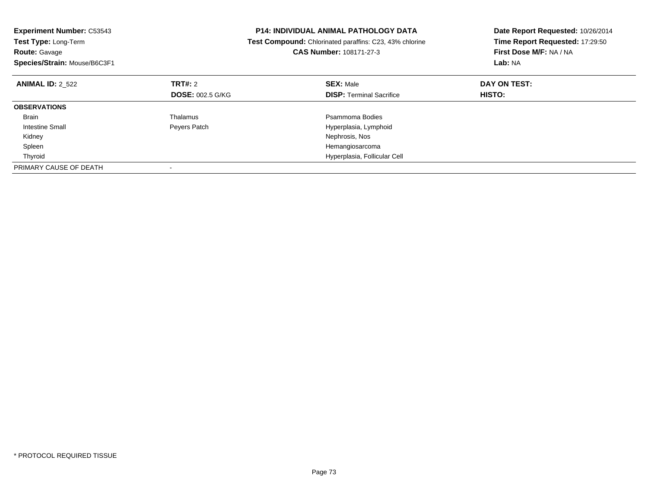| <b>Experiment Number: C53543</b><br>Test Type: Long-Term<br><b>Route: Gavage</b><br>Species/Strain: Mouse/B6C3F1 |                         | <b>P14: INDIVIDUAL ANIMAL PATHOLOGY DATA</b><br>Test Compound: Chlorinated paraffins: C23, 43% chlorine<br><b>CAS Number: 108171-27-3</b> | Date Report Requested: 10/26/2014<br>Time Report Requested: 17:29:50<br>First Dose M/F: NA / NA<br>Lab: NA |
|------------------------------------------------------------------------------------------------------------------|-------------------------|-------------------------------------------------------------------------------------------------------------------------------------------|------------------------------------------------------------------------------------------------------------|
| <b>ANIMAL ID: 2 522</b>                                                                                          | <b>TRT#: 2</b>          | <b>SEX: Male</b>                                                                                                                          | DAY ON TEST:                                                                                               |
|                                                                                                                  | <b>DOSE: 002.5 G/KG</b> | <b>DISP:</b> Terminal Sacrifice                                                                                                           | HISTO:                                                                                                     |
| <b>OBSERVATIONS</b>                                                                                              |                         |                                                                                                                                           |                                                                                                            |
| <b>Brain</b>                                                                                                     | Thalamus                | Psammoma Bodies                                                                                                                           |                                                                                                            |
| Intestine Small                                                                                                  | Peyers Patch            | Hyperplasia, Lymphoid                                                                                                                     |                                                                                                            |
| Kidney                                                                                                           |                         | Nephrosis, Nos                                                                                                                            |                                                                                                            |
| Spleen                                                                                                           |                         | Hemangiosarcoma                                                                                                                           |                                                                                                            |
| Thyroid                                                                                                          |                         | Hyperplasia, Follicular Cell                                                                                                              |                                                                                                            |
| PRIMARY CAUSE OF DEATH                                                                                           |                         |                                                                                                                                           |                                                                                                            |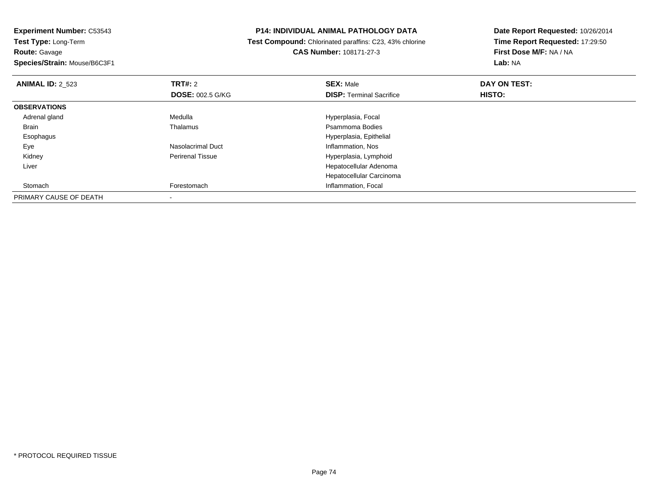**Route:** Gavage

**Species/Strain:** Mouse/B6C3F1

### **P14: INDIVIDUAL ANIMAL PATHOLOGY DATA**

 **Test Compound:** Chlorinated paraffins: C23, 43% chlorine**CAS Number:** 108171-27-3

| <b>ANIMAL ID: 2 523</b> | TRT#: 2                 | <b>SEX: Male</b>                | DAY ON TEST: |  |
|-------------------------|-------------------------|---------------------------------|--------------|--|
|                         | <b>DOSE: 002.5 G/KG</b> | <b>DISP:</b> Terminal Sacrifice | HISTO:       |  |
| <b>OBSERVATIONS</b>     |                         |                                 |              |  |
| Adrenal gland           | Medulla                 | Hyperplasia, Focal              |              |  |
| <b>Brain</b>            | Thalamus                | Psammoma Bodies                 |              |  |
| Esophagus               |                         | Hyperplasia, Epithelial         |              |  |
| Eye                     | Nasolacrimal Duct       | Inflammation, Nos               |              |  |
| Kidney                  | <b>Perirenal Tissue</b> | Hyperplasia, Lymphoid           |              |  |
| Liver                   |                         | Hepatocellular Adenoma          |              |  |
|                         |                         | Hepatocellular Carcinoma        |              |  |
| Stomach                 | Forestomach             | Inflammation, Focal             |              |  |
| PRIMARY CAUSE OF DEATH  |                         |                                 |              |  |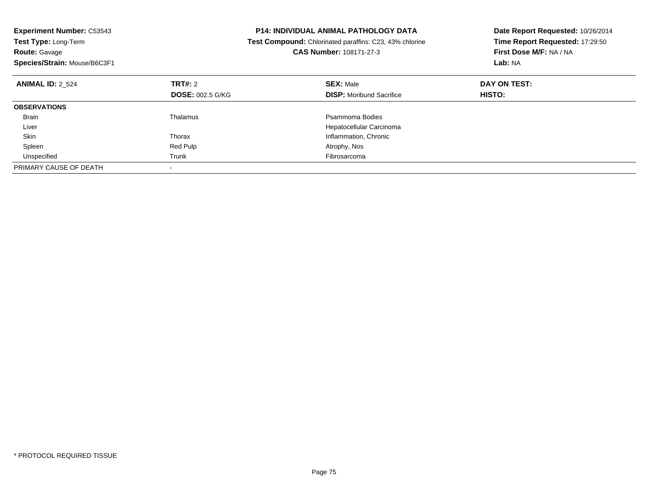| <b>Experiment Number: C53543</b><br><b>Test Type: Long-Term</b><br><b>Route: Gavage</b><br>Species/Strain: Mouse/B6C3F1 | <b>P14: INDIVIDUAL ANIMAL PATHOLOGY DATA</b><br>Test Compound: Chlorinated paraffins: C23, 43% chlorine<br>CAS Number: 108171-27-3 |                                 | Date Report Requested: 10/26/2014<br>Time Report Requested: 17:29:50<br>First Dose M/F: NA / NA<br>Lab: NA |
|-------------------------------------------------------------------------------------------------------------------------|------------------------------------------------------------------------------------------------------------------------------------|---------------------------------|------------------------------------------------------------------------------------------------------------|
| <b>ANIMAL ID: 2 524</b>                                                                                                 | TRT#: 2                                                                                                                            | <b>SEX: Male</b>                | DAY ON TEST:                                                                                               |
|                                                                                                                         | <b>DOSE: 002.5 G/KG</b>                                                                                                            | <b>DISP:</b> Moribund Sacrifice | HISTO:                                                                                                     |
| <b>OBSERVATIONS</b>                                                                                                     |                                                                                                                                    |                                 |                                                                                                            |
| <b>Brain</b>                                                                                                            | Thalamus                                                                                                                           | Psammoma Bodies                 |                                                                                                            |
| Liver                                                                                                                   |                                                                                                                                    | Hepatocellular Carcinoma        |                                                                                                            |
| Skin                                                                                                                    | Thorax                                                                                                                             | Inflammation, Chronic           |                                                                                                            |
| Spleen                                                                                                                  | Red Pulp                                                                                                                           | Atrophy, Nos                    |                                                                                                            |
| Unspecified                                                                                                             | Trunk                                                                                                                              | Fibrosarcoma                    |                                                                                                            |
| PRIMARY CAUSE OF DEATH                                                                                                  |                                                                                                                                    |                                 |                                                                                                            |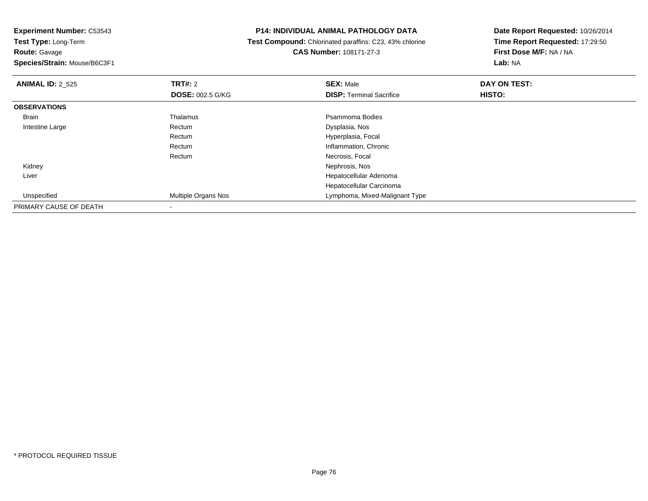**Route:** Gavage

**Species/Strain:** Mouse/B6C3F1

### **P14: INDIVIDUAL ANIMAL PATHOLOGY DATA**

 **Test Compound:** Chlorinated paraffins: C23, 43% chlorine**CAS Number:** 108171-27-3

| <b>ANIMAL ID: 2_525</b> | <b>TRT#: 2</b>             | <b>SEX: Male</b>                | DAY ON TEST: |  |
|-------------------------|----------------------------|---------------------------------|--------------|--|
|                         | <b>DOSE: 002.5 G/KG</b>    | <b>DISP: Terminal Sacrifice</b> | HISTO:       |  |
| <b>OBSERVATIONS</b>     |                            |                                 |              |  |
| Brain                   | Thalamus                   | Psammoma Bodies                 |              |  |
| Intestine Large         | Rectum                     | Dysplasia, Nos                  |              |  |
|                         | Rectum                     | Hyperplasia, Focal              |              |  |
|                         | Rectum                     | Inflammation, Chronic           |              |  |
|                         | Rectum                     | Necrosis, Focal                 |              |  |
| Kidney                  |                            | Nephrosis, Nos                  |              |  |
| Liver                   |                            | Hepatocellular Adenoma          |              |  |
|                         |                            | Hepatocellular Carcinoma        |              |  |
| Unspecified             | <b>Multiple Organs Nos</b> | Lymphoma, Mixed-Malignant Type  |              |  |
| PRIMARY CAUSE OF DEATH  |                            |                                 |              |  |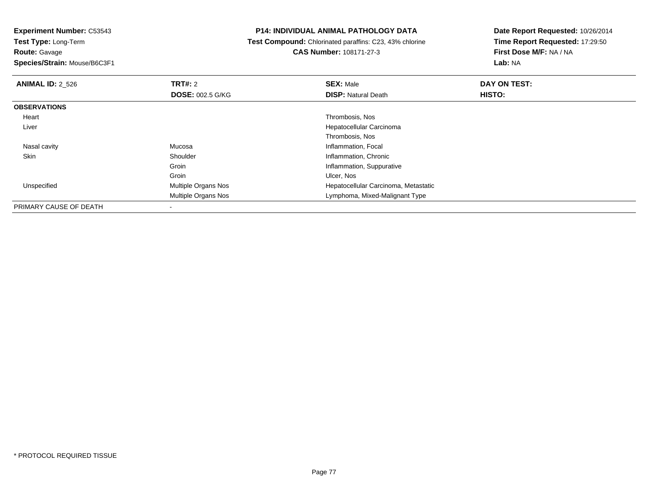**Route:** Gavage

**Species/Strain:** Mouse/B6C3F1

## **P14: INDIVIDUAL ANIMAL PATHOLOGY DATA**

 **Test Compound:** Chlorinated paraffins: C23, 43% chlorine**CAS Number:** 108171-27-3

| <b>ANIMAL ID: 2_526</b> | <b>TRT#: 2</b>          | <b>SEX: Male</b>                     | DAY ON TEST: |  |
|-------------------------|-------------------------|--------------------------------------|--------------|--|
|                         | <b>DOSE: 002.5 G/KG</b> | <b>DISP:</b> Natural Death           | HISTO:       |  |
| <b>OBSERVATIONS</b>     |                         |                                      |              |  |
| Heart                   |                         | Thrombosis, Nos                      |              |  |
| Liver                   |                         | Hepatocellular Carcinoma             |              |  |
|                         |                         | Thrombosis, Nos                      |              |  |
| Nasal cavity            | Mucosa                  | Inflammation, Focal                  |              |  |
| Skin                    | Shoulder                | Inflammation, Chronic                |              |  |
|                         | Groin                   | Inflammation, Suppurative            |              |  |
|                         | Groin                   | Ulcer, Nos                           |              |  |
| Unspecified             | Multiple Organs Nos     | Hepatocellular Carcinoma, Metastatic |              |  |
|                         | Multiple Organs Nos     | Lymphoma, Mixed-Malignant Type       |              |  |
| PRIMARY CAUSE OF DEATH  |                         |                                      |              |  |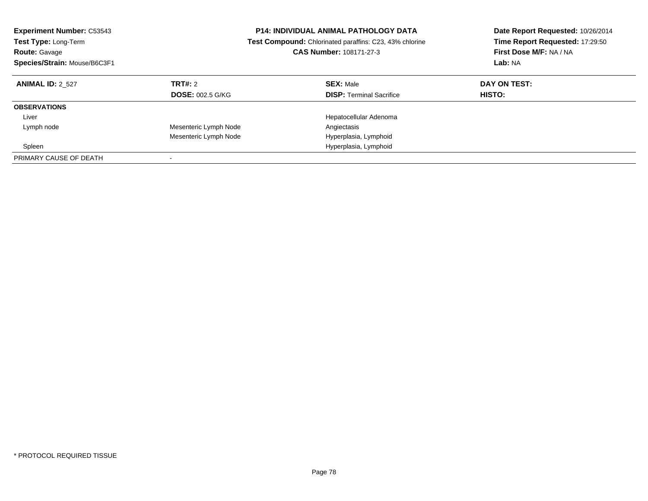| <b>Experiment Number: C53543</b><br>Test Type: Long-Term<br><b>Route: Gavage</b><br>Species/Strain: Mouse/B6C3F1 |                         | <b>P14: INDIVIDUAL ANIMAL PATHOLOGY DATA</b><br><b>Test Compound:</b> Chlorinated paraffins: C23, 43% chlorine<br><b>CAS Number: 108171-27-3</b><br>Lab: NA |               | Date Report Requested: 10/26/2014<br>Time Report Requested: 17:29:50<br>First Dose M/F: NA / NA |  |
|------------------------------------------------------------------------------------------------------------------|-------------------------|-------------------------------------------------------------------------------------------------------------------------------------------------------------|---------------|-------------------------------------------------------------------------------------------------|--|
| <b>ANIMAL ID: 2 527</b>                                                                                          | TRT#: 2                 | <b>SEX: Male</b>                                                                                                                                            | DAY ON TEST:  |                                                                                                 |  |
|                                                                                                                  | <b>DOSE: 002.5 G/KG</b> | <b>DISP:</b> Terminal Sacrifice                                                                                                                             | <b>HISTO:</b> |                                                                                                 |  |
| <b>OBSERVATIONS</b>                                                                                              |                         |                                                                                                                                                             |               |                                                                                                 |  |
| Liver                                                                                                            |                         | Hepatocellular Adenoma                                                                                                                                      |               |                                                                                                 |  |
| Lymph node                                                                                                       | Mesenteric Lymph Node   | Angiectasis                                                                                                                                                 |               |                                                                                                 |  |
|                                                                                                                  | Mesenteric Lymph Node   | Hyperplasia, Lymphoid                                                                                                                                       |               |                                                                                                 |  |
| Spleen                                                                                                           |                         | Hyperplasia, Lymphoid                                                                                                                                       |               |                                                                                                 |  |
| PRIMARY CAUSE OF DEATH                                                                                           |                         |                                                                                                                                                             |               |                                                                                                 |  |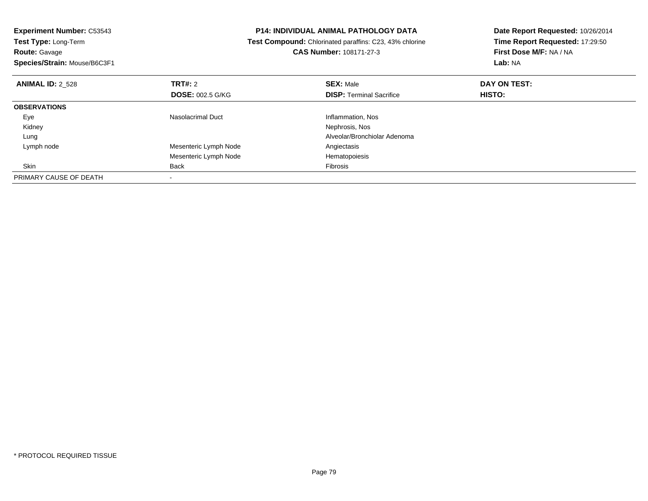| <b>Experiment Number: C53543</b> |                         | <b>P14: INDIVIDUAL ANIMAL PATHOLOGY DATA</b>            | Date Report Requested: 10/26/2014 |  |
|----------------------------------|-------------------------|---------------------------------------------------------|-----------------------------------|--|
| Test Type: Long-Term             |                         | Test Compound: Chlorinated paraffins: C23, 43% chlorine | Time Report Requested: 17:29:50   |  |
| <b>Route: Gavage</b>             |                         | <b>CAS Number: 108171-27-3</b>                          | First Dose M/F: NA / NA           |  |
| Species/Strain: Mouse/B6C3F1     |                         |                                                         | Lab: NA                           |  |
| <b>ANIMAL ID: 2 528</b>          | <b>TRT#: 2</b>          | <b>SEX: Male</b>                                        | DAY ON TEST:                      |  |
|                                  | <b>DOSE: 002.5 G/KG</b> | <b>DISP:</b> Terminal Sacrifice                         | <b>HISTO:</b>                     |  |
| <b>OBSERVATIONS</b>              |                         |                                                         |                                   |  |
| Eye                              | Nasolacrimal Duct       | Inflammation, Nos                                       |                                   |  |
| Kidney                           |                         | Nephrosis, Nos                                          |                                   |  |
| Lung                             |                         | Alveolar/Bronchiolar Adenoma                            |                                   |  |
| Lymph node                       | Mesenteric Lymph Node   | Angiectasis                                             |                                   |  |
|                                  | Mesenteric Lymph Node   | Hematopoiesis                                           |                                   |  |
| <b>Skin</b>                      | Back                    | Fibrosis                                                |                                   |  |
| PRIMARY CAUSE OF DEATH           |                         |                                                         |                                   |  |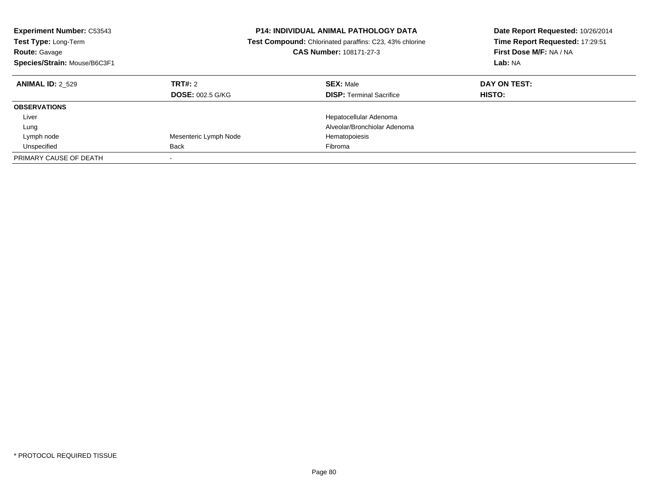| <b>Experiment Number: C53543</b><br><b>Test Type: Long-Term</b><br><b>Route: Gavage</b><br>Species/Strain: Mouse/B6C3F1 |                                    | <b>P14: INDIVIDUAL ANIMAL PATHOLOGY DATA</b><br><b>Test Compound:</b> Chlorinated paraffins: C23, 43% chlorine<br>CAS Number: 108171-27-3 | Date Report Requested: 10/26/2014<br>Time Report Requested: 17:29:51<br>First Dose M/F: NA / NA<br>Lab: NA |
|-------------------------------------------------------------------------------------------------------------------------|------------------------------------|-------------------------------------------------------------------------------------------------------------------------------------------|------------------------------------------------------------------------------------------------------------|
| <b>ANIMAL ID: 2 529</b>                                                                                                 | TRT#: 2<br><b>DOSE: 002.5 G/KG</b> | <b>SEX: Male</b><br><b>DISP: Terminal Sacrifice</b>                                                                                       | DAY ON TEST:<br><b>HISTO:</b>                                                                              |
| <b>OBSERVATIONS</b>                                                                                                     |                                    |                                                                                                                                           |                                                                                                            |
| Liver                                                                                                                   |                                    | Hepatocellular Adenoma                                                                                                                    |                                                                                                            |
| Lung                                                                                                                    |                                    | Alveolar/Bronchiolar Adenoma                                                                                                              |                                                                                                            |
| Lymph node                                                                                                              | Mesenteric Lymph Node              | Hematopoiesis                                                                                                                             |                                                                                                            |
| Unspecified                                                                                                             | <b>Back</b>                        | Fibroma                                                                                                                                   |                                                                                                            |
| PRIMARY CAUSE OF DEATH                                                                                                  | $\overline{\phantom{a}}$           |                                                                                                                                           |                                                                                                            |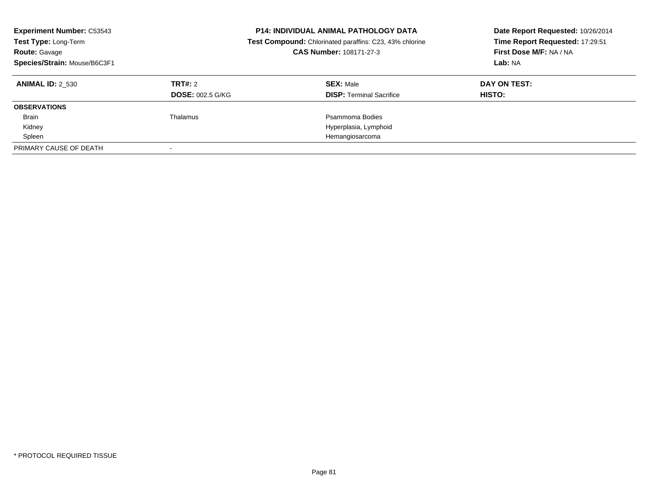| <b>Experiment Number: C53543</b><br>Test Type: Long-Term<br><b>Route: Gavage</b><br>Species/Strain: Mouse/B6C3F1 |                         | <b>P14: INDIVIDUAL ANIMAL PATHOLOGY DATA</b><br>Date Report Requested: 10/26/2014<br>Time Report Requested: 17:29:51<br>Test Compound: Chlorinated paraffins: C23, 43% chlorine<br>CAS Number: 108171-27-3<br>First Dose M/F: NA / NA<br>Lab: NA |              |
|------------------------------------------------------------------------------------------------------------------|-------------------------|--------------------------------------------------------------------------------------------------------------------------------------------------------------------------------------------------------------------------------------------------|--------------|
| <b>ANIMAL ID: 2 530</b>                                                                                          | TRT#: 2                 | <b>SEX: Male</b>                                                                                                                                                                                                                                 | DAY ON TEST: |
|                                                                                                                  | <b>DOSE: 002.5 G/KG</b> | <b>DISP:</b> Terminal Sacrifice                                                                                                                                                                                                                  | HISTO:       |
| <b>OBSERVATIONS</b>                                                                                              |                         |                                                                                                                                                                                                                                                  |              |
| <b>Brain</b>                                                                                                     | Thalamus                | Psammoma Bodies                                                                                                                                                                                                                                  |              |
| Kidney                                                                                                           |                         | Hyperplasia, Lymphoid                                                                                                                                                                                                                            |              |
| Spleen                                                                                                           |                         | Hemangiosarcoma                                                                                                                                                                                                                                  |              |
| PRIMARY CAUSE OF DEATH                                                                                           |                         |                                                                                                                                                                                                                                                  |              |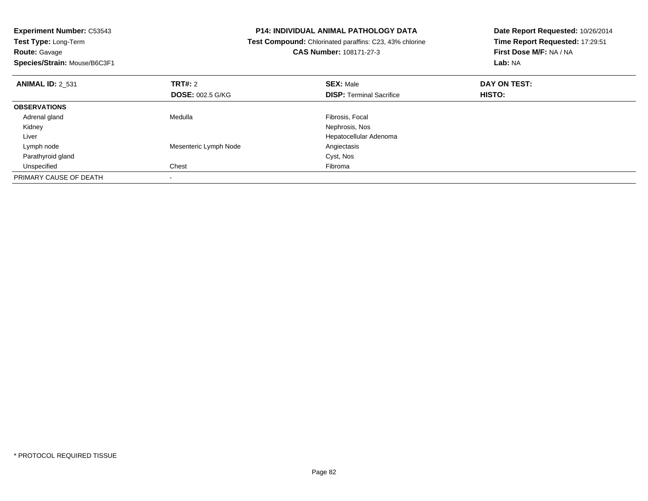| <b>Experiment Number: C53543</b> | <b>P14: INDIVIDUAL ANIMAL PATHOLOGY DATA</b> |                                                                | Date Report Requested: 10/26/2014 |
|----------------------------------|----------------------------------------------|----------------------------------------------------------------|-----------------------------------|
| Test Type: Long-Term             |                                              | <b>Test Compound:</b> Chlorinated paraffins: C23, 43% chlorine | Time Report Requested: 17:29:51   |
| <b>Route: Gavage</b>             |                                              | CAS Number: 108171-27-3                                        | First Dose M/F: NA / NA           |
| Species/Strain: Mouse/B6C3F1     |                                              |                                                                | Lab: NA                           |
| <b>ANIMAL ID: 2 531</b>          | TRT#: 2                                      | <b>SEX: Male</b>                                               | DAY ON TEST:                      |
|                                  | <b>DOSE: 002.5 G/KG</b>                      | <b>DISP: Terminal Sacrifice</b>                                | HISTO:                            |
| <b>OBSERVATIONS</b>              |                                              |                                                                |                                   |
| Adrenal gland                    | Medulla                                      | Fibrosis, Focal                                                |                                   |
| Kidney                           |                                              | Nephrosis, Nos                                                 |                                   |
| Liver                            |                                              | Hepatocellular Adenoma                                         |                                   |
| Lymph node                       | Mesenteric Lymph Node                        | Angiectasis                                                    |                                   |
| Parathyroid gland                |                                              | Cyst, Nos                                                      |                                   |
| Unspecified                      | Chest                                        | Fibroma                                                        |                                   |
| PRIMARY CAUSE OF DEATH           | $\overline{\phantom{a}}$                     |                                                                |                                   |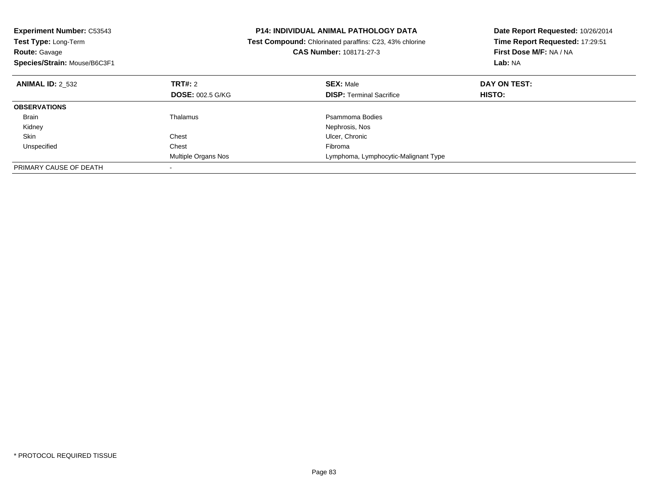| <b>Experiment Number: C53543</b> |                         | <b>P14: INDIVIDUAL ANIMAL PATHOLOGY DATA</b>            | Date Report Requested: 10/26/2014 |  |
|----------------------------------|-------------------------|---------------------------------------------------------|-----------------------------------|--|
| Test Type: Long-Term             |                         | Test Compound: Chlorinated paraffins: C23, 43% chlorine | Time Report Requested: 17:29:51   |  |
| <b>Route: Gavage</b>             |                         | CAS Number: 108171-27-3                                 | First Dose M/F: NA / NA           |  |
| Species/Strain: Mouse/B6C3F1     |                         |                                                         | Lab: NA                           |  |
| <b>ANIMAL ID: 2 532</b>          | TRT#: 2                 | <b>SEX: Male</b>                                        | DAY ON TEST:                      |  |
|                                  | <b>DOSE: 002.5 G/KG</b> | <b>DISP: Terminal Sacrifice</b>                         | HISTO:                            |  |
| <b>OBSERVATIONS</b>              |                         |                                                         |                                   |  |
| <b>Brain</b>                     | Thalamus                | Psammoma Bodies                                         |                                   |  |
| Kidney                           |                         | Nephrosis, Nos                                          |                                   |  |
| Skin                             | Chest                   | Ulcer, Chronic                                          |                                   |  |
| Unspecified                      | Chest                   | Fibroma                                                 |                                   |  |
|                                  | Multiple Organs Nos     | Lymphoma, Lymphocytic-Malignant Type                    |                                   |  |
| PRIMARY CAUSE OF DEATH           |                         |                                                         |                                   |  |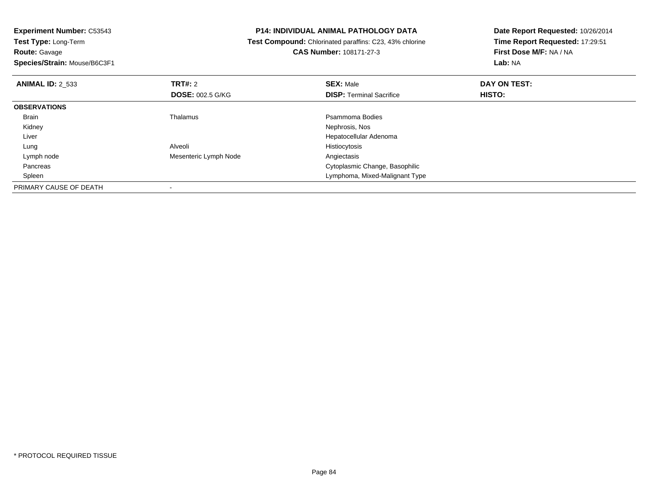**Route:** Gavage

**Species/Strain:** Mouse/B6C3F1

### **P14: INDIVIDUAL ANIMAL PATHOLOGY DATA**

 **Test Compound:** Chlorinated paraffins: C23, 43% chlorine**CAS Number:** 108171-27-3

| <b>ANIMAL ID: 2 533</b> | <b>TRT#: 2</b><br><b>DOSE: 002.5 G/KG</b> | <b>SEX: Male</b><br><b>DISP: Terminal Sacrifice</b> | DAY ON TEST:<br>HISTO: |  |
|-------------------------|-------------------------------------------|-----------------------------------------------------|------------------------|--|
| <b>OBSERVATIONS</b>     |                                           |                                                     |                        |  |
| <b>Brain</b>            | Thalamus                                  | Psammoma Bodies                                     |                        |  |
| Kidney                  |                                           | Nephrosis, Nos                                      |                        |  |
| Liver                   |                                           | Hepatocellular Adenoma                              |                        |  |
| Lung                    | Alveoli                                   | Histiocytosis                                       |                        |  |
| Lymph node              | Mesenteric Lymph Node                     | Angiectasis                                         |                        |  |
| Pancreas                |                                           | Cytoplasmic Change, Basophilic                      |                        |  |
| Spleen                  |                                           | Lymphoma, Mixed-Malignant Type                      |                        |  |
| PRIMARY CAUSE OF DEATH  |                                           |                                                     |                        |  |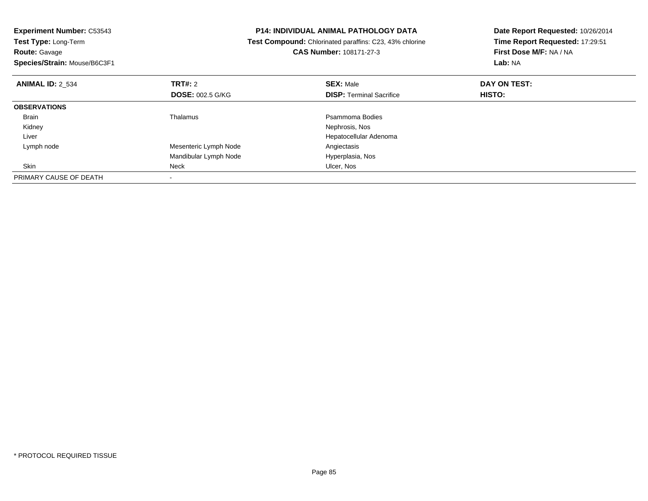| <b>Experiment Number: C53543</b> | <b>P14: INDIVIDUAL ANIMAL PATHOLOGY DATA</b><br>Test Compound: Chlorinated paraffins: C23, 43% chlorine |                                 | Date Report Requested: 10/26/2014 |
|----------------------------------|---------------------------------------------------------------------------------------------------------|---------------------------------|-----------------------------------|
| Test Type: Long-Term             |                                                                                                         |                                 | Time Report Requested: 17:29:51   |
| <b>Route: Gavage</b>             |                                                                                                         | <b>CAS Number: 108171-27-3</b>  | First Dose M/F: NA / NA           |
| Species/Strain: Mouse/B6C3F1     |                                                                                                         |                                 | Lab: NA                           |
| <b>ANIMAL ID: 2 534</b>          | <b>TRT#: 2</b>                                                                                          | <b>SEX: Male</b>                | DAY ON TEST:                      |
|                                  | <b>DOSE: 002.5 G/KG</b>                                                                                 | <b>DISP: Terminal Sacrifice</b> | HISTO:                            |
| <b>OBSERVATIONS</b>              |                                                                                                         |                                 |                                   |
| Brain                            | <b>Thalamus</b>                                                                                         | Psammoma Bodies                 |                                   |
| Kidney                           |                                                                                                         | Nephrosis, Nos                  |                                   |
| Liver                            |                                                                                                         | Hepatocellular Adenoma          |                                   |
| Lymph node                       | Mesenteric Lymph Node                                                                                   | Angiectasis                     |                                   |
|                                  | Mandibular Lymph Node                                                                                   | Hyperplasia, Nos                |                                   |
| Skin                             | Neck                                                                                                    | Ulcer, Nos                      |                                   |
| PRIMARY CAUSE OF DEATH           |                                                                                                         |                                 |                                   |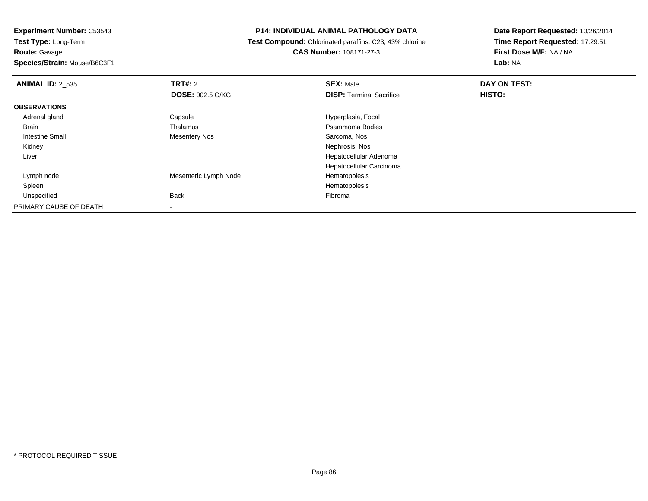**Experiment Number:** C53543**Test Type:** Long-Term**Route:** Gavage

**Species/Strain:** Mouse/B6C3F1

### **P14: INDIVIDUAL ANIMAL PATHOLOGY DATA**

 **Test Compound:** Chlorinated paraffins: C23, 43% chlorine**CAS Number:** 108171-27-3

| <b>ANIMAL ID: 2_535</b> | TRT#: 2                 | <b>SEX: Male</b>                | DAY ON TEST:  |  |
|-------------------------|-------------------------|---------------------------------|---------------|--|
|                         | <b>DOSE: 002.5 G/KG</b> | <b>DISP: Terminal Sacrifice</b> | <b>HISTO:</b> |  |
| <b>OBSERVATIONS</b>     |                         |                                 |               |  |
| Adrenal gland           | Capsule                 | Hyperplasia, Focal              |               |  |
| <b>Brain</b>            | Thalamus                | Psammoma Bodies                 |               |  |
| <b>Intestine Small</b>  | Mesentery Nos           | Sarcoma, Nos                    |               |  |
| Kidney                  |                         | Nephrosis, Nos                  |               |  |
| Liver                   |                         | Hepatocellular Adenoma          |               |  |
|                         |                         | Hepatocellular Carcinoma        |               |  |
| Lymph node              | Mesenteric Lymph Node   | Hematopoiesis                   |               |  |
| Spleen                  |                         | Hematopoiesis                   |               |  |
| Unspecified             | Back                    | Fibroma                         |               |  |
| PRIMARY CAUSE OF DEATH  |                         |                                 |               |  |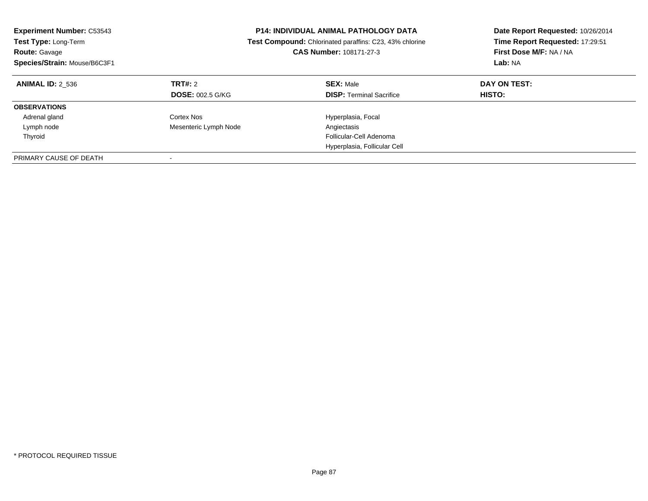| <b>Experiment Number: C53543</b><br>Test Type: Long-Term<br><b>Route: Gavage</b><br>Species/Strain: Mouse/B6C3F1 |                         | <b>P14: INDIVIDUAL ANIMAL PATHOLOGY DATA</b><br>Date Report Requested: 10/26/2014<br>Time Report Requested: 17:29:51<br>Test Compound: Chlorinated paraffins: C23, 43% chlorine<br>First Dose M/F: NA / NA<br><b>CAS Number: 108171-27-3</b><br>Lab: NA |               |
|------------------------------------------------------------------------------------------------------------------|-------------------------|---------------------------------------------------------------------------------------------------------------------------------------------------------------------------------------------------------------------------------------------------------|---------------|
| <b>ANIMAL ID: 2 536</b>                                                                                          | <b>TRT#: 2</b>          | <b>SEX: Male</b>                                                                                                                                                                                                                                        | DAY ON TEST:  |
|                                                                                                                  | <b>DOSE: 002.5 G/KG</b> | <b>DISP:</b> Terminal Sacrifice                                                                                                                                                                                                                         | <b>HISTO:</b> |
| <b>OBSERVATIONS</b>                                                                                              |                         |                                                                                                                                                                                                                                                         |               |
| Adrenal gland                                                                                                    | Cortex Nos              | Hyperplasia, Focal                                                                                                                                                                                                                                      |               |
| Lymph node                                                                                                       | Mesenteric Lymph Node   | Angiectasis                                                                                                                                                                                                                                             |               |
| Thyroid                                                                                                          |                         | Follicular-Cell Adenoma                                                                                                                                                                                                                                 |               |
|                                                                                                                  |                         | Hyperplasia, Follicular Cell                                                                                                                                                                                                                            |               |
| PRIMARY CAUSE OF DEATH                                                                                           |                         |                                                                                                                                                                                                                                                         |               |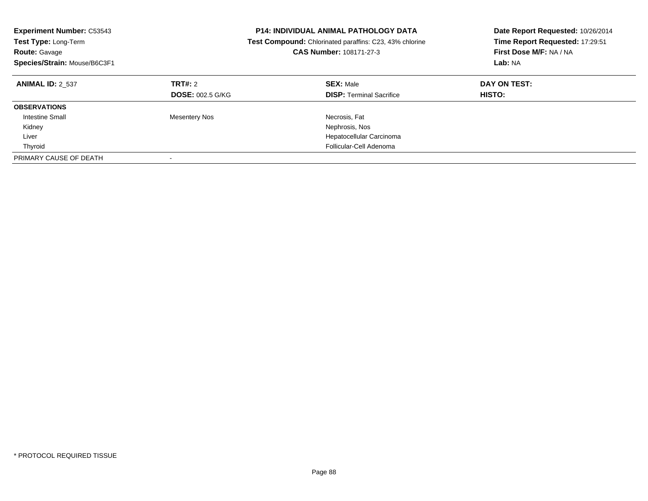| <b>Experiment Number: C53543</b><br>Test Type: Long-Term<br><b>Route: Gavage</b><br>Species/Strain: Mouse/B6C3F1 |                                           | <b>P14: INDIVIDUAL ANIMAL PATHOLOGY DATA</b><br>Date Report Requested: 10/26/2014<br>Time Report Requested: 17:29:51<br><b>Test Compound:</b> Chlorinated paraffins: C23, 43% chlorine<br>First Dose M/F: NA / NA<br>CAS Number: 108171-27-3<br>Lab: NA |                               |
|------------------------------------------------------------------------------------------------------------------|-------------------------------------------|---------------------------------------------------------------------------------------------------------------------------------------------------------------------------------------------------------------------------------------------------------|-------------------------------|
| <b>ANIMAL ID: 2 537</b>                                                                                          | <b>TRT#: 2</b><br><b>DOSE: 002.5 G/KG</b> | <b>SEX: Male</b><br><b>DISP:</b> Terminal Sacrifice                                                                                                                                                                                                     | DAY ON TEST:<br><b>HISTO:</b> |
| <b>OBSERVATIONS</b>                                                                                              |                                           |                                                                                                                                                                                                                                                         |                               |
| <b>Intestine Small</b><br>Kidney                                                                                 | <b>Mesentery Nos</b>                      | Necrosis, Fat<br>Nephrosis, Nos                                                                                                                                                                                                                         |                               |
| Liver                                                                                                            |                                           | Hepatocellular Carcinoma                                                                                                                                                                                                                                |                               |
| Thyroid                                                                                                          |                                           | Follicular-Cell Adenoma                                                                                                                                                                                                                                 |                               |
| PRIMARY CAUSE OF DEATH                                                                                           |                                           |                                                                                                                                                                                                                                                         |                               |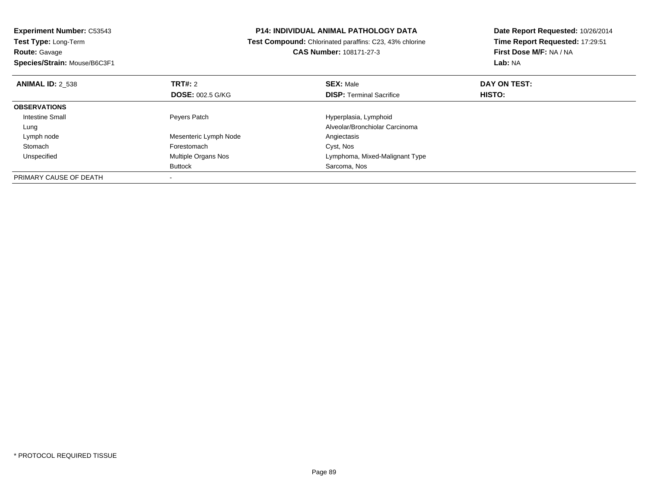| <b>Experiment Number: C53543</b> |                                                         | <b>P14: INDIVIDUAL ANIMAL PATHOLOGY DATA</b> | Date Report Requested: 10/26/2014 |  |
|----------------------------------|---------------------------------------------------------|----------------------------------------------|-----------------------------------|--|
| Test Type: Long-Term             | Test Compound: Chlorinated paraffins: C23, 43% chlorine |                                              | Time Report Requested: 17:29:51   |  |
| <b>Route: Gavage</b>             |                                                         | <b>CAS Number: 108171-27-3</b>               | First Dose M/F: NA / NA           |  |
| Species/Strain: Mouse/B6C3F1     |                                                         |                                              | Lab: NA                           |  |
| <b>ANIMAL ID: 2 538</b>          | TRT#: 2                                                 | <b>SEX: Male</b>                             | DAY ON TEST:                      |  |
|                                  | <b>DOSE: 002.5 G/KG</b>                                 | <b>DISP:</b> Terminal Sacrifice              | HISTO:                            |  |
| <b>OBSERVATIONS</b>              |                                                         |                                              |                                   |  |
| Intestine Small                  | Peyers Patch                                            | Hyperplasia, Lymphoid                        |                                   |  |
| Lung                             |                                                         | Alveolar/Bronchiolar Carcinoma               |                                   |  |
| Lymph node                       | Mesenteric Lymph Node                                   | Angiectasis                                  |                                   |  |
| Stomach                          | Forestomach                                             | Cyst, Nos                                    |                                   |  |
| Unspecified                      | Multiple Organs Nos                                     | Lymphoma, Mixed-Malignant Type               |                                   |  |
|                                  | Buttock                                                 | Sarcoma, Nos                                 |                                   |  |
| PRIMARY CAUSE OF DEATH           |                                                         |                                              |                                   |  |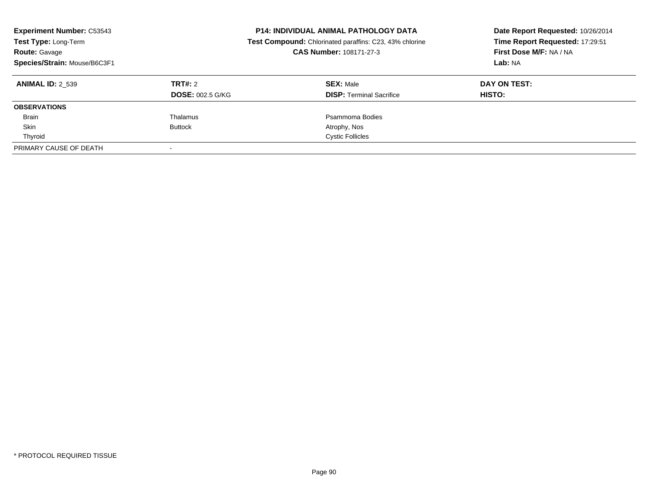| <b>Experiment Number: C53543</b><br>Test Type: Long-Term<br><b>Route: Gavage</b><br>Species/Strain: Mouse/B6C3F1 |                                           | <b>P14: INDIVIDUAL ANIMAL PATHOLOGY DATA</b><br>Date Report Requested: 10/26/2014<br>Time Report Requested: 17:29:51<br>Test Compound: Chlorinated paraffins: C23, 43% chlorine<br>First Dose M/F: NA / NA<br>CAS Number: 108171-27-3<br>Lab: NA |                        |
|------------------------------------------------------------------------------------------------------------------|-------------------------------------------|--------------------------------------------------------------------------------------------------------------------------------------------------------------------------------------------------------------------------------------------------|------------------------|
| <b>ANIMAL ID: 2 539</b>                                                                                          | <b>TRT#: 2</b><br><b>DOSE: 002.5 G/KG</b> | <b>SEX: Male</b><br><b>DISP:</b> Terminal Sacrifice                                                                                                                                                                                              | DAY ON TEST:<br>HISTO: |
|                                                                                                                  |                                           |                                                                                                                                                                                                                                                  |                        |
| <b>OBSERVATIONS</b>                                                                                              |                                           |                                                                                                                                                                                                                                                  |                        |
| <b>Brain</b>                                                                                                     | Thalamus                                  | Psammoma Bodies                                                                                                                                                                                                                                  |                        |
| Skin                                                                                                             | <b>Buttock</b>                            | Atrophy, Nos                                                                                                                                                                                                                                     |                        |
| Thyroid                                                                                                          |                                           | <b>Cystic Follicles</b>                                                                                                                                                                                                                          |                        |
| PRIMARY CAUSE OF DEATH                                                                                           |                                           |                                                                                                                                                                                                                                                  |                        |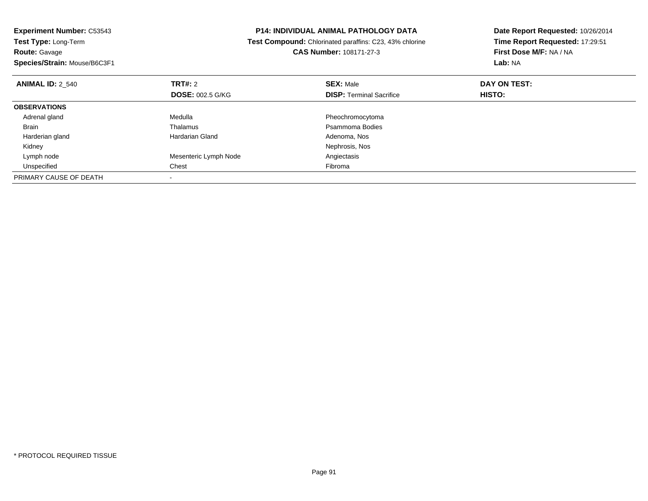| <b>Experiment Number: C53543</b><br><b>Test Type: Long-Term</b> | P14: INDIVIDUAL ANIMAL PATHOLOGY DATA<br>Test Compound: Chlorinated paraffins: C23, 43% chlorine |                                 | Date Report Requested: 10/26/2014<br>Time Report Requested: 17:29:51<br>First Dose M/F: NA / NA |  |
|-----------------------------------------------------------------|--------------------------------------------------------------------------------------------------|---------------------------------|-------------------------------------------------------------------------------------------------|--|
| <b>Route: Gavage</b><br>Species/Strain: Mouse/B6C3F1            |                                                                                                  | <b>CAS Number: 108171-27-3</b>  | Lab: NA                                                                                         |  |
|                                                                 |                                                                                                  |                                 |                                                                                                 |  |
| <b>ANIMAL ID: 2 540</b>                                         | <b>TRT#: 2</b>                                                                                   | <b>SEX: Male</b>                | DAY ON TEST:                                                                                    |  |
|                                                                 | <b>DOSE: 002.5 G/KG</b>                                                                          | <b>DISP: Terminal Sacrifice</b> | <b>HISTO:</b>                                                                                   |  |
| <b>OBSERVATIONS</b>                                             |                                                                                                  |                                 |                                                                                                 |  |
| Adrenal gland                                                   | Medulla                                                                                          | Pheochromocytoma                |                                                                                                 |  |
| Brain                                                           | Thalamus                                                                                         | Psammoma Bodies                 |                                                                                                 |  |
| Harderian gland                                                 | Hardarian Gland                                                                                  | Adenoma, Nos                    |                                                                                                 |  |
| Kidney                                                          |                                                                                                  | Nephrosis, Nos                  |                                                                                                 |  |
| Lymph node                                                      | Mesenteric Lymph Node                                                                            | Angiectasis                     |                                                                                                 |  |
| Unspecified                                                     | Chest                                                                                            | Fibroma                         |                                                                                                 |  |
| PRIMARY CAUSE OF DEATH                                          |                                                                                                  |                                 |                                                                                                 |  |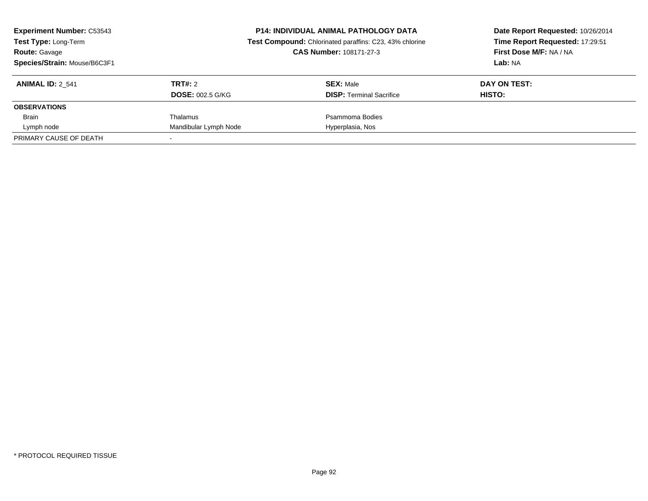| <b>Experiment Number: C53543</b><br>Test Type: Long-Term<br><b>Route: Gavage</b><br>Species/Strain: Mouse/B6C3F1 |                                           | <b>P14: INDIVIDUAL ANIMAL PATHOLOGY DATA</b><br>Test Compound: Chlorinated paraffins: C23, 43% chlorine<br>CAS Number: 108171-27-3 | Date Report Requested: 10/26/2014<br>Time Report Requested: 17:29:51<br>First Dose M/F: NA / NA<br>Lab: NA |
|------------------------------------------------------------------------------------------------------------------|-------------------------------------------|------------------------------------------------------------------------------------------------------------------------------------|------------------------------------------------------------------------------------------------------------|
| <b>ANIMAL ID: 2 541</b>                                                                                          | <b>TRT#: 2</b><br><b>DOSE: 002.5 G/KG</b> | <b>SEX: Male</b><br><b>DISP:</b> Terminal Sacrifice                                                                                | DAY ON TEST:<br>HISTO:                                                                                     |
| <b>OBSERVATIONS</b>                                                                                              |                                           |                                                                                                                                    |                                                                                                            |
| <b>Brain</b>                                                                                                     | Thalamus                                  | Psammoma Bodies                                                                                                                    |                                                                                                            |
| Lymph node                                                                                                       | Mandibular Lymph Node                     | Hyperplasia, Nos                                                                                                                   |                                                                                                            |
| PRIMARY CAUSE OF DEATH                                                                                           |                                           |                                                                                                                                    |                                                                                                            |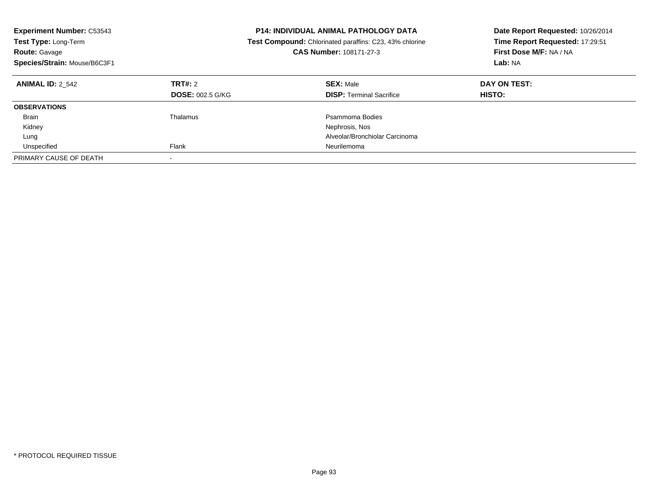| <b>Experiment Number: C53543</b><br>Test Type: Long-Term<br><b>Route: Gavage</b><br>Species/Strain: Mouse/B6C3F1 |                                    | <b>P14: INDIVIDUAL ANIMAL PATHOLOGY DATA</b><br>Date Report Requested: 10/26/2014<br>Time Report Requested: 17:29:51<br><b>Test Compound:</b> Chlorinated paraffins: C23, 43% chlorine<br>First Dose M/F: NA / NA<br>CAS Number: 108171-27-3<br>Lab: NA |                        |
|------------------------------------------------------------------------------------------------------------------|------------------------------------|---------------------------------------------------------------------------------------------------------------------------------------------------------------------------------------------------------------------------------------------------------|------------------------|
| <b>ANIMAL ID: 2 542</b>                                                                                          | TRT#: 2<br><b>DOSE: 002.5 G/KG</b> | <b>SEX: Male</b><br><b>DISP:</b> Terminal Sacrifice                                                                                                                                                                                                     | DAY ON TEST:<br>HISTO: |
| <b>OBSERVATIONS</b>                                                                                              |                                    |                                                                                                                                                                                                                                                         |                        |
| <b>Brain</b>                                                                                                     | Thalamus                           | Psammoma Bodies                                                                                                                                                                                                                                         |                        |
| Kidney                                                                                                           |                                    | Nephrosis, Nos                                                                                                                                                                                                                                          |                        |
| Lung                                                                                                             |                                    | Alveolar/Bronchiolar Carcinoma                                                                                                                                                                                                                          |                        |
| Unspecified                                                                                                      | Flank                              | Neurilemoma                                                                                                                                                                                                                                             |                        |
| PRIMARY CAUSE OF DEATH                                                                                           |                                    |                                                                                                                                                                                                                                                         |                        |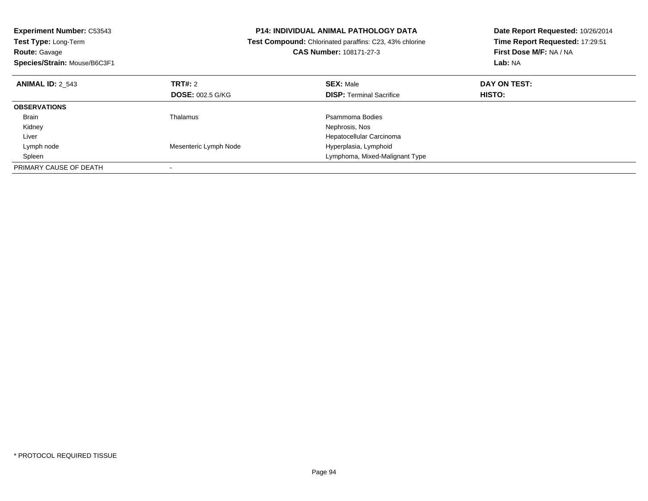| <b>Experiment Number: C53543</b> | <b>P14: INDIVIDUAL ANIMAL PATHOLOGY DATA</b><br>Test Compound: Chlorinated paraffins: C23, 43% chlorine |                                 | Date Report Requested: 10/26/2014 |
|----------------------------------|---------------------------------------------------------------------------------------------------------|---------------------------------|-----------------------------------|
| Test Type: Long-Term             |                                                                                                         |                                 | Time Report Requested: 17:29:51   |
| <b>Route: Gavage</b>             |                                                                                                         | <b>CAS Number: 108171-27-3</b>  | First Dose M/F: NA / NA           |
| Species/Strain: Mouse/B6C3F1     |                                                                                                         |                                 | Lab: NA                           |
| <b>ANIMAL ID: 2 543</b>          | TRT#: 2                                                                                                 | <b>SEX: Male</b>                | DAY ON TEST:                      |
|                                  | <b>DOSE: 002.5 G/KG</b>                                                                                 | <b>DISP:</b> Terminal Sacrifice | <b>HISTO:</b>                     |
| <b>OBSERVATIONS</b>              |                                                                                                         |                                 |                                   |
| Brain                            | Thalamus                                                                                                | Psammoma Bodies                 |                                   |
| Kidney                           |                                                                                                         | Nephrosis, Nos                  |                                   |
| Liver                            |                                                                                                         | Hepatocellular Carcinoma        |                                   |
| Lymph node                       | Mesenteric Lymph Node                                                                                   | Hyperplasia, Lymphoid           |                                   |
| Spleen                           |                                                                                                         | Lymphoma, Mixed-Malignant Type  |                                   |
| PRIMARY CAUSE OF DEATH           |                                                                                                         |                                 |                                   |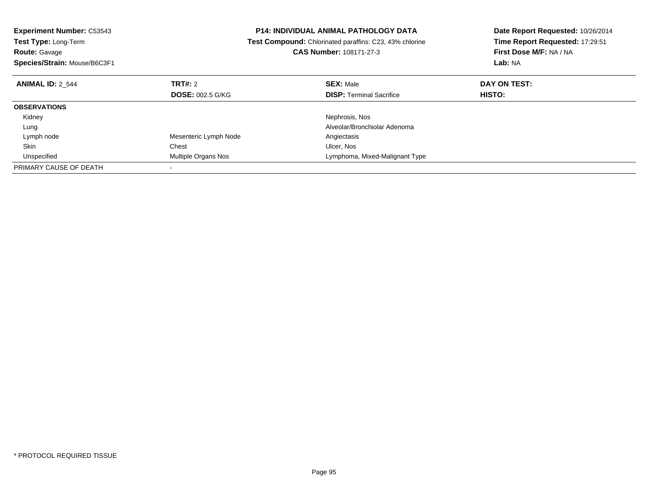| <b>Experiment Number: C53543</b> | <b>P14: INDIVIDUAL ANIMAL PATHOLOGY DATA</b><br>Test Compound: Chlorinated paraffins: C23, 43% chlorine |                                 | Date Report Requested: 10/26/2014 |
|----------------------------------|---------------------------------------------------------------------------------------------------------|---------------------------------|-----------------------------------|
| Test Type: Long-Term             |                                                                                                         |                                 | Time Report Requested: 17:29:51   |
| <b>Route: Gavage</b>             |                                                                                                         | <b>CAS Number: 108171-27-3</b>  | First Dose M/F: NA / NA           |
| Species/Strain: Mouse/B6C3F1     |                                                                                                         |                                 | Lab: NA                           |
| <b>ANIMAL ID: 2 544</b>          | <b>TRT#: 2</b>                                                                                          | <b>SEX: Male</b>                | DAY ON TEST:                      |
|                                  | <b>DOSE: 002.5 G/KG</b>                                                                                 | <b>DISP:</b> Terminal Sacrifice | <b>HISTO:</b>                     |
| <b>OBSERVATIONS</b>              |                                                                                                         |                                 |                                   |
| Kidney                           |                                                                                                         | Nephrosis, Nos                  |                                   |
| Lung                             |                                                                                                         | Alveolar/Bronchiolar Adenoma    |                                   |
| Lymph node                       | Mesenteric Lymph Node                                                                                   | Angiectasis                     |                                   |
| Skin                             | Chest                                                                                                   | Ulcer, Nos                      |                                   |
| Unspecified                      | Multiple Organs Nos                                                                                     | Lymphoma, Mixed-Malignant Type  |                                   |
| PRIMARY CAUSE OF DEATH           |                                                                                                         |                                 |                                   |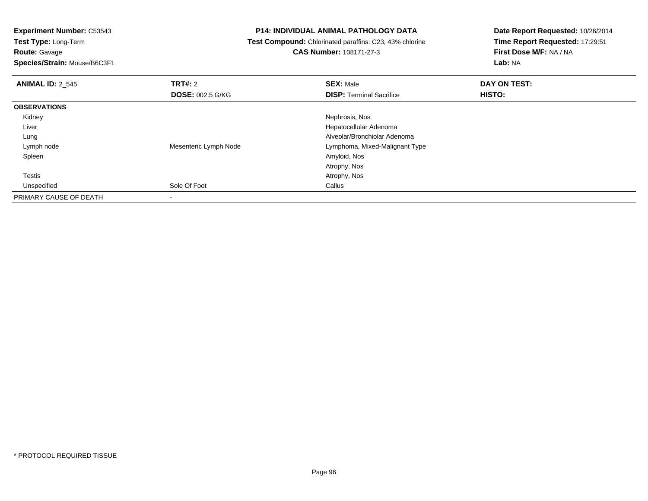**Route:** Gavage

**Species/Strain:** Mouse/B6C3F1

### **P14: INDIVIDUAL ANIMAL PATHOLOGY DATA**

 **Test Compound:** Chlorinated paraffins: C23, 43% chlorine**CAS Number:** 108171-27-3

| <b>ANIMAL ID: 2_545</b> | TRT#: 2                 | <b>SEX: Male</b>                | DAY ON TEST: |  |
|-------------------------|-------------------------|---------------------------------|--------------|--|
|                         | <b>DOSE: 002.5 G/KG</b> | <b>DISP: Terminal Sacrifice</b> | HISTO:       |  |
| <b>OBSERVATIONS</b>     |                         |                                 |              |  |
| Kidney                  |                         | Nephrosis, Nos                  |              |  |
| Liver                   |                         | Hepatocellular Adenoma          |              |  |
| Lung                    |                         | Alveolar/Bronchiolar Adenoma    |              |  |
| Lymph node              | Mesenteric Lymph Node   | Lymphoma, Mixed-Malignant Type  |              |  |
| Spleen                  |                         | Amyloid, Nos                    |              |  |
|                         |                         | Atrophy, Nos                    |              |  |
| Testis                  |                         | Atrophy, Nos                    |              |  |
| Unspecified             | Sole Of Foot            | Callus                          |              |  |
| PRIMARY CAUSE OF DEATH  |                         |                                 |              |  |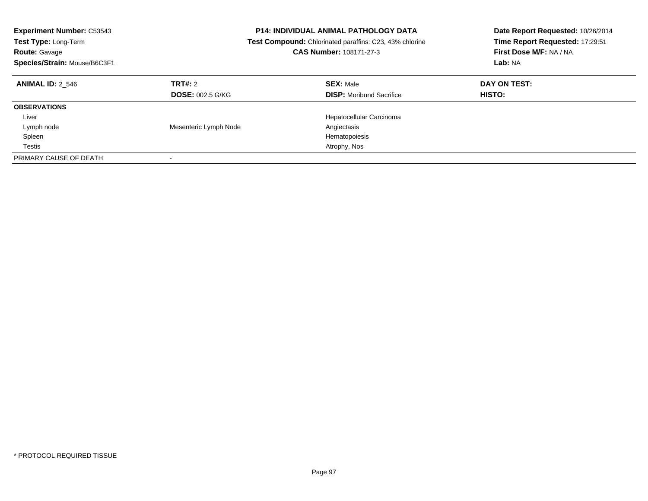| <b>Experiment Number: C53543</b><br><b>Test Type: Long-Term</b><br><b>Route: Gavage</b><br>Species/Strain: Mouse/B6C3F1 | <b>P14: INDIVIDUAL ANIMAL PATHOLOGY DATA</b><br><b>Test Compound:</b> Chlorinated paraffins: C23, 43% chlorine<br>CAS Number: 108171-27-3 |                                                     | Date Report Requested: 10/26/2014<br>Time Report Requested: 17:29:51<br>First Dose M/F: NA / NA<br>Lab: NA |
|-------------------------------------------------------------------------------------------------------------------------|-------------------------------------------------------------------------------------------------------------------------------------------|-----------------------------------------------------|------------------------------------------------------------------------------------------------------------|
| <b>ANIMAL ID: 2 546</b>                                                                                                 | TRT#: 2<br><b>DOSE: 002.5 G/KG</b>                                                                                                        | <b>SEX: Male</b><br><b>DISP:</b> Moribund Sacrifice | DAY ON TEST:<br><b>HISTO:</b>                                                                              |
| <b>OBSERVATIONS</b>                                                                                                     |                                                                                                                                           |                                                     |                                                                                                            |
| Liver                                                                                                                   |                                                                                                                                           | Hepatocellular Carcinoma                            |                                                                                                            |
| Lymph node                                                                                                              | Mesenteric Lymph Node                                                                                                                     | Angiectasis                                         |                                                                                                            |
| Spleen                                                                                                                  |                                                                                                                                           | Hematopoiesis                                       |                                                                                                            |
| Testis                                                                                                                  |                                                                                                                                           | Atrophy, Nos                                        |                                                                                                            |
| PRIMARY CAUSE OF DEATH                                                                                                  |                                                                                                                                           |                                                     |                                                                                                            |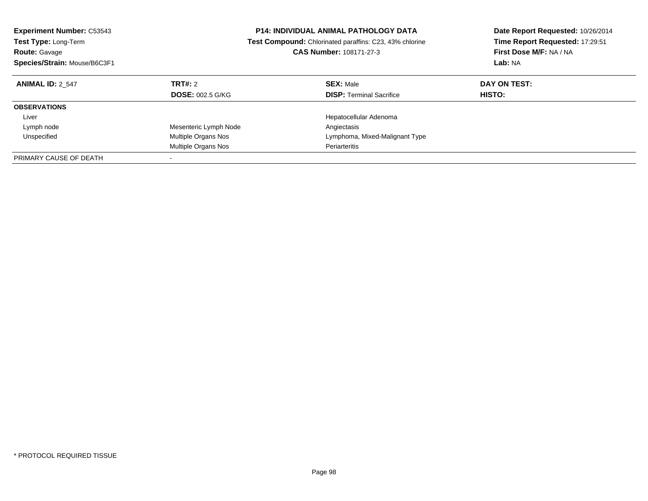| <b>Experiment Number: C53543</b><br>Test Type: Long-Term<br><b>Route: Gavage</b> | <b>P14: INDIVIDUAL ANIMAL PATHOLOGY DATA</b><br>Test Compound: Chlorinated paraffins: C23, 43% chlorine<br><b>CAS Number: 108171-27-3</b> |                                 | Date Report Requested: 10/26/2014<br>Time Report Requested: 17:29:51<br>First Dose M/F: NA / NA<br>Lab: NA |  |
|----------------------------------------------------------------------------------|-------------------------------------------------------------------------------------------------------------------------------------------|---------------------------------|------------------------------------------------------------------------------------------------------------|--|
| Species/Strain: Mouse/B6C3F1                                                     |                                                                                                                                           |                                 |                                                                                                            |  |
| <b>ANIMAL ID: 2 547</b>                                                          | TRT#: 2                                                                                                                                   | <b>SEX: Male</b>                | DAY ON TEST:                                                                                               |  |
|                                                                                  | <b>DOSE: 002.5 G/KG</b>                                                                                                                   | <b>DISP:</b> Terminal Sacrifice | HISTO:                                                                                                     |  |
| <b>OBSERVATIONS</b>                                                              |                                                                                                                                           |                                 |                                                                                                            |  |
| Liver                                                                            |                                                                                                                                           | Hepatocellular Adenoma          |                                                                                                            |  |
| Lymph node                                                                       | Mesenteric Lymph Node                                                                                                                     | Angiectasis                     |                                                                                                            |  |
| Unspecified                                                                      | Multiple Organs Nos                                                                                                                       | Lymphoma, Mixed-Malignant Type  |                                                                                                            |  |
|                                                                                  | Multiple Organs Nos                                                                                                                       | Periarteritis                   |                                                                                                            |  |
| PRIMARY CAUSE OF DEATH                                                           |                                                                                                                                           |                                 |                                                                                                            |  |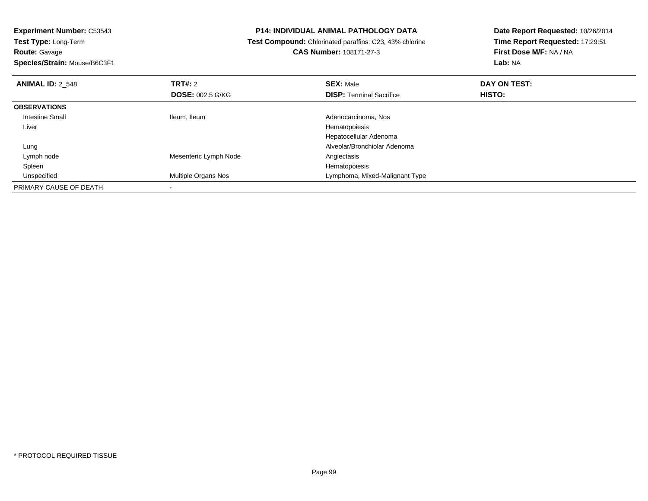**Experiment Number:** C53543**Test Type:** Long-Term**Route:** Gavage

**Species/Strain:** Mouse/B6C3F1

# **P14: INDIVIDUAL ANIMAL PATHOLOGY DATA**

 **Test Compound:** Chlorinated paraffins: C23, 43% chlorine**CAS Number:** 108171-27-3

| <b>ANIMAL ID: 2 548</b> | TRT#: 2                 | <b>SEX: Male</b>                | DAY ON TEST:  |  |
|-------------------------|-------------------------|---------------------------------|---------------|--|
|                         | <b>DOSE: 002.5 G/KG</b> | <b>DISP: Terminal Sacrifice</b> | <b>HISTO:</b> |  |
| <b>OBSERVATIONS</b>     |                         |                                 |               |  |
| <b>Intestine Small</b>  | Ileum, Ileum            | Adenocarcinoma, Nos             |               |  |
| Liver                   |                         | Hematopoiesis                   |               |  |
|                         |                         | Hepatocellular Adenoma          |               |  |
| Lung                    |                         | Alveolar/Bronchiolar Adenoma    |               |  |
| Lymph node              | Mesenteric Lymph Node   | Angiectasis                     |               |  |
| Spleen                  |                         | Hematopoiesis                   |               |  |
| Unspecified             | Multiple Organs Nos     | Lymphoma, Mixed-Malignant Type  |               |  |
| PRIMARY CAUSE OF DEATH  |                         |                                 |               |  |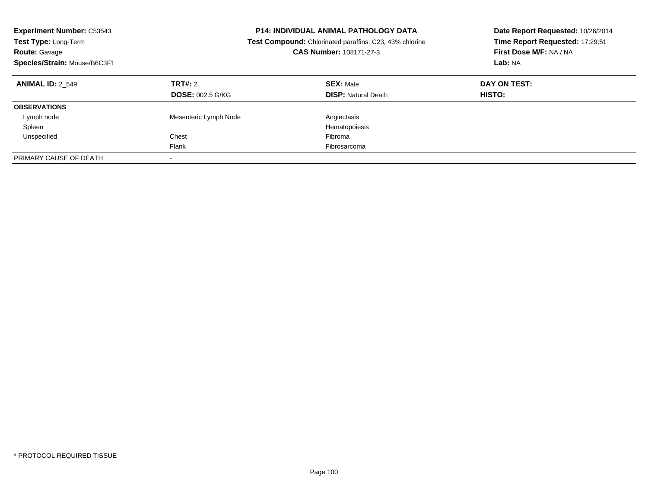| <b>Experiment Number: C53543</b><br><b>Test Type: Long-Term</b><br><b>Route: Gavage</b><br>Species/Strain: Mouse/B6C3F1 | <b>P14: INDIVIDUAL ANIMAL PATHOLOGY DATA</b><br><b>Test Compound:</b> Chlorinated paraffins: C23, 43% chlorine<br>CAS Number: 108171-27-3 |                                                | Date Report Requested: 10/26/2014<br>Time Report Requested: 17:29:51<br>First Dose M/F: NA / NA<br>Lab: NA |
|-------------------------------------------------------------------------------------------------------------------------|-------------------------------------------------------------------------------------------------------------------------------------------|------------------------------------------------|------------------------------------------------------------------------------------------------------------|
| <b>ANIMAL ID: 2 549</b>                                                                                                 | TRT#: 2<br><b>DOSE: 002.5 G/KG</b>                                                                                                        | <b>SEX: Male</b><br><b>DISP:</b> Natural Death | DAY ON TEST:<br>HISTO:                                                                                     |
| <b>OBSERVATIONS</b>                                                                                                     |                                                                                                                                           |                                                |                                                                                                            |
| Lymph node                                                                                                              | Mesenteric Lymph Node                                                                                                                     | Angiectasis                                    |                                                                                                            |
| Spleen                                                                                                                  |                                                                                                                                           | Hematopoiesis                                  |                                                                                                            |
| Unspecified                                                                                                             | Chest                                                                                                                                     | Fibroma                                        |                                                                                                            |
|                                                                                                                         | Flank                                                                                                                                     | Fibrosarcoma                                   |                                                                                                            |
| PRIMARY CAUSE OF DEATH                                                                                                  |                                                                                                                                           |                                                |                                                                                                            |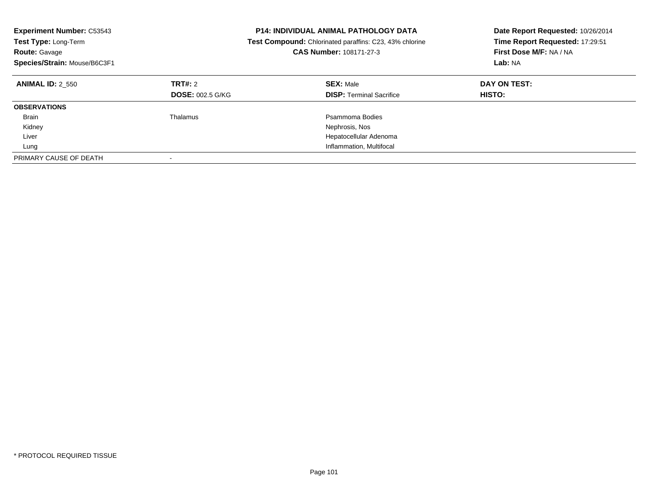| <b>Experiment Number: C53543</b><br><b>P14: INDIVIDUAL ANIMAL PATHOLOGY DATA</b><br>Test Type: Long-Term<br><b>Test Compound:</b> Chlorinated paraffins: C23, 43% chlorine<br>CAS Number: 108171-27-3<br>Route: Gavage<br>Species/Strain: Mouse/B6C3F1 |                                    |                                                     | Date Report Requested: 10/26/2014<br>Time Report Requested: 17:29:51<br>First Dose M/F: NA / NA<br>Lab: NA |
|--------------------------------------------------------------------------------------------------------------------------------------------------------------------------------------------------------------------------------------------------------|------------------------------------|-----------------------------------------------------|------------------------------------------------------------------------------------------------------------|
| <b>ANIMAL ID: 2 550</b>                                                                                                                                                                                                                                | TRT#: 2<br><b>DOSE: 002.5 G/KG</b> | <b>SEX: Male</b><br><b>DISP:</b> Terminal Sacrifice | DAY ON TEST:<br><b>HISTO:</b>                                                                              |
| <b>OBSERVATIONS</b>                                                                                                                                                                                                                                    |                                    |                                                     |                                                                                                            |
| <b>Brain</b>                                                                                                                                                                                                                                           | Thalamus                           | Psammoma Bodies                                     |                                                                                                            |
| Kidney                                                                                                                                                                                                                                                 |                                    | Nephrosis, Nos                                      |                                                                                                            |
| Liver                                                                                                                                                                                                                                                  |                                    | Hepatocellular Adenoma                              |                                                                                                            |
| Lung                                                                                                                                                                                                                                                   |                                    | Inflammation, Multifocal                            |                                                                                                            |
| PRIMARY CAUSE OF DEATH                                                                                                                                                                                                                                 |                                    |                                                     |                                                                                                            |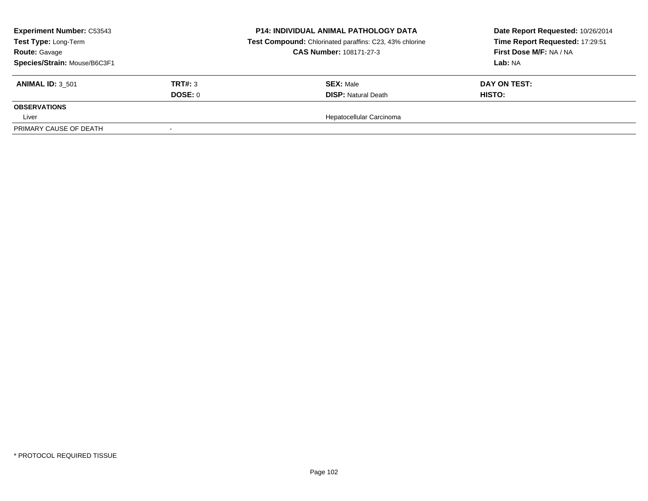| <b>Experiment Number: C53543</b><br>Test Type: Long-Term<br><b>Route: Gavage</b><br>Species/Strain: Mouse/B6C3F1 |         | <b>P14: INDIVIDUAL ANIMAL PATHOLOGY DATA</b><br>Test Compound: Chlorinated paraffins: C23, 43% chlorine<br><b>CAS Number: 108171-27-3</b> | Date Report Requested: 10/26/2014<br>Time Report Requested: 17:29:51<br><b>First Dose M/F: NA / NA</b><br>Lab: NA |  |
|------------------------------------------------------------------------------------------------------------------|---------|-------------------------------------------------------------------------------------------------------------------------------------------|-------------------------------------------------------------------------------------------------------------------|--|
| <b>ANIMAL ID: 3 501</b>                                                                                          | TRT#: 3 | <b>SEX: Male</b>                                                                                                                          | DAY ON TEST:                                                                                                      |  |
|                                                                                                                  | DOSE: 0 | <b>DISP:</b> Natural Death                                                                                                                | HISTO:                                                                                                            |  |
| <b>OBSERVATIONS</b>                                                                                              |         |                                                                                                                                           |                                                                                                                   |  |
| Liver                                                                                                            |         | Hepatocellular Carcinoma                                                                                                                  |                                                                                                                   |  |
| PRIMARY CAUSE OF DEATH                                                                                           |         |                                                                                                                                           |                                                                                                                   |  |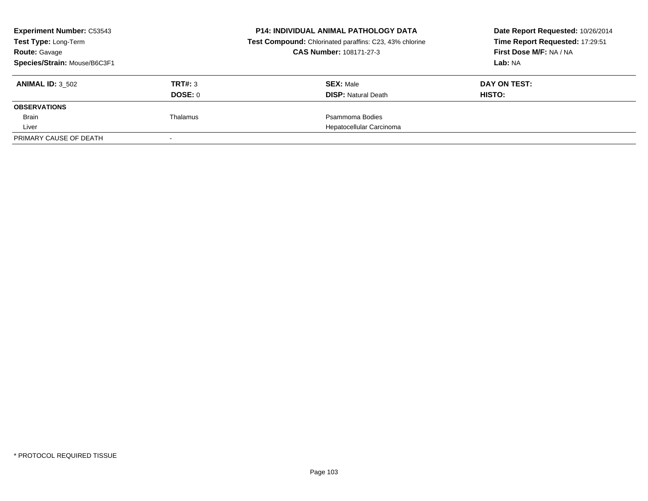| <b>Experiment Number: C53543</b><br>Test Type: Long-Term<br><b>Route: Gavage</b> |          | <b>P14: INDIVIDUAL ANIMAL PATHOLOGY DATA</b><br>Test Compound: Chlorinated paraffins: C23, 43% chlorine<br>CAS Number: 108171-27-3 | Date Report Requested: 10/26/2014<br>Time Report Requested: 17:29:51<br>First Dose M/F: NA / NA |
|----------------------------------------------------------------------------------|----------|------------------------------------------------------------------------------------------------------------------------------------|-------------------------------------------------------------------------------------------------|
| Species/Strain: Mouse/B6C3F1                                                     |          |                                                                                                                                    | Lab: NA                                                                                         |
| <b>ANIMAL ID: 3 502</b>                                                          | TRT#: 3  | <b>SEX: Male</b>                                                                                                                   | DAY ON TEST:                                                                                    |
|                                                                                  | DOSE: 0  | <b>DISP:</b> Natural Death                                                                                                         | HISTO:                                                                                          |
| <b>OBSERVATIONS</b>                                                              |          |                                                                                                                                    |                                                                                                 |
| Brain                                                                            | Thalamus | Psammoma Bodies                                                                                                                    |                                                                                                 |
| Liver                                                                            |          | Hepatocellular Carcinoma                                                                                                           |                                                                                                 |
| PRIMARY CAUSE OF DEATH                                                           |          |                                                                                                                                    |                                                                                                 |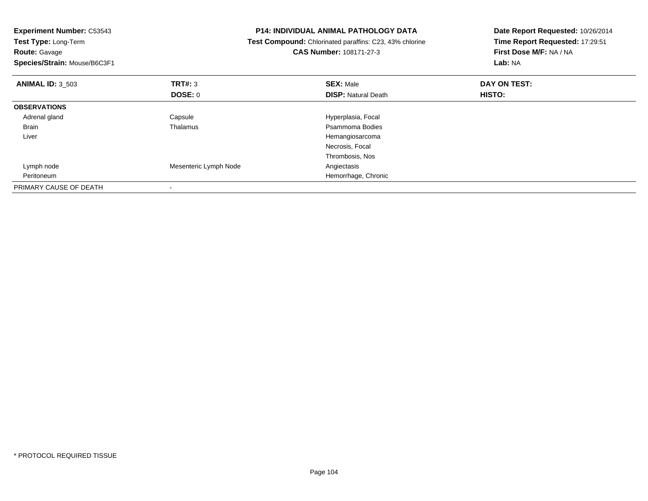| <b>Experiment Number: C53543</b><br>Test Type: Long-Term<br><b>Route: Gavage</b><br>Species/Strain: Mouse/B6C3F1 |                       | <b>P14: INDIVIDUAL ANIMAL PATHOLOGY DATA</b><br>Test Compound: Chlorinated paraffins: C23, 43% chlorine<br>CAS Number: 108171-27-3 | Date Report Requested: 10/26/2014<br>Time Report Requested: 17:29:51<br>First Dose M/F: NA / NA<br>Lab: NA |  |
|------------------------------------------------------------------------------------------------------------------|-----------------------|------------------------------------------------------------------------------------------------------------------------------------|------------------------------------------------------------------------------------------------------------|--|
| <b>ANIMAL ID: 3 503</b>                                                                                          | TRT#: 3               | <b>SEX: Male</b>                                                                                                                   | DAY ON TEST:                                                                                               |  |
|                                                                                                                  | <b>DOSE: 0</b>        | <b>DISP: Natural Death</b>                                                                                                         | HISTO:                                                                                                     |  |
| <b>OBSERVATIONS</b>                                                                                              |                       |                                                                                                                                    |                                                                                                            |  |
| Adrenal gland                                                                                                    | Capsule               | Hyperplasia, Focal                                                                                                                 |                                                                                                            |  |
| Brain                                                                                                            | Thalamus              | Psammoma Bodies                                                                                                                    |                                                                                                            |  |
| Liver                                                                                                            |                       | Hemangiosarcoma                                                                                                                    |                                                                                                            |  |
|                                                                                                                  |                       | Necrosis, Focal                                                                                                                    |                                                                                                            |  |
|                                                                                                                  |                       | Thrombosis, Nos                                                                                                                    |                                                                                                            |  |
| Lymph node                                                                                                       | Mesenteric Lymph Node | Angiectasis                                                                                                                        |                                                                                                            |  |
| Peritoneum                                                                                                       |                       | Hemorrhage, Chronic                                                                                                                |                                                                                                            |  |
| PRIMARY CAUSE OF DEATH                                                                                           |                       |                                                                                                                                    |                                                                                                            |  |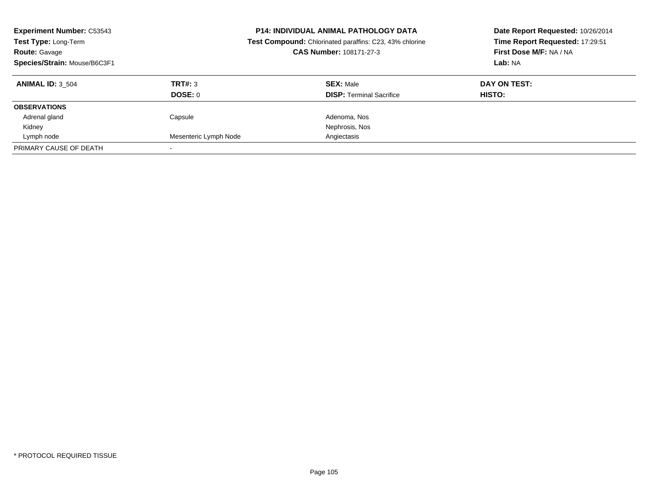| <b>Experiment Number: C53543</b><br>Test Type: Long-Term<br><b>Route: Gavage</b><br>Species/Strain: Mouse/B6C3F1 |                       | <b>P14: INDIVIDUAL ANIMAL PATHOLOGY DATA</b><br>Test Compound: Chlorinated paraffins: C23, 43% chlorine<br><b>CAS Number: 108171-27-3</b> | Date Report Requested: 10/26/2014<br>Time Report Requested: 17:29:51<br>First Dose M/F: NA / NA<br>Lab: NA |
|------------------------------------------------------------------------------------------------------------------|-----------------------|-------------------------------------------------------------------------------------------------------------------------------------------|------------------------------------------------------------------------------------------------------------|
| <b>ANIMAL ID: 3 504</b>                                                                                          | TRT#: 3               | <b>SEX: Male</b>                                                                                                                          | DAY ON TEST:                                                                                               |
|                                                                                                                  | DOSE: 0               | <b>DISP:</b> Terminal Sacrifice                                                                                                           | <b>HISTO:</b>                                                                                              |
| <b>OBSERVATIONS</b>                                                                                              |                       |                                                                                                                                           |                                                                                                            |
| Adrenal gland                                                                                                    | Capsule               | Adenoma, Nos                                                                                                                              |                                                                                                            |
| Kidney                                                                                                           |                       | Nephrosis, Nos                                                                                                                            |                                                                                                            |
| Lymph node                                                                                                       | Mesenteric Lymph Node | Angiectasis                                                                                                                               |                                                                                                            |
| PRIMARY CAUSE OF DEATH                                                                                           |                       |                                                                                                                                           |                                                                                                            |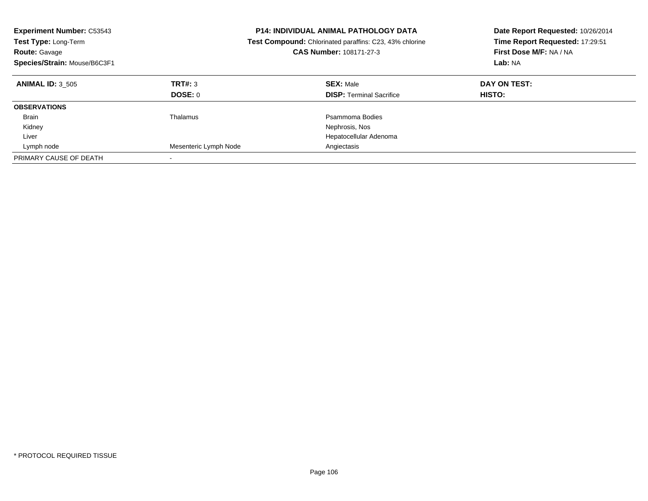| <b>Experiment Number: C53543</b><br><b>Test Type: Long-Term</b><br><b>Route: Gavage</b><br>Species/Strain: Mouse/B6C3F1 |                           | <b>P14: INDIVIDUAL ANIMAL PATHOLOGY DATA</b><br><b>Test Compound:</b> Chlorinated paraffins: C23, 43% chlorine<br>CAS Number: 108171-27-3 | Date Report Requested: 10/26/2014<br>Time Report Requested: 17:29:51<br>First Dose M/F: NA / NA<br>Lab: NA |
|-------------------------------------------------------------------------------------------------------------------------|---------------------------|-------------------------------------------------------------------------------------------------------------------------------------------|------------------------------------------------------------------------------------------------------------|
| <b>ANIMAL ID: 3 505</b>                                                                                                 | TRT#: 3<br><b>DOSE: 0</b> | <b>SEX: Male</b><br><b>DISP: Terminal Sacrifice</b>                                                                                       | DAY ON TEST:<br><b>HISTO:</b>                                                                              |
| <b>OBSERVATIONS</b>                                                                                                     |                           |                                                                                                                                           |                                                                                                            |
| <b>Brain</b>                                                                                                            | Thalamus                  | Psammoma Bodies                                                                                                                           |                                                                                                            |
| Kidney                                                                                                                  |                           | Nephrosis, Nos                                                                                                                            |                                                                                                            |
| Liver                                                                                                                   |                           | Hepatocellular Adenoma                                                                                                                    |                                                                                                            |
| Lymph node                                                                                                              | Mesenteric Lymph Node     | Angiectasis                                                                                                                               |                                                                                                            |
| PRIMARY CAUSE OF DEATH                                                                                                  |                           |                                                                                                                                           |                                                                                                            |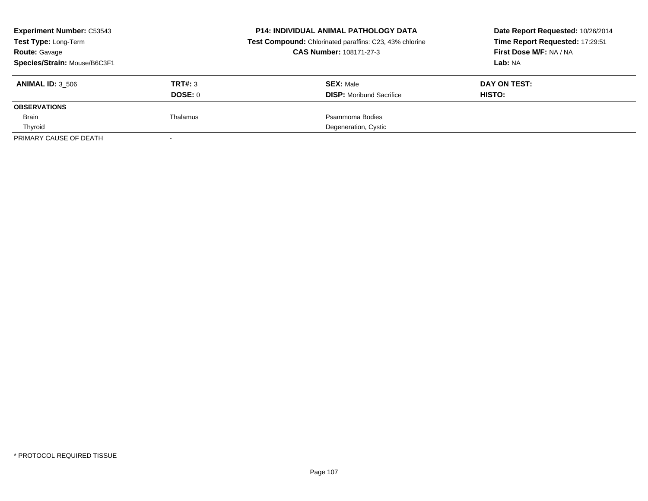| <b>Experiment Number: C53543</b><br>Test Type: Long-Term<br><b>Route: Gavage</b> |          | <b>P14: INDIVIDUAL ANIMAL PATHOLOGY DATA</b><br><b>Test Compound:</b> Chlorinated paraffins: C23, 43% chlorine<br>CAS Number: 108171-27-3 | Date Report Requested: 10/26/2014<br>Time Report Requested: 17:29:51<br>First Dose M/F: NA / NA |
|----------------------------------------------------------------------------------|----------|-------------------------------------------------------------------------------------------------------------------------------------------|-------------------------------------------------------------------------------------------------|
| Species/Strain: Mouse/B6C3F1                                                     |          |                                                                                                                                           | Lab: NA                                                                                         |
| <b>ANIMAL ID: 3_506</b>                                                          | TRT#: 3  | <b>SEX: Male</b>                                                                                                                          | DAY ON TEST:                                                                                    |
|                                                                                  | DOSE: 0  | <b>DISP:</b> Moribund Sacrifice                                                                                                           | HISTO:                                                                                          |
| <b>OBSERVATIONS</b>                                                              |          |                                                                                                                                           |                                                                                                 |
| Brain                                                                            | Thalamus | Psammoma Bodies                                                                                                                           |                                                                                                 |
| Thyroid                                                                          |          | Degeneration, Cystic                                                                                                                      |                                                                                                 |
| PRIMARY CAUSE OF DEATH                                                           |          |                                                                                                                                           |                                                                                                 |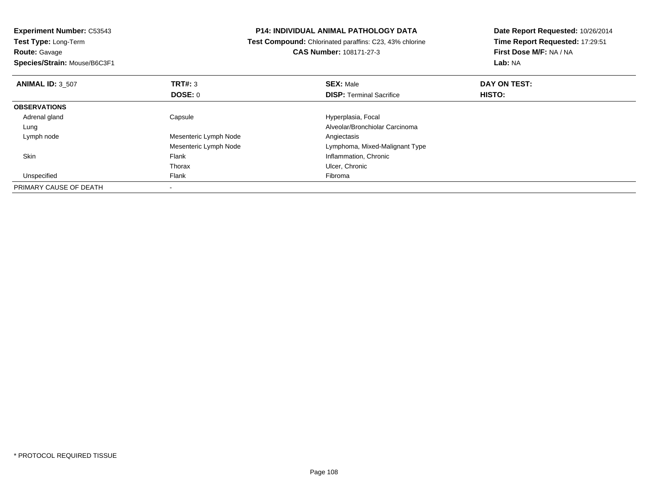| <b>Experiment Number: C53543</b><br><b>P14: INDIVIDUAL ANIMAL PATHOLOGY DATA</b> |                                                         | Date Report Requested: 10/26/2014 |                         |
|----------------------------------------------------------------------------------|---------------------------------------------------------|-----------------------------------|-------------------------|
| Test Type: Long-Term                                                             | Test Compound: Chlorinated paraffins: C23, 43% chlorine | Time Report Requested: 17:29:51   |                         |
| <b>Route: Gavage</b>                                                             | CAS Number: 108171-27-3                                 |                                   | First Dose M/F: NA / NA |
| Species/Strain: Mouse/B6C3F1                                                     |                                                         |                                   | Lab: NA                 |
| <b>ANIMAL ID: 3 507</b>                                                          | <b>TRT#: 3</b>                                          | <b>SEX: Male</b>                  | DAY ON TEST:            |
|                                                                                  | <b>DOSE: 0</b>                                          | <b>DISP: Terminal Sacrifice</b>   | <b>HISTO:</b>           |
| <b>OBSERVATIONS</b>                                                              |                                                         |                                   |                         |
| Adrenal gland                                                                    | Capsule                                                 | Hyperplasia, Focal                |                         |
| Lung                                                                             |                                                         | Alveolar/Bronchiolar Carcinoma    |                         |
| Lymph node                                                                       | Mesenteric Lymph Node                                   | Angiectasis                       |                         |
|                                                                                  | Mesenteric Lymph Node                                   | Lymphoma, Mixed-Malignant Type    |                         |
| Skin                                                                             | Flank                                                   | Inflammation, Chronic             |                         |
|                                                                                  | Thorax                                                  | Ulcer, Chronic                    |                         |
| Unspecified                                                                      | Flank                                                   | Fibroma                           |                         |
| PRIMARY CAUSE OF DEATH                                                           |                                                         |                                   |                         |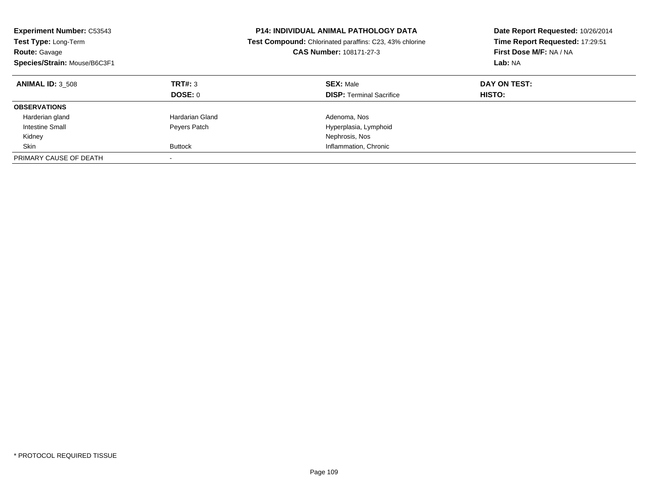| <b>Experiment Number: C53543</b><br><b>Test Type: Long-Term</b><br><b>Route: Gavage</b><br>Species/Strain: Mouse/B6C3F1 |                           | <b>P14: INDIVIDUAL ANIMAL PATHOLOGY DATA</b><br><b>Test Compound:</b> Chlorinated paraffins: C23, 43% chlorine<br>CAS Number: 108171-27-3 | Date Report Requested: 10/26/2014<br>Time Report Requested: 17:29:51<br>First Dose M/F: NA / NA<br>Lab: NA |
|-------------------------------------------------------------------------------------------------------------------------|---------------------------|-------------------------------------------------------------------------------------------------------------------------------------------|------------------------------------------------------------------------------------------------------------|
| <b>ANIMAL ID: 3 508</b>                                                                                                 | TRT#: 3<br><b>DOSE: 0</b> | <b>SEX: Male</b><br><b>DISP:</b> Terminal Sacrifice                                                                                       | DAY ON TEST:<br><b>HISTO:</b>                                                                              |
| <b>OBSERVATIONS</b>                                                                                                     |                           |                                                                                                                                           |                                                                                                            |
| Harderian gland                                                                                                         | Hardarian Gland           | Adenoma, Nos                                                                                                                              |                                                                                                            |
| Intestine Small                                                                                                         | Peyers Patch              | Hyperplasia, Lymphoid                                                                                                                     |                                                                                                            |
| Kidney                                                                                                                  |                           | Nephrosis, Nos                                                                                                                            |                                                                                                            |
| Skin                                                                                                                    | <b>Buttock</b>            | Inflammation, Chronic                                                                                                                     |                                                                                                            |
| PRIMARY CAUSE OF DEATH                                                                                                  | $\overline{\phantom{a}}$  |                                                                                                                                           |                                                                                                            |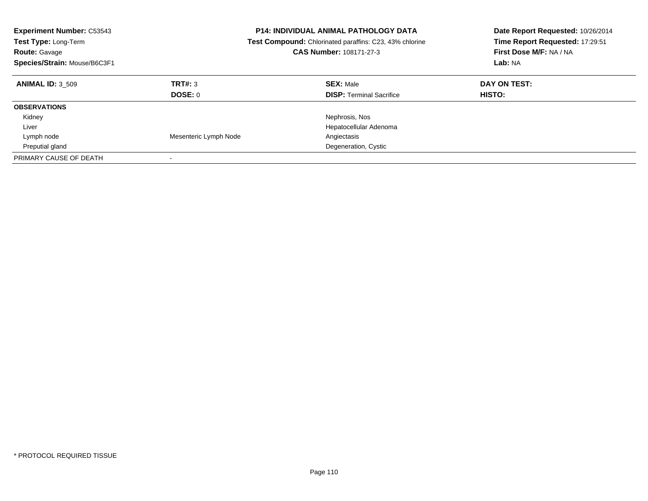| <b>Experiment Number: C53543</b><br><b>Test Type: Long-Term</b><br><b>Route: Gavage</b><br>Species/Strain: Mouse/B6C3F1 |                       | <b>P14: INDIVIDUAL ANIMAL PATHOLOGY DATA</b><br><b>Test Compound:</b> Chlorinated paraffins: C23, 43% chlorine<br>CAS Number: 108171-27-3 | Date Report Requested: 10/26/2014<br>Time Report Requested: 17:29:51<br>First Dose M/F: NA / NA<br>Lab: NA |
|-------------------------------------------------------------------------------------------------------------------------|-----------------------|-------------------------------------------------------------------------------------------------------------------------------------------|------------------------------------------------------------------------------------------------------------|
| <b>ANIMAL ID: 3 509</b>                                                                                                 | TRT#: 3<br>DOSE: 0    | <b>SEX: Male</b><br><b>DISP: Terminal Sacrifice</b>                                                                                       | DAY ON TEST:<br><b>HISTO:</b>                                                                              |
| <b>OBSERVATIONS</b>                                                                                                     |                       |                                                                                                                                           |                                                                                                            |
| Kidney                                                                                                                  |                       | Nephrosis, Nos                                                                                                                            |                                                                                                            |
| Liver                                                                                                                   |                       | Hepatocellular Adenoma                                                                                                                    |                                                                                                            |
| Lymph node                                                                                                              | Mesenteric Lymph Node | Angiectasis                                                                                                                               |                                                                                                            |
| Preputial gland                                                                                                         |                       | Degeneration, Cystic                                                                                                                      |                                                                                                            |
| PRIMARY CAUSE OF DEATH                                                                                                  |                       |                                                                                                                                           |                                                                                                            |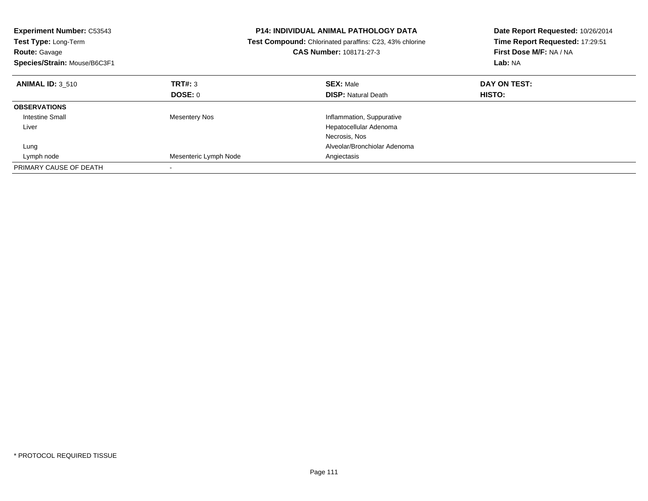| <b>Experiment Number: C53543</b><br><b>Test Type: Long-Term</b><br><b>Route: Gavage</b><br>Species/Strain: Mouse/B6C3F1 |                       | <b>P14: INDIVIDUAL ANIMAL PATHOLOGY DATA</b><br>Test Compound: Chlorinated paraffins: C23, 43% chlorine<br><b>CAS Number: 108171-27-3</b> | Date Report Requested: 10/26/2014<br>Time Report Requested: 17:29:51<br>First Dose M/F: NA / NA<br>Lab: NA |
|-------------------------------------------------------------------------------------------------------------------------|-----------------------|-------------------------------------------------------------------------------------------------------------------------------------------|------------------------------------------------------------------------------------------------------------|
| <b>ANIMAL ID: 3 510</b>                                                                                                 | TRT#: 3               | <b>SEX: Male</b>                                                                                                                          | DAY ON TEST:                                                                                               |
|                                                                                                                         | DOSE: 0               | <b>DISP: Natural Death</b>                                                                                                                | <b>HISTO:</b>                                                                                              |
| <b>OBSERVATIONS</b>                                                                                                     |                       |                                                                                                                                           |                                                                                                            |
| <b>Intestine Small</b>                                                                                                  | <b>Mesentery Nos</b>  | Inflammation, Suppurative                                                                                                                 |                                                                                                            |
| Liver                                                                                                                   |                       | Hepatocellular Adenoma                                                                                                                    |                                                                                                            |
|                                                                                                                         |                       | Necrosis, Nos                                                                                                                             |                                                                                                            |
| Lung                                                                                                                    |                       | Alveolar/Bronchiolar Adenoma                                                                                                              |                                                                                                            |
| Lymph node                                                                                                              | Mesenteric Lymph Node | Angiectasis                                                                                                                               |                                                                                                            |
| PRIMARY CAUSE OF DEATH                                                                                                  |                       |                                                                                                                                           |                                                                                                            |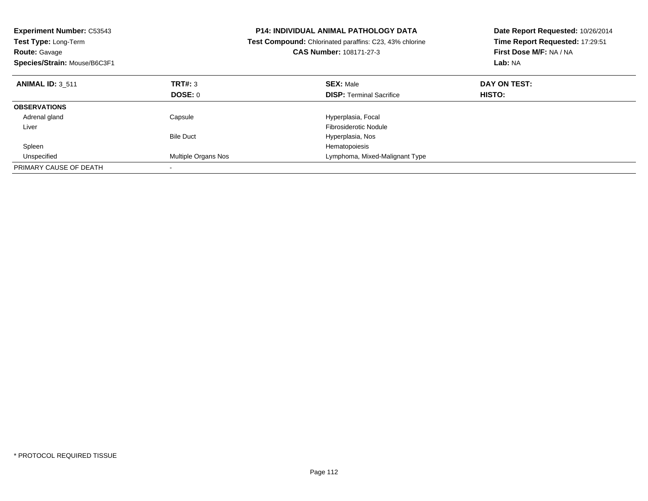| <b>Experiment Number: C53543</b><br><b>Test Type: Long-Term</b><br><b>Route: Gavage</b><br>Species/Strain: Mouse/B6C3F1 |                     | <b>P14: INDIVIDUAL ANIMAL PATHOLOGY DATA</b><br>Test Compound: Chlorinated paraffins: C23, 43% chlorine<br><b>CAS Number: 108171-27-3</b> | Date Report Requested: 10/26/2014<br>Time Report Requested: 17:29:51<br>First Dose M/F: NA / NA<br>Lab: NA |
|-------------------------------------------------------------------------------------------------------------------------|---------------------|-------------------------------------------------------------------------------------------------------------------------------------------|------------------------------------------------------------------------------------------------------------|
| <b>ANIMAL ID: 3 511</b>                                                                                                 | TRT#: 3             | <b>SEX: Male</b>                                                                                                                          | DAY ON TEST:                                                                                               |
|                                                                                                                         | DOSE: 0             | <b>DISP:</b> Terminal Sacrifice                                                                                                           | <b>HISTO:</b>                                                                                              |
| <b>OBSERVATIONS</b>                                                                                                     |                     |                                                                                                                                           |                                                                                                            |
| Adrenal gland                                                                                                           | Capsule             | Hyperplasia, Focal                                                                                                                        |                                                                                                            |
| Liver                                                                                                                   |                     | Fibrosiderotic Nodule                                                                                                                     |                                                                                                            |
|                                                                                                                         | <b>Bile Duct</b>    | Hyperplasia, Nos                                                                                                                          |                                                                                                            |
| Spleen                                                                                                                  |                     | Hematopoiesis                                                                                                                             |                                                                                                            |
| Unspecified                                                                                                             | Multiple Organs Nos | Lymphoma, Mixed-Malignant Type                                                                                                            |                                                                                                            |
| PRIMARY CAUSE OF DEATH                                                                                                  |                     |                                                                                                                                           |                                                                                                            |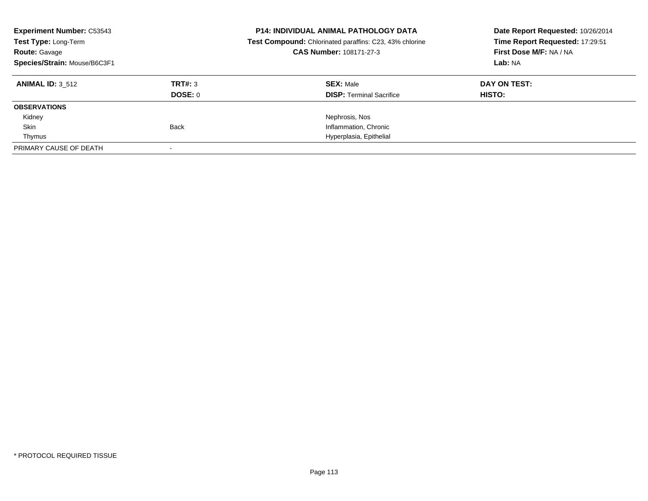| <b>Experiment Number: C53543</b><br>Test Type: Long-Term<br><b>Route: Gavage</b><br>Species/Strain: Mouse/B6C3F1 |                           | <b>P14: INDIVIDUAL ANIMAL PATHOLOGY DATA</b><br>Test Compound: Chlorinated paraffins: C23, 43% chlorine<br>CAS Number: 108171-27-3 | Date Report Requested: 10/26/2014<br>Time Report Requested: 17:29:51<br>First Dose M/F: NA / NA<br>Lab: NA |
|------------------------------------------------------------------------------------------------------------------|---------------------------|------------------------------------------------------------------------------------------------------------------------------------|------------------------------------------------------------------------------------------------------------|
| <b>ANIMAL ID: 3 512</b>                                                                                          | TRT#: 3<br><b>DOSE: 0</b> | <b>SEX: Male</b><br><b>DISP:</b> Terminal Sacrifice                                                                                | DAY ON TEST:<br>HISTO:                                                                                     |
| <b>OBSERVATIONS</b>                                                                                              |                           |                                                                                                                                    |                                                                                                            |
| Kidney                                                                                                           |                           | Nephrosis, Nos                                                                                                                     |                                                                                                            |
| Skin                                                                                                             | <b>Back</b>               | Inflammation, Chronic                                                                                                              |                                                                                                            |
| Thymus                                                                                                           |                           | Hyperplasia, Epithelial                                                                                                            |                                                                                                            |
| PRIMARY CAUSE OF DEATH                                                                                           |                           |                                                                                                                                    |                                                                                                            |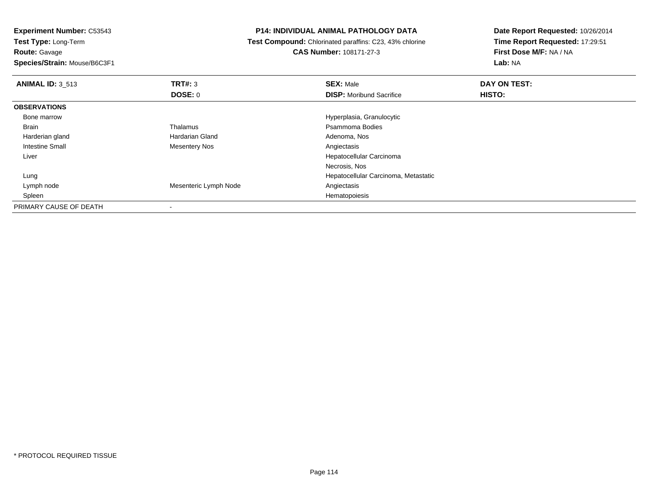**Test Type:** Long-Term**Route:** Gavage

**Species/Strain:** Mouse/B6C3F1

# **P14: INDIVIDUAL ANIMAL PATHOLOGY DATA**

 **Test Compound:** Chlorinated paraffins: C23, 43% chlorine**CAS Number:** 108171-27-3

| <b>ANIMAL ID: 3 513</b> | TRT#: 3               | <b>SEX: Male</b>                     | DAY ON TEST: |
|-------------------------|-----------------------|--------------------------------------|--------------|
|                         | <b>DOSE: 0</b>        | <b>DISP:</b> Moribund Sacrifice      | HISTO:       |
| <b>OBSERVATIONS</b>     |                       |                                      |              |
| Bone marrow             |                       | Hyperplasia, Granulocytic            |              |
| <b>Brain</b>            | Thalamus              | Psammoma Bodies                      |              |
| Harderian gland         | Hardarian Gland       | Adenoma, Nos                         |              |
| Intestine Small         | <b>Mesentery Nos</b>  | Angiectasis                          |              |
| Liver                   |                       | Hepatocellular Carcinoma             |              |
|                         |                       | Necrosis, Nos                        |              |
| Lung                    |                       | Hepatocellular Carcinoma, Metastatic |              |
| Lymph node              | Mesenteric Lymph Node | Angiectasis                          |              |
| Spleen                  |                       | Hematopoiesis                        |              |
| PRIMARY CAUSE OF DEATH  |                       |                                      |              |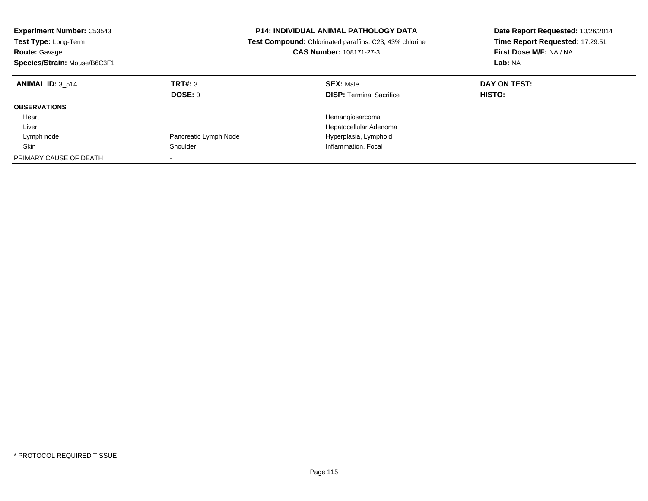| <b>Experiment Number: C53543</b><br>Test Type: Long-Term<br><b>Route: Gavage</b><br>Species/Strain: Mouse/B6C3F1 |                       | <b>P14: INDIVIDUAL ANIMAL PATHOLOGY DATA</b><br>Test Compound: Chlorinated paraffins: C23, 43% chlorine<br>CAS Number: 108171-27-3 | Date Report Requested: 10/26/2014<br>Time Report Requested: 17:29:51<br>First Dose M/F: NA / NA<br>Lab: NA |
|------------------------------------------------------------------------------------------------------------------|-----------------------|------------------------------------------------------------------------------------------------------------------------------------|------------------------------------------------------------------------------------------------------------|
| <b>ANIMAL ID: 3 514</b>                                                                                          | TRT#: 3<br>DOSE: 0    | <b>SEX: Male</b><br><b>DISP:</b> Terminal Sacrifice                                                                                | DAY ON TEST:<br>HISTO:                                                                                     |
| <b>OBSERVATIONS</b>                                                                                              |                       |                                                                                                                                    |                                                                                                            |
| Heart                                                                                                            |                       | Hemangiosarcoma                                                                                                                    |                                                                                                            |
| Liver                                                                                                            |                       | Hepatocellular Adenoma                                                                                                             |                                                                                                            |
| Lymph node                                                                                                       | Pancreatic Lymph Node | Hyperplasia, Lymphoid                                                                                                              |                                                                                                            |
| Skin                                                                                                             | Shoulder              | Inflammation, Focal                                                                                                                |                                                                                                            |
| PRIMARY CAUSE OF DEATH                                                                                           |                       |                                                                                                                                    |                                                                                                            |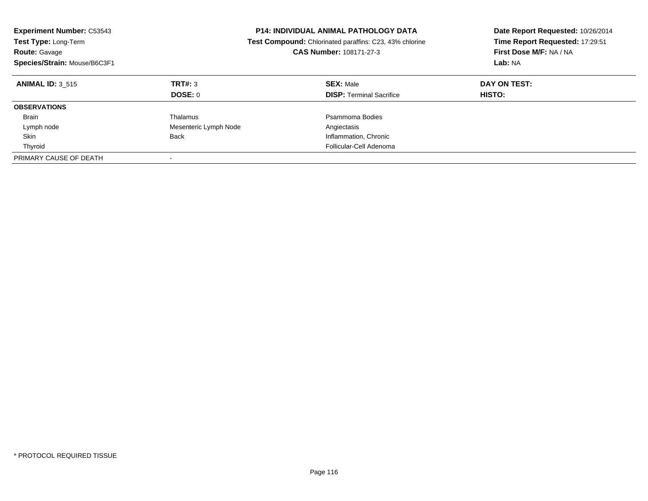| <b>Experiment Number: C53543</b><br><b>Test Type: Long-Term</b><br><b>Route: Gavage</b><br>Species/Strain: Mouse/B6C3F1 |                       | <b>P14: INDIVIDUAL ANIMAL PATHOLOGY DATA</b><br><b>Test Compound:</b> Chlorinated paraffins: C23, 43% chlorine<br><b>CAS Number: 108171-27-3</b> | Date Report Requested: 10/26/2014<br>Time Report Requested: 17:29:51<br>First Dose M/F: NA / NA<br>Lab: NA |
|-------------------------------------------------------------------------------------------------------------------------|-----------------------|--------------------------------------------------------------------------------------------------------------------------------------------------|------------------------------------------------------------------------------------------------------------|
| <b>ANIMAL ID: 3 515</b>                                                                                                 | TRT#: 3<br>DOSE: 0    | <b>SEX: Male</b><br><b>DISP:</b> Terminal Sacrifice                                                                                              | DAY ON TEST:<br>HISTO:                                                                                     |
| <b>OBSERVATIONS</b>                                                                                                     |                       |                                                                                                                                                  |                                                                                                            |
|                                                                                                                         |                       |                                                                                                                                                  |                                                                                                            |
| <b>Brain</b>                                                                                                            | Thalamus              | Psammoma Bodies                                                                                                                                  |                                                                                                            |
| Lymph node                                                                                                              | Mesenteric Lymph Node | Angiectasis                                                                                                                                      |                                                                                                            |
| Skin                                                                                                                    | Back                  | Inflammation, Chronic                                                                                                                            |                                                                                                            |
| Thyroid                                                                                                                 |                       | Follicular-Cell Adenoma                                                                                                                          |                                                                                                            |
| PRIMARY CAUSE OF DEATH                                                                                                  |                       |                                                                                                                                                  |                                                                                                            |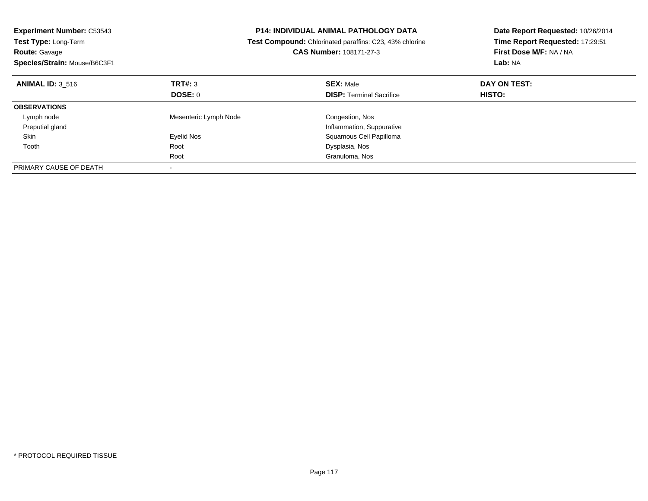| <b>Experiment Number: C53543</b><br>Test Type: Long-Term<br><b>Route: Gavage</b><br>Species/Strain: Mouse/B6C3F1 |                       | <b>P14: INDIVIDUAL ANIMAL PATHOLOGY DATA</b><br>Test Compound: Chlorinated paraffins: C23, 43% chlorine<br>CAS Number: 108171-27-3 | Date Report Requested: 10/26/2014<br>Time Report Requested: 17:29:51<br>First Dose M/F: NA / NA<br>Lab: NA |
|------------------------------------------------------------------------------------------------------------------|-----------------------|------------------------------------------------------------------------------------------------------------------------------------|------------------------------------------------------------------------------------------------------------|
| <b>ANIMAL ID: 3 516</b>                                                                                          | TRT#: 3               | <b>SEX: Male</b>                                                                                                                   | DAY ON TEST:                                                                                               |
|                                                                                                                  | DOSE: 0               | <b>DISP:</b> Terminal Sacrifice                                                                                                    | <b>HISTO:</b>                                                                                              |
| <b>OBSERVATIONS</b>                                                                                              |                       |                                                                                                                                    |                                                                                                            |
| Lymph node                                                                                                       | Mesenteric Lymph Node | Congestion, Nos                                                                                                                    |                                                                                                            |
| Preputial gland                                                                                                  |                       | Inflammation, Suppurative                                                                                                          |                                                                                                            |
| Skin                                                                                                             | Eyelid Nos            | Squamous Cell Papilloma                                                                                                            |                                                                                                            |
| Tooth                                                                                                            | Root                  | Dysplasia, Nos                                                                                                                     |                                                                                                            |
|                                                                                                                  | Root                  | Granuloma, Nos                                                                                                                     |                                                                                                            |
| PRIMARY CAUSE OF DEATH                                                                                           |                       |                                                                                                                                    |                                                                                                            |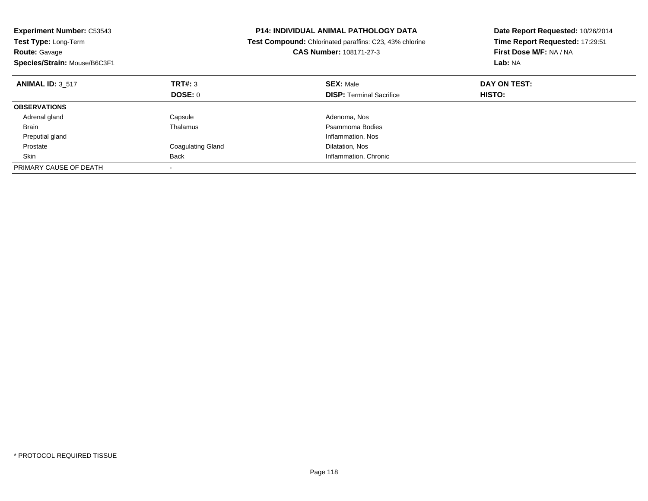| <b>Experiment Number: C53543</b><br>Test Type: Long-Term<br><b>Route: Gavage</b><br>Species/Strain: Mouse/B6C3F1 |                          | <b>P14: INDIVIDUAL ANIMAL PATHOLOGY DATA</b><br>Test Compound: Chlorinated paraffins: C23, 43% chlorine<br>CAS Number: 108171-27-3 | Date Report Requested: 10/26/2014<br>Time Report Requested: 17:29:51<br>First Dose M/F: NA / NA<br>Lab: NA |
|------------------------------------------------------------------------------------------------------------------|--------------------------|------------------------------------------------------------------------------------------------------------------------------------|------------------------------------------------------------------------------------------------------------|
| <b>ANIMAL ID: 3 517</b>                                                                                          | <b>TRT#: 3</b>           | <b>SEX: Male</b>                                                                                                                   | DAY ON TEST:                                                                                               |
|                                                                                                                  | DOSE: 0                  | <b>DISP:</b> Terminal Sacrifice                                                                                                    | <b>HISTO:</b>                                                                                              |
| <b>OBSERVATIONS</b>                                                                                              |                          |                                                                                                                                    |                                                                                                            |
| Adrenal gland                                                                                                    | Capsule                  | Adenoma, Nos                                                                                                                       |                                                                                                            |
| <b>Brain</b>                                                                                                     | Thalamus                 | Psammoma Bodies                                                                                                                    |                                                                                                            |
| Preputial gland                                                                                                  |                          | Inflammation, Nos                                                                                                                  |                                                                                                            |
| Prostate                                                                                                         | <b>Coagulating Gland</b> | Dilatation, Nos                                                                                                                    |                                                                                                            |
| Skin                                                                                                             | Back                     | Inflammation, Chronic                                                                                                              |                                                                                                            |
| PRIMARY CAUSE OF DEATH                                                                                           |                          |                                                                                                                                    |                                                                                                            |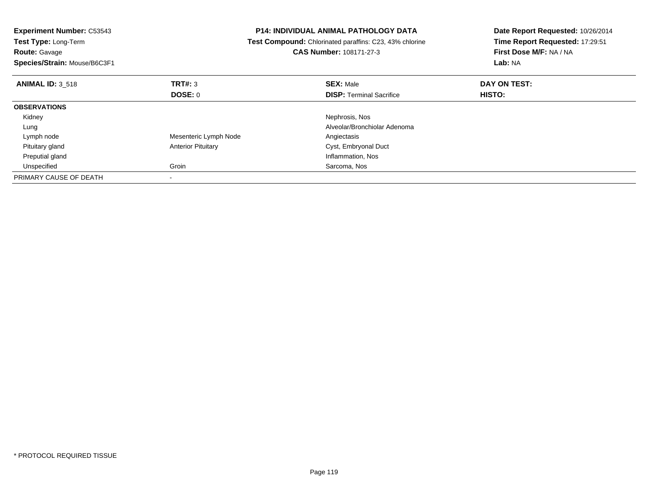| <b>Experiment Number: C53543</b><br><b>Test Type: Long-Term</b><br><b>Route: Gavage</b><br>Species/Strain: Mouse/B6C3F1 |                           | <b>P14: INDIVIDUAL ANIMAL PATHOLOGY DATA</b><br>Test Compound: Chlorinated paraffins: C23, 43% chlorine<br>CAS Number: 108171-27-3 | Date Report Requested: 10/26/2014<br>Time Report Requested: 17:29:51<br>First Dose M/F: NA / NA<br>Lab: NA |
|-------------------------------------------------------------------------------------------------------------------------|---------------------------|------------------------------------------------------------------------------------------------------------------------------------|------------------------------------------------------------------------------------------------------------|
| <b>ANIMAL ID: 3 518</b>                                                                                                 | TRT#: 3                   | <b>SEX: Male</b>                                                                                                                   | DAY ON TEST:                                                                                               |
|                                                                                                                         | <b>DOSE: 0</b>            | <b>DISP:</b> Terminal Sacrifice                                                                                                    | <b>HISTO:</b>                                                                                              |
| <b>OBSERVATIONS</b>                                                                                                     |                           |                                                                                                                                    |                                                                                                            |
| Kidney                                                                                                                  |                           | Nephrosis, Nos                                                                                                                     |                                                                                                            |
| Lung                                                                                                                    |                           | Alveolar/Bronchiolar Adenoma                                                                                                       |                                                                                                            |
| Lymph node                                                                                                              | Mesenteric Lymph Node     | Angiectasis                                                                                                                        |                                                                                                            |
| Pituitary gland                                                                                                         | <b>Anterior Pituitary</b> | Cyst, Embryonal Duct                                                                                                               |                                                                                                            |
| Preputial gland                                                                                                         |                           | Inflammation, Nos                                                                                                                  |                                                                                                            |
| Unspecified                                                                                                             | Groin                     | Sarcoma, Nos                                                                                                                       |                                                                                                            |
| PRIMARY CAUSE OF DEATH                                                                                                  |                           |                                                                                                                                    |                                                                                                            |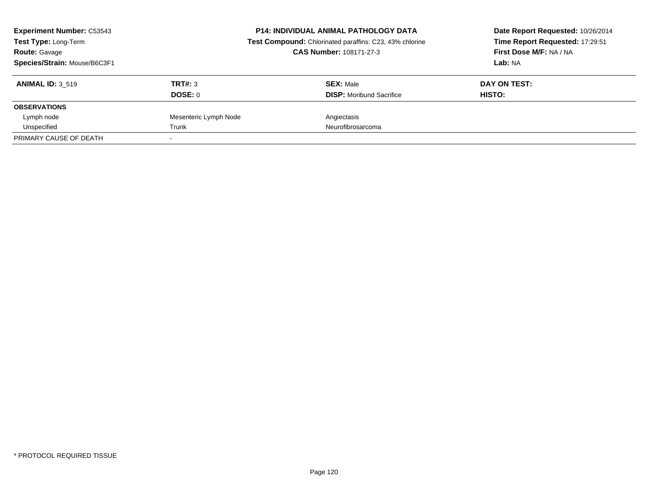| <b>Experiment Number: C53543</b><br>Test Type: Long-Term<br><b>Route: Gavage</b><br>Species/Strain: Mouse/B6C3F1 |                       | <b>P14: INDIVIDUAL ANIMAL PATHOLOGY DATA</b><br>Test Compound: Chlorinated paraffins: C23, 43% chlorine<br>CAS Number: 108171-27-3 | Date Report Requested: 10/26/2014<br>Time Report Requested: 17:29:51<br>First Dose M/F: NA / NA<br>Lab: NA |
|------------------------------------------------------------------------------------------------------------------|-----------------------|------------------------------------------------------------------------------------------------------------------------------------|------------------------------------------------------------------------------------------------------------|
| <b>ANIMAL ID: 3 519</b>                                                                                          | TRT#: 3               | <b>SEX: Male</b>                                                                                                                   | DAY ON TEST:                                                                                               |
|                                                                                                                  | DOSE: 0               | <b>DISP:</b> Moribund Sacrifice                                                                                                    | HISTO:                                                                                                     |
| <b>OBSERVATIONS</b>                                                                                              |                       |                                                                                                                                    |                                                                                                            |
| Lymph node                                                                                                       | Mesenteric Lymph Node | Angiectasis                                                                                                                        |                                                                                                            |
| Unspecified                                                                                                      | Trunk                 | Neurofibrosarcoma                                                                                                                  |                                                                                                            |
| PRIMARY CAUSE OF DEATH                                                                                           |                       |                                                                                                                                    |                                                                                                            |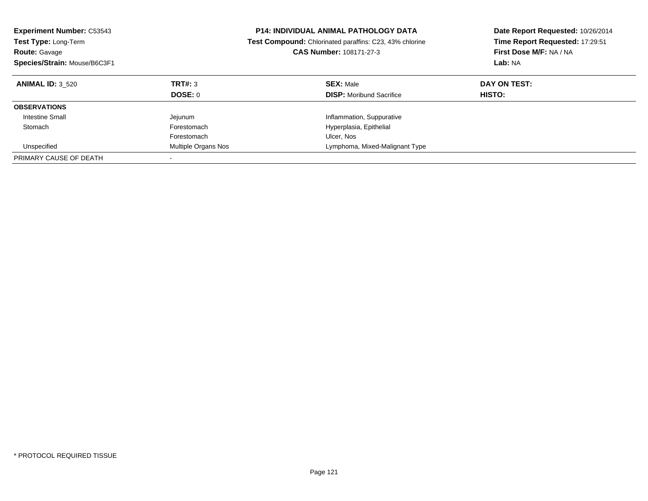| <b>Experiment Number: C53543</b><br><b>Test Type: Long-Term</b><br><b>Route: Gavage</b><br>Species/Strain: Mouse/B6C3F1 |                     | <b>P14: INDIVIDUAL ANIMAL PATHOLOGY DATA</b><br><b>Test Compound:</b> Chlorinated paraffins: C23, 43% chlorine<br><b>CAS Number: 108171-27-3</b> | Date Report Requested: 10/26/2014<br>Time Report Requested: 17:29:51<br>First Dose M/F: NA / NA<br>Lab: NA |
|-------------------------------------------------------------------------------------------------------------------------|---------------------|--------------------------------------------------------------------------------------------------------------------------------------------------|------------------------------------------------------------------------------------------------------------|
| <b>ANIMAL ID: 3 520</b>                                                                                                 | TRT#: 3<br>DOSE: 0  | <b>SEX: Male</b><br><b>DISP:</b> Moribund Sacrifice                                                                                              | DAY ON TEST:<br><b>HISTO:</b>                                                                              |
| <b>OBSERVATIONS</b>                                                                                                     |                     |                                                                                                                                                  |                                                                                                            |
| <b>Intestine Small</b>                                                                                                  | Jejunum             | Inflammation, Suppurative                                                                                                                        |                                                                                                            |
| Stomach                                                                                                                 | Forestomach         | Hyperplasia, Epithelial                                                                                                                          |                                                                                                            |
|                                                                                                                         | Forestomach         | Ulcer, Nos                                                                                                                                       |                                                                                                            |
| Unspecified                                                                                                             | Multiple Organs Nos | Lymphoma, Mixed-Malignant Type                                                                                                                   |                                                                                                            |
| PRIMARY CAUSE OF DEATH                                                                                                  |                     |                                                                                                                                                  |                                                                                                            |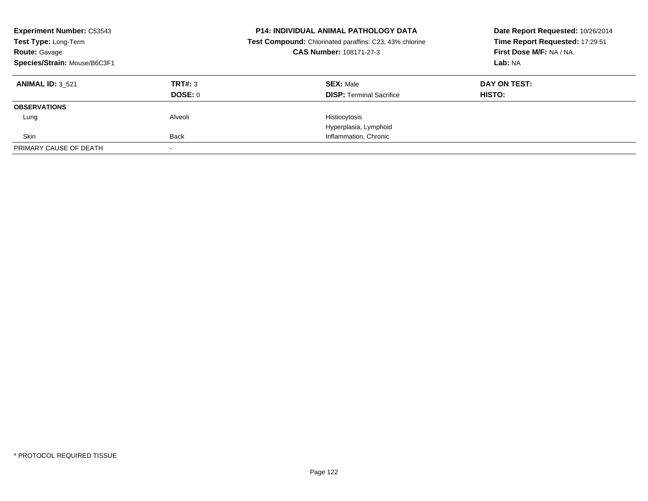| <b>Experiment Number: C53543</b><br>Test Type: Long-Term<br><b>Route: Gavage</b><br>Species/Strain: Mouse/B6C3F1 |                    | <b>P14: INDIVIDUAL ANIMAL PATHOLOGY DATA</b><br>Test Compound: Chlorinated paraffins: C23, 43% chlorine<br>CAS Number: 108171-27-3 | Date Report Requested: 10/26/2014<br>Time Report Requested: 17:29:51<br>First Dose M/F: NA / NA<br>Lab: NA |
|------------------------------------------------------------------------------------------------------------------|--------------------|------------------------------------------------------------------------------------------------------------------------------------|------------------------------------------------------------------------------------------------------------|
| <b>ANIMAL ID: 3 521</b>                                                                                          | TRT#: 3<br>DOSE: 0 | <b>SEX: Male</b><br><b>DISP:</b> Terminal Sacrifice                                                                                | DAY ON TEST:<br>HISTO:                                                                                     |
| <b>OBSERVATIONS</b>                                                                                              |                    |                                                                                                                                    |                                                                                                            |
| Lung                                                                                                             | Alveoli            | Histiocytosis<br>Hyperplasia, Lymphoid                                                                                             |                                                                                                            |
| Skin                                                                                                             | <b>Back</b>        | Inflammation, Chronic                                                                                                              |                                                                                                            |
| PRIMARY CAUSE OF DEATH                                                                                           |                    |                                                                                                                                    |                                                                                                            |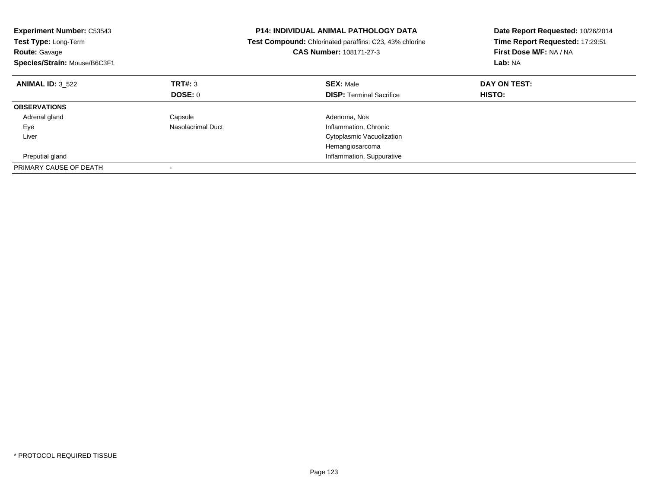| <b>Experiment Number: C53543</b><br>Test Type: Long-Term<br><b>Route: Gavage</b><br>Species/Strain: Mouse/B6C3F1 |                   | <b>P14: INDIVIDUAL ANIMAL PATHOLOGY DATA</b><br>Test Compound: Chlorinated paraffins: C23, 43% chlorine<br><b>CAS Number: 108171-27-3</b> | Date Report Requested: 10/26/2014<br>Time Report Requested: 17:29:51<br>First Dose M/F: NA / NA<br>Lab: NA |
|------------------------------------------------------------------------------------------------------------------|-------------------|-------------------------------------------------------------------------------------------------------------------------------------------|------------------------------------------------------------------------------------------------------------|
| <b>ANIMAL ID: 3 522</b>                                                                                          | TRT#: 3           | <b>SEX: Male</b>                                                                                                                          | DAY ON TEST:                                                                                               |
|                                                                                                                  | DOSE: 0           | <b>DISP:</b> Terminal Sacrifice                                                                                                           | <b>HISTO:</b>                                                                                              |
| <b>OBSERVATIONS</b>                                                                                              |                   |                                                                                                                                           |                                                                                                            |
| Adrenal gland                                                                                                    | Capsule           | Adenoma, Nos                                                                                                                              |                                                                                                            |
| Eye                                                                                                              | Nasolacrimal Duct | Inflammation, Chronic                                                                                                                     |                                                                                                            |
| Liver                                                                                                            |                   | Cytoplasmic Vacuolization                                                                                                                 |                                                                                                            |
|                                                                                                                  |                   | Hemangiosarcoma                                                                                                                           |                                                                                                            |
| Preputial gland                                                                                                  |                   | Inflammation, Suppurative                                                                                                                 |                                                                                                            |
| PRIMARY CAUSE OF DEATH                                                                                           |                   |                                                                                                                                           |                                                                                                            |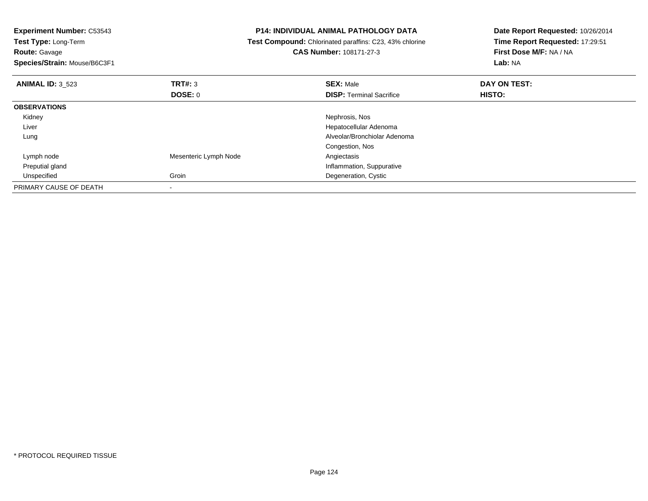| <b>Experiment Number: C53543</b> | <b>P14: INDIVIDUAL ANIMAL PATHOLOGY DATA</b> |                                                         | Date Report Requested: 10/26/2014 |  |
|----------------------------------|----------------------------------------------|---------------------------------------------------------|-----------------------------------|--|
| Test Type: Long-Term             |                                              | Test Compound: Chlorinated paraffins: C23, 43% chlorine | Time Report Requested: 17:29:51   |  |
| <b>Route: Gavage</b>             |                                              | <b>CAS Number: 108171-27-3</b>                          | First Dose M/F: NA / NA           |  |
| Species/Strain: Mouse/B6C3F1     |                                              |                                                         | Lab: NA                           |  |
| <b>ANIMAL ID: 3 523</b>          | TRT#: 3                                      | <b>SEX: Male</b>                                        | DAY ON TEST:                      |  |
|                                  | <b>DOSE: 0</b>                               | <b>DISP: Terminal Sacrifice</b>                         | HISTO:                            |  |
| <b>OBSERVATIONS</b>              |                                              |                                                         |                                   |  |
| Kidney                           |                                              | Nephrosis, Nos                                          |                                   |  |
| Liver                            |                                              | Hepatocellular Adenoma                                  |                                   |  |
| Lung                             |                                              | Alveolar/Bronchiolar Adenoma                            |                                   |  |
|                                  |                                              | Congestion, Nos                                         |                                   |  |
| Lymph node                       | Mesenteric Lymph Node                        | Angiectasis                                             |                                   |  |
| Preputial gland                  |                                              | Inflammation, Suppurative                               |                                   |  |
| Unspecified                      | Groin                                        | Degeneration, Cystic                                    |                                   |  |
| PRIMARY CAUSE OF DEATH           |                                              |                                                         |                                   |  |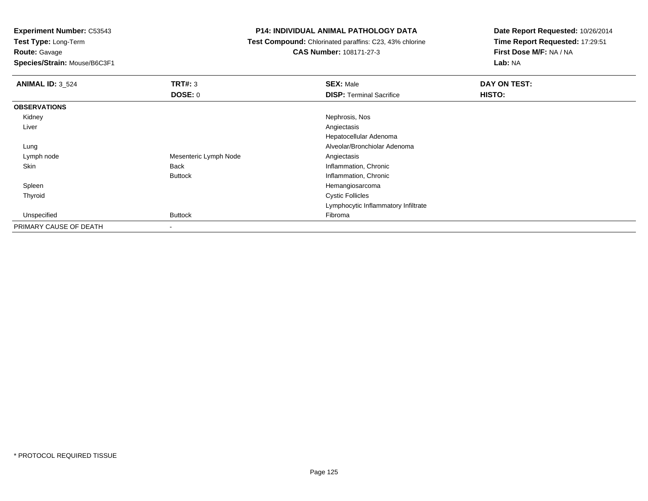**Test Type:** Long-Term

**Route:** Gavage

**Species/Strain:** Mouse/B6C3F1

# **P14: INDIVIDUAL ANIMAL PATHOLOGY DATA**

**Test Compound:** Chlorinated paraffins: C23, 43% chlorine

**CAS Number:** 108171-27-3

| <b>ANIMAL ID: 3 524</b> | TRT#: 3               | <b>SEX: Male</b>                    | DAY ON TEST: |
|-------------------------|-----------------------|-------------------------------------|--------------|
|                         | <b>DOSE: 0</b>        | <b>DISP: Terminal Sacrifice</b>     | HISTO:       |
| <b>OBSERVATIONS</b>     |                       |                                     |              |
| Kidney                  |                       | Nephrosis, Nos                      |              |
| Liver                   |                       | Angiectasis                         |              |
|                         |                       | Hepatocellular Adenoma              |              |
| Lung                    |                       | Alveolar/Bronchiolar Adenoma        |              |
| Lymph node              | Mesenteric Lymph Node | Angiectasis                         |              |
| Skin                    | Back                  | Inflammation, Chronic               |              |
|                         | <b>Buttock</b>        | Inflammation, Chronic               |              |
| Spleen                  |                       | Hemangiosarcoma                     |              |
| Thyroid                 |                       | <b>Cystic Follicles</b>             |              |
|                         |                       | Lymphocytic Inflammatory Infiltrate |              |
| Unspecified             | <b>Buttock</b>        | Fibroma                             |              |
| PRIMARY CAUSE OF DEATH  | $\blacksquare$        |                                     |              |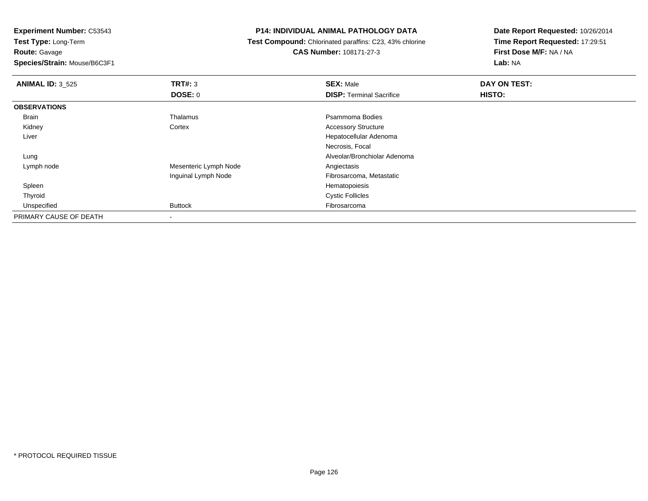**Experiment Number:** C53543**Test Type:** Long-Term

**Route:** Gavage

**Species/Strain:** Mouse/B6C3F1

### **P14: INDIVIDUAL ANIMAL PATHOLOGY DATA**

 **Test Compound:** Chlorinated paraffins: C23, 43% chlorine**CAS Number:** 108171-27-3

| <b>ANIMAL ID: 3_525</b> | TRT#: 3               | <b>SEX: Male</b>                | DAY ON TEST: |  |
|-------------------------|-----------------------|---------------------------------|--------------|--|
|                         | <b>DOSE: 0</b>        | <b>DISP: Terminal Sacrifice</b> | HISTO:       |  |
| <b>OBSERVATIONS</b>     |                       |                                 |              |  |
| <b>Brain</b>            | Thalamus              | Psammoma Bodies                 |              |  |
| Kidney                  | Cortex                | <b>Accessory Structure</b>      |              |  |
| Liver                   |                       | Hepatocellular Adenoma          |              |  |
|                         |                       | Necrosis, Focal                 |              |  |
| Lung                    |                       | Alveolar/Bronchiolar Adenoma    |              |  |
| Lymph node              | Mesenteric Lymph Node | Angiectasis                     |              |  |
|                         | Inguinal Lymph Node   | Fibrosarcoma, Metastatic        |              |  |
| Spleen                  |                       | Hematopoiesis                   |              |  |
| Thyroid                 |                       | <b>Cystic Follicles</b>         |              |  |
| Unspecified             | <b>Buttock</b>        | Fibrosarcoma                    |              |  |
| PRIMARY CAUSE OF DEATH  |                       |                                 |              |  |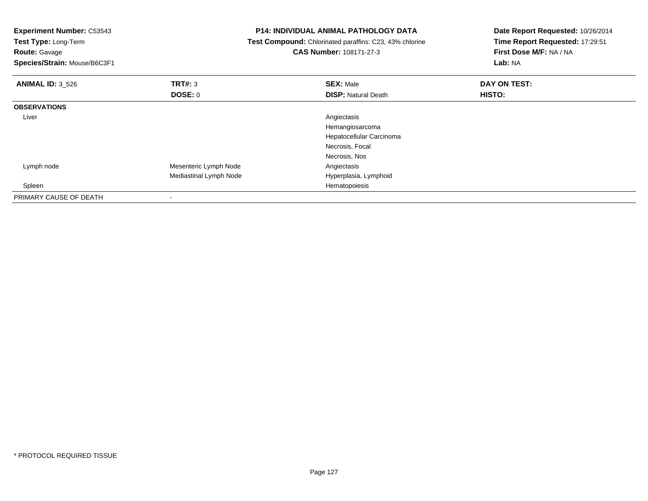| <b>Experiment Number: C53543</b><br>Test Type: Long-Term<br><b>Route: Gavage</b><br>Species/Strain: Mouse/B6C3F1 |                        | <b>P14: INDIVIDUAL ANIMAL PATHOLOGY DATA</b><br>Test Compound: Chlorinated paraffins: C23, 43% chlorine<br><b>CAS Number: 108171-27-3</b> | Date Report Requested: 10/26/2014<br>Time Report Requested: 17:29:51<br>First Dose M/F: NA / NA<br>Lab: NA |  |
|------------------------------------------------------------------------------------------------------------------|------------------------|-------------------------------------------------------------------------------------------------------------------------------------------|------------------------------------------------------------------------------------------------------------|--|
| <b>ANIMAL ID: 3 526</b>                                                                                          | TRT#: 3                | <b>SEX: Male</b>                                                                                                                          | DAY ON TEST:                                                                                               |  |
|                                                                                                                  | <b>DOSE: 0</b>         | <b>DISP: Natural Death</b>                                                                                                                | HISTO:                                                                                                     |  |
| <b>OBSERVATIONS</b>                                                                                              |                        |                                                                                                                                           |                                                                                                            |  |
| Liver                                                                                                            |                        | Angiectasis                                                                                                                               |                                                                                                            |  |
|                                                                                                                  |                        | Hemangiosarcoma                                                                                                                           |                                                                                                            |  |
|                                                                                                                  |                        | Hepatocellular Carcinoma                                                                                                                  |                                                                                                            |  |
|                                                                                                                  |                        | Necrosis, Focal                                                                                                                           |                                                                                                            |  |
|                                                                                                                  |                        | Necrosis, Nos                                                                                                                             |                                                                                                            |  |
| Lymph node                                                                                                       | Mesenteric Lymph Node  | Angiectasis                                                                                                                               |                                                                                                            |  |
|                                                                                                                  | Mediastinal Lymph Node | Hyperplasia, Lymphoid                                                                                                                     |                                                                                                            |  |
| Spleen                                                                                                           |                        | Hematopoiesis                                                                                                                             |                                                                                                            |  |
| PRIMARY CAUSE OF DEATH                                                                                           |                        |                                                                                                                                           |                                                                                                            |  |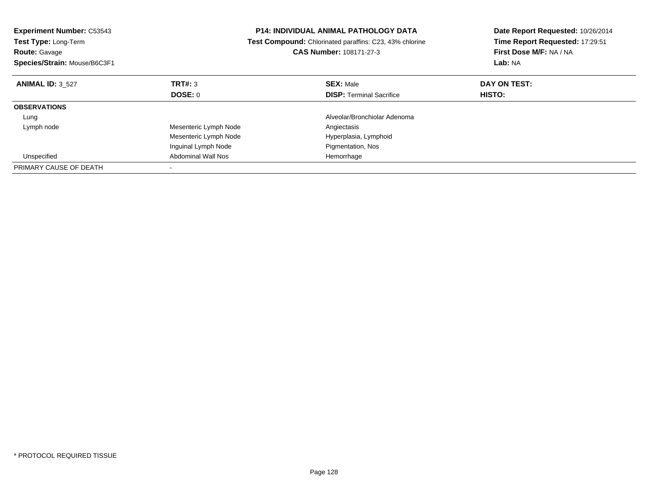| <b>Experiment Number: C53543</b><br><b>Test Type: Long-Term</b><br><b>Route: Gavage</b><br>Species/Strain: Mouse/B6C3F1 |                           | <b>P14: INDIVIDUAL ANIMAL PATHOLOGY DATA</b><br>Test Compound: Chlorinated paraffins: C23, 43% chlorine<br>CAS Number: 108171-27-3 | Date Report Requested: 10/26/2014<br>Time Report Requested: 17:29:51<br>First Dose M/F: NA / NA<br>Lab: NA |  |
|-------------------------------------------------------------------------------------------------------------------------|---------------------------|------------------------------------------------------------------------------------------------------------------------------------|------------------------------------------------------------------------------------------------------------|--|
| <b>ANIMAL ID: 3 527</b>                                                                                                 | TRT#: 3                   | <b>SEX: Male</b>                                                                                                                   | DAY ON TEST:                                                                                               |  |
|                                                                                                                         | DOSE: 0                   | <b>DISP:</b> Terminal Sacrifice                                                                                                    | <b>HISTO:</b>                                                                                              |  |
| <b>OBSERVATIONS</b>                                                                                                     |                           |                                                                                                                                    |                                                                                                            |  |
| Lung                                                                                                                    |                           | Alveolar/Bronchiolar Adenoma                                                                                                       |                                                                                                            |  |
| Lymph node                                                                                                              | Mesenteric Lymph Node     | Angiectasis                                                                                                                        |                                                                                                            |  |
|                                                                                                                         | Mesenteric Lymph Node     | Hyperplasia, Lymphoid                                                                                                              |                                                                                                            |  |
|                                                                                                                         | Inguinal Lymph Node       | Pigmentation, Nos                                                                                                                  |                                                                                                            |  |
| Unspecified                                                                                                             | <b>Abdominal Wall Nos</b> | Hemorrhage                                                                                                                         |                                                                                                            |  |
| PRIMARY CAUSE OF DEATH                                                                                                  |                           |                                                                                                                                    |                                                                                                            |  |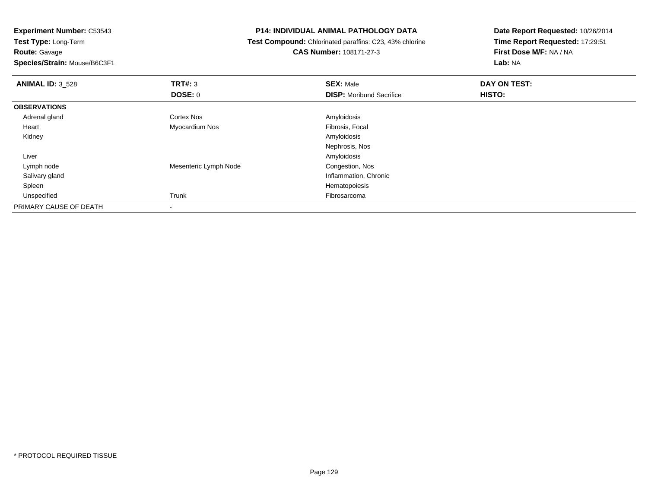**Test Type:** Long-Term**Route:** Gavage

**Species/Strain:** Mouse/B6C3F1

# **P14: INDIVIDUAL ANIMAL PATHOLOGY DATA**

 **Test Compound:** Chlorinated paraffins: C23, 43% chlorine**CAS Number:** 108171-27-3

| <b>ANIMAL ID: 3_528</b> | TRT#: 3               | <b>SEX: Male</b>                | DAY ON TEST: |  |
|-------------------------|-----------------------|---------------------------------|--------------|--|
|                         | <b>DOSE: 0</b>        | <b>DISP:</b> Moribund Sacrifice | HISTO:       |  |
| <b>OBSERVATIONS</b>     |                       |                                 |              |  |
| Adrenal gland           | <b>Cortex Nos</b>     | Amyloidosis                     |              |  |
| Heart                   | Myocardium Nos        | Fibrosis, Focal                 |              |  |
| Kidney                  |                       | Amyloidosis                     |              |  |
|                         |                       | Nephrosis, Nos                  |              |  |
| Liver                   |                       | Amyloidosis                     |              |  |
| Lymph node              | Mesenteric Lymph Node | Congestion, Nos                 |              |  |
| Salivary gland          |                       | Inflammation, Chronic           |              |  |
| Spleen                  |                       | Hematopoiesis                   |              |  |
| Unspecified             | Trunk                 | Fibrosarcoma                    |              |  |
| PRIMARY CAUSE OF DEATH  |                       |                                 |              |  |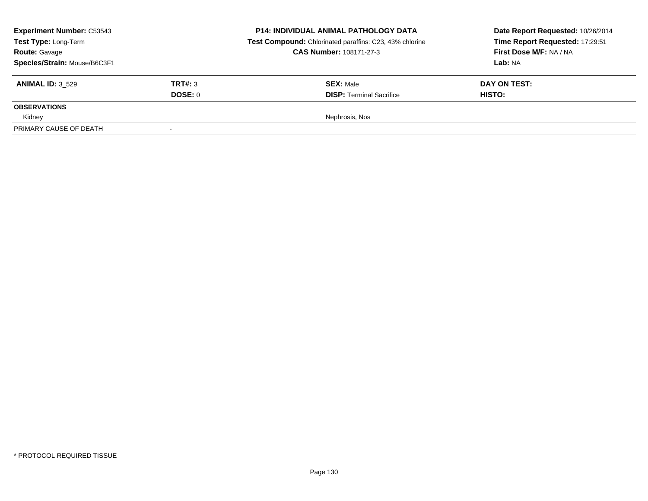| <b>Experiment Number: C53543</b><br>Test Type: Long-Term<br><b>Route: Gavage</b><br>Species/Strain: Mouse/B6C3F1 |                    | <b>P14: INDIVIDUAL ANIMAL PATHOLOGY DATA</b><br>Test Compound: Chlorinated paraffins: C23, 43% chlorine<br><b>CAS Number: 108171-27-3</b> | Date Report Requested: 10/26/2014<br>Time Report Requested: 17:29:51<br>First Dose M/F: NA / NA<br><b>Lab: NA</b> |  |
|------------------------------------------------------------------------------------------------------------------|--------------------|-------------------------------------------------------------------------------------------------------------------------------------------|-------------------------------------------------------------------------------------------------------------------|--|
| <b>ANIMAL ID: 3 529</b>                                                                                          | TRT#: 3<br>DOSE: 0 | <b>SEX: Male</b><br><b>DISP: Terminal Sacrifice</b>                                                                                       | DAY ON TEST:<br><b>HISTO:</b>                                                                                     |  |
| <b>OBSERVATIONS</b>                                                                                              |                    |                                                                                                                                           |                                                                                                                   |  |
| Kidney                                                                                                           |                    | Nephrosis, Nos                                                                                                                            |                                                                                                                   |  |
| PRIMARY CAUSE OF DEATH                                                                                           | $\sim$             |                                                                                                                                           |                                                                                                                   |  |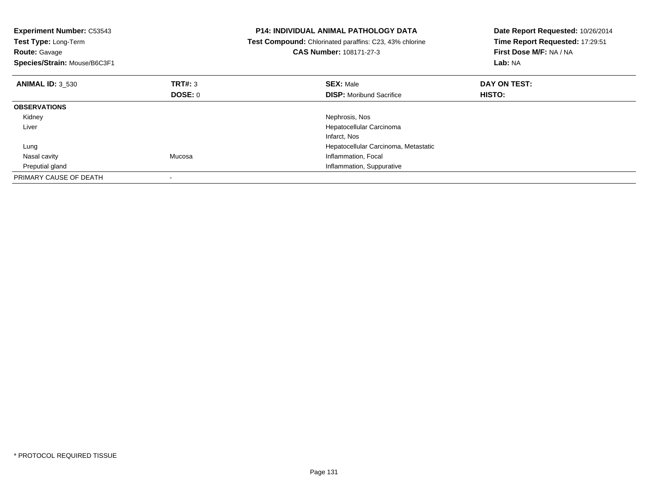| <b>Experiment Number: C53543</b><br>Test Type: Long-Term<br><b>Route: Gavage</b><br>Species/Strain: Mouse/B6C3F1 |         | <b>P14: INDIVIDUAL ANIMAL PATHOLOGY DATA</b><br>Test Compound: Chlorinated paraffins: C23, 43% chlorine<br><b>CAS Number: 108171-27-3</b> | Date Report Requested: 10/26/2014<br>Time Report Requested: 17:29:51<br>First Dose M/F: NA / NA<br>Lab: NA |
|------------------------------------------------------------------------------------------------------------------|---------|-------------------------------------------------------------------------------------------------------------------------------------------|------------------------------------------------------------------------------------------------------------|
| <b>ANIMAL ID: 3 530</b>                                                                                          | TRT#: 3 | <b>SEX: Male</b>                                                                                                                          | DAY ON TEST:                                                                                               |
|                                                                                                                  | DOSE: 0 | <b>DISP:</b> Moribund Sacrifice                                                                                                           | <b>HISTO:</b>                                                                                              |
| <b>OBSERVATIONS</b>                                                                                              |         |                                                                                                                                           |                                                                                                            |
| Kidney                                                                                                           |         | Nephrosis, Nos                                                                                                                            |                                                                                                            |
| Liver                                                                                                            |         | Hepatocellular Carcinoma                                                                                                                  |                                                                                                            |
|                                                                                                                  |         | Infarct, Nos                                                                                                                              |                                                                                                            |
| Lung                                                                                                             |         | Hepatocellular Carcinoma, Metastatic                                                                                                      |                                                                                                            |
| Nasal cavity                                                                                                     | Mucosa  | Inflammation, Focal                                                                                                                       |                                                                                                            |
| Preputial gland                                                                                                  |         | Inflammation, Suppurative                                                                                                                 |                                                                                                            |
| PRIMARY CAUSE OF DEATH                                                                                           |         |                                                                                                                                           |                                                                                                            |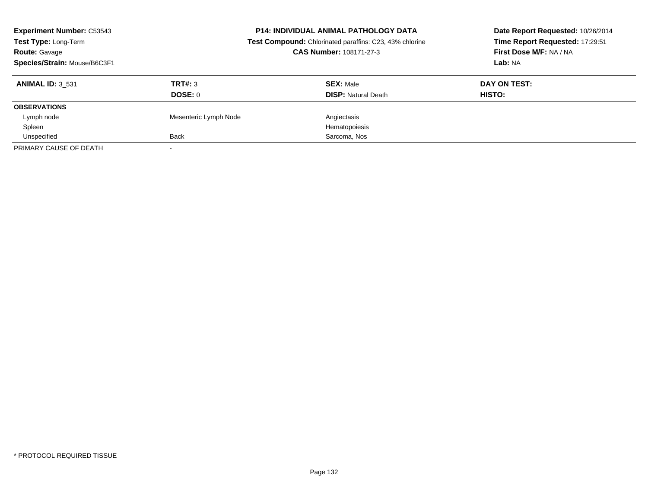| <b>Experiment Number: C53543</b><br>Test Type: Long-Term<br><b>Route: Gavage</b><br>Species/Strain: Mouse/B6C3F1 | <b>P14: INDIVIDUAL ANIMAL PATHOLOGY DATA</b><br>Test Compound: Chlorinated paraffins: C23, 43% chlorine<br>CAS Number: 108171-27-3 |                            | Date Report Requested: 10/26/2014<br>Time Report Requested: 17:29:51<br>First Dose M/F: NA / NA<br>Lab: NA |  |
|------------------------------------------------------------------------------------------------------------------|------------------------------------------------------------------------------------------------------------------------------------|----------------------------|------------------------------------------------------------------------------------------------------------|--|
| <b>ANIMAL ID: 3 531</b>                                                                                          | TRT#: 3                                                                                                                            | <b>SEX: Male</b>           | DAY ON TEST:                                                                                               |  |
|                                                                                                                  | DOSE: 0                                                                                                                            | <b>DISP:</b> Natural Death | <b>HISTO:</b>                                                                                              |  |
| <b>OBSERVATIONS</b>                                                                                              |                                                                                                                                    |                            |                                                                                                            |  |
| Lymph node                                                                                                       | Mesenteric Lymph Node                                                                                                              | Angiectasis                |                                                                                                            |  |
| Spleen                                                                                                           |                                                                                                                                    | Hematopoiesis              |                                                                                                            |  |
| Unspecified                                                                                                      | Back                                                                                                                               | Sarcoma, Nos               |                                                                                                            |  |
| PRIMARY CAUSE OF DEATH                                                                                           |                                                                                                                                    |                            |                                                                                                            |  |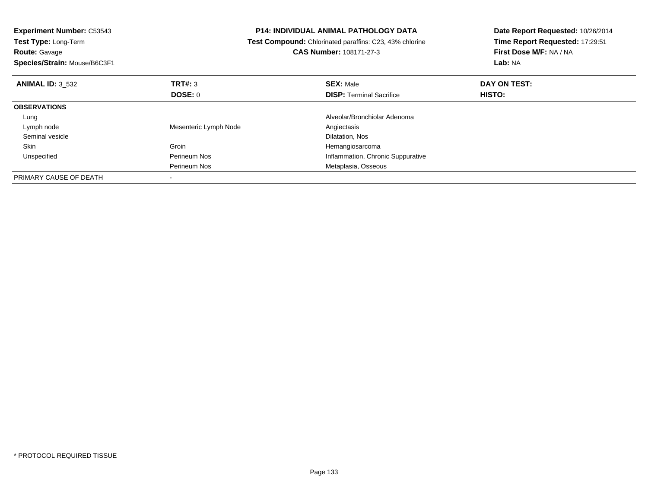| <b>Experiment Number: C53543</b><br>Test Type: Long-Term<br><b>Route: Gavage</b><br>Species/Strain: Mouse/B6C3F1 | <b>P14: INDIVIDUAL ANIMAL PATHOLOGY DATA</b><br>Test Compound: Chlorinated paraffins: C23, 43% chlorine<br>CAS Number: 108171-27-3 |                                   | Date Report Requested: 10/26/2014<br>Time Report Requested: 17:29:51<br>First Dose M/F: NA / NA<br>Lab: NA |
|------------------------------------------------------------------------------------------------------------------|------------------------------------------------------------------------------------------------------------------------------------|-----------------------------------|------------------------------------------------------------------------------------------------------------|
| <b>ANIMAL ID: 3 532</b>                                                                                          | TRT#: 3                                                                                                                            | <b>SEX: Male</b>                  | DAY ON TEST:                                                                                               |
|                                                                                                                  | <b>DOSE: 0</b>                                                                                                                     | <b>DISP:</b> Terminal Sacrifice   | <b>HISTO:</b>                                                                                              |
| <b>OBSERVATIONS</b>                                                                                              |                                                                                                                                    |                                   |                                                                                                            |
| Lung                                                                                                             |                                                                                                                                    | Alveolar/Bronchiolar Adenoma      |                                                                                                            |
| Lymph node                                                                                                       | Mesenteric Lymph Node                                                                                                              | Angiectasis                       |                                                                                                            |
| Seminal vesicle                                                                                                  |                                                                                                                                    | Dilatation, Nos                   |                                                                                                            |
| Skin                                                                                                             | Groin                                                                                                                              | Hemangiosarcoma                   |                                                                                                            |
| Unspecified                                                                                                      | Perineum Nos                                                                                                                       | Inflammation, Chronic Suppurative |                                                                                                            |
|                                                                                                                  | Perineum Nos                                                                                                                       | Metaplasia, Osseous               |                                                                                                            |
| PRIMARY CAUSE OF DEATH                                                                                           |                                                                                                                                    |                                   |                                                                                                            |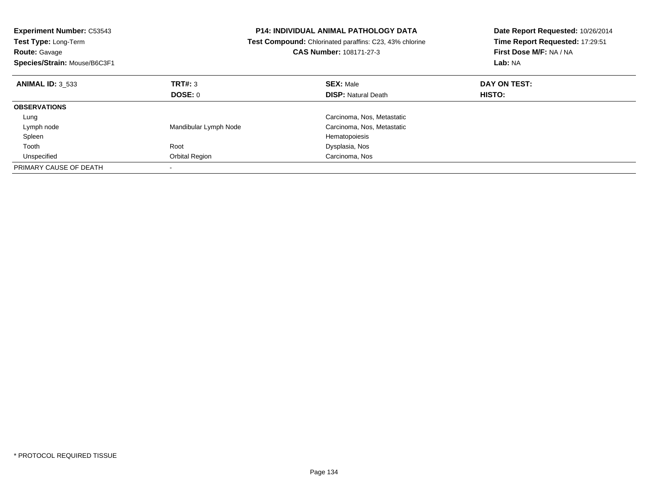| <b>Experiment Number: C53543</b><br><b>Test Type: Long-Term</b><br><b>Route: Gavage</b><br>Species/Strain: Mouse/B6C3F1 |                       | <b>P14: INDIVIDUAL ANIMAL PATHOLOGY DATA</b><br>Test Compound: Chlorinated paraffins: C23, 43% chlorine<br><b>CAS Number: 108171-27-3</b> | Date Report Requested: 10/26/2014<br>Time Report Requested: 17:29:51<br>First Dose M/F: NA / NA<br>Lab: NA |
|-------------------------------------------------------------------------------------------------------------------------|-----------------------|-------------------------------------------------------------------------------------------------------------------------------------------|------------------------------------------------------------------------------------------------------------|
| <b>ANIMAL ID: 3 533</b>                                                                                                 | TRT#: 3               | <b>SEX: Male</b>                                                                                                                          | DAY ON TEST:                                                                                               |
|                                                                                                                         | DOSE: 0               | <b>DISP:</b> Natural Death                                                                                                                | HISTO:                                                                                                     |
| <b>OBSERVATIONS</b>                                                                                                     |                       |                                                                                                                                           |                                                                                                            |
| Lung                                                                                                                    |                       | Carcinoma, Nos, Metastatic                                                                                                                |                                                                                                            |
| Lymph node                                                                                                              | Mandibular Lymph Node | Carcinoma, Nos, Metastatic                                                                                                                |                                                                                                            |
| Spleen                                                                                                                  |                       | Hematopoiesis                                                                                                                             |                                                                                                            |
| Tooth                                                                                                                   | Root                  | Dysplasia, Nos                                                                                                                            |                                                                                                            |
| Unspecified                                                                                                             | Orbital Region        | Carcinoma, Nos                                                                                                                            |                                                                                                            |
| PRIMARY CAUSE OF DEATH                                                                                                  |                       |                                                                                                                                           |                                                                                                            |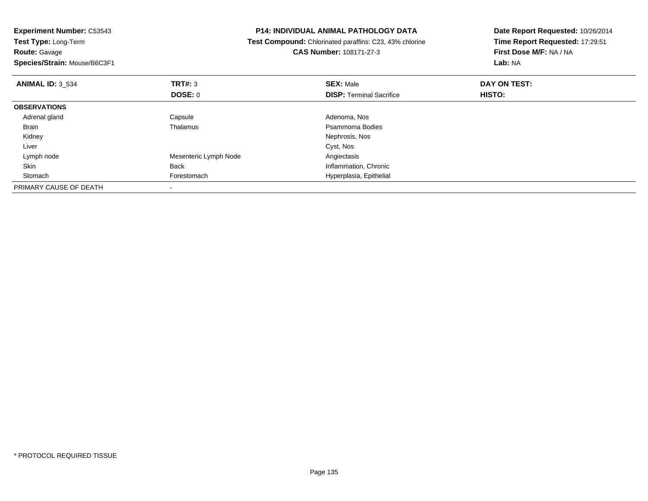| <b>P14: INDIVIDUAL ANIMAL PATHOLOGY DATA</b><br><b>Experiment Number: C53543</b> |                                                         | Date Report Requested: 10/26/2014 |                                 |
|----------------------------------------------------------------------------------|---------------------------------------------------------|-----------------------------------|---------------------------------|
| Test Type: Long-Term                                                             | Test Compound: Chlorinated paraffins: C23, 43% chlorine |                                   | Time Report Requested: 17:29:51 |
| Route: Gavage                                                                    |                                                         | <b>CAS Number: 108171-27-3</b>    | First Dose M/F: NA / NA         |
| Species/Strain: Mouse/B6C3F1                                                     |                                                         |                                   | <b>Lab: NA</b>                  |
| <b>ANIMAL ID: 3 534</b>                                                          | TRT#: 3                                                 | <b>SEX: Male</b>                  | DAY ON TEST:                    |
|                                                                                  | DOSE: 0                                                 | <b>DISP: Terminal Sacrifice</b>   | HISTO:                          |
| <b>OBSERVATIONS</b>                                                              |                                                         |                                   |                                 |
| Adrenal gland                                                                    | Capsule                                                 | Adenoma, Nos                      |                                 |
| Brain                                                                            | Thalamus                                                | Psammoma Bodies                   |                                 |
| Kidney                                                                           |                                                         | Nephrosis, Nos                    |                                 |
| Liver                                                                            |                                                         | Cyst, Nos                         |                                 |
| Lymph node                                                                       | Mesenteric Lymph Node                                   | Angiectasis                       |                                 |
| Skin                                                                             | <b>Back</b>                                             | Inflammation, Chronic             |                                 |
| Stomach                                                                          | Forestomach                                             | Hyperplasia, Epithelial           |                                 |
| PRIMARY CAUSE OF DEATH                                                           |                                                         |                                   |                                 |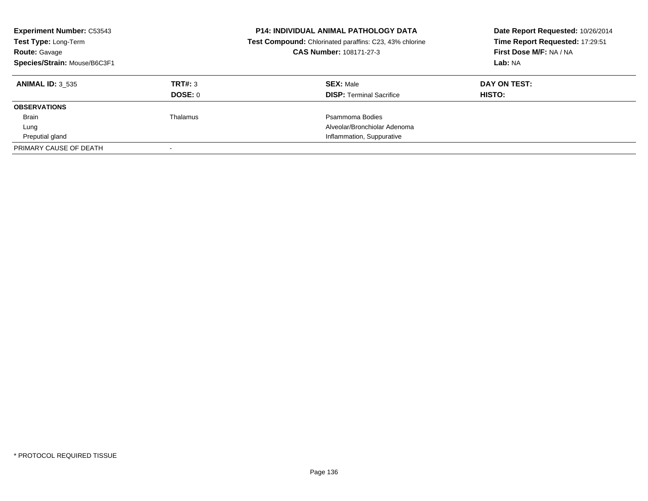| <b>Experiment Number: C53543</b><br>Test Type: Long-Term<br><b>Route: Gavage</b><br>Species/Strain: Mouse/B6C3F1 |                | <b>P14: INDIVIDUAL ANIMAL PATHOLOGY DATA</b><br>Test Compound: Chlorinated paraffins: C23, 43% chlorine<br>CAS Number: 108171-27-3 | Date Report Requested: 10/26/2014<br>Time Report Requested: 17:29:51<br>First Dose M/F: NA / NA<br>Lab: NA |
|------------------------------------------------------------------------------------------------------------------|----------------|------------------------------------------------------------------------------------------------------------------------------------|------------------------------------------------------------------------------------------------------------|
| <b>ANIMAL ID: 3 535</b>                                                                                          | TRT#: 3        | <b>SEX: Male</b>                                                                                                                   | DAY ON TEST:                                                                                               |
|                                                                                                                  | <b>DOSE: 0</b> | <b>DISP:</b> Terminal Sacrifice                                                                                                    | HISTO:                                                                                                     |
| <b>OBSERVATIONS</b>                                                                                              |                |                                                                                                                                    |                                                                                                            |
| <b>Brain</b>                                                                                                     | Thalamus       | Psammoma Bodies                                                                                                                    |                                                                                                            |
| Lung                                                                                                             |                | Alveolar/Bronchiolar Adenoma                                                                                                       |                                                                                                            |
| Preputial gland                                                                                                  |                | Inflammation, Suppurative                                                                                                          |                                                                                                            |
| PRIMARY CAUSE OF DEATH                                                                                           |                |                                                                                                                                    |                                                                                                            |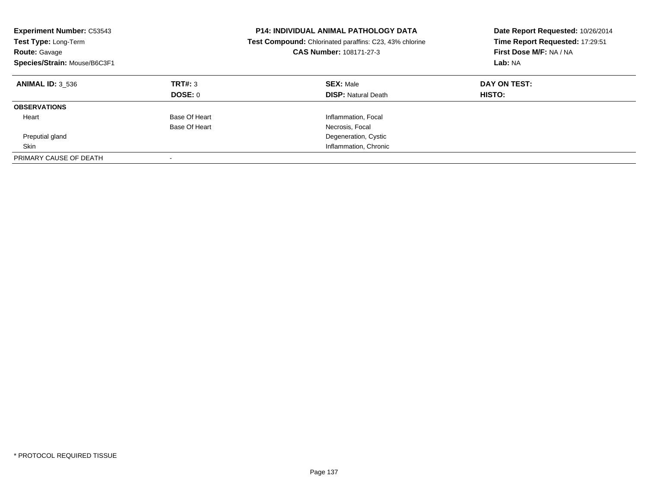| <b>Experiment Number: C53543</b><br><b>Test Type: Long-Term</b><br><b>Route: Gavage</b><br>Species/Strain: Mouse/B6C3F1 | <b>P14: INDIVIDUAL ANIMAL PATHOLOGY DATA</b><br><b>Test Compound:</b> Chlorinated paraffins: C23, 43% chlorine<br><b>CAS Number: 108171-27-3</b> |                                                | Date Report Requested: 10/26/2014<br>Time Report Requested: 17:29:51<br>First Dose M/F: NA / NA<br>Lab: NA |
|-------------------------------------------------------------------------------------------------------------------------|--------------------------------------------------------------------------------------------------------------------------------------------------|------------------------------------------------|------------------------------------------------------------------------------------------------------------|
| <b>ANIMAL ID: 3 536</b>                                                                                                 | TRT#: 3<br>DOSE: 0                                                                                                                               | <b>SEX: Male</b><br><b>DISP:</b> Natural Death | DAY ON TEST:<br>HISTO:                                                                                     |
| <b>OBSERVATIONS</b>                                                                                                     |                                                                                                                                                  |                                                |                                                                                                            |
| Heart                                                                                                                   | Base Of Heart                                                                                                                                    | Inflammation, Focal                            |                                                                                                            |
|                                                                                                                         | Base Of Heart                                                                                                                                    | Necrosis, Focal                                |                                                                                                            |
| Preputial gland                                                                                                         |                                                                                                                                                  | Degeneration, Cystic                           |                                                                                                            |
| Skin                                                                                                                    |                                                                                                                                                  | Inflammation, Chronic                          |                                                                                                            |
| PRIMARY CAUSE OF DEATH                                                                                                  |                                                                                                                                                  |                                                |                                                                                                            |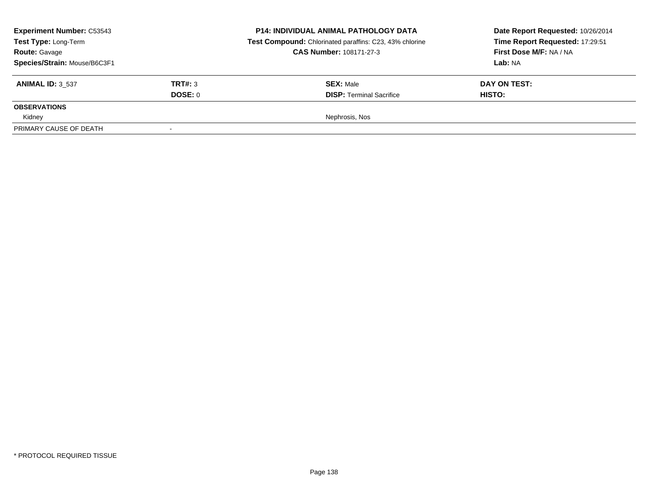| <b>Experiment Number: C53543</b><br>Test Type: Long-Term<br><b>Route: Gavage</b><br>Species/Strain: Mouse/B6C3F1 |                    | <b>P14: INDIVIDUAL ANIMAL PATHOLOGY DATA</b><br>Test Compound: Chlorinated paraffins: C23, 43% chlorine<br><b>CAS Number: 108171-27-3</b> | Date Report Requested: 10/26/2014<br>Time Report Requested: 17:29:51<br>First Dose M/F: NA / NA<br><b>Lab: NA</b> |
|------------------------------------------------------------------------------------------------------------------|--------------------|-------------------------------------------------------------------------------------------------------------------------------------------|-------------------------------------------------------------------------------------------------------------------|
| <b>ANIMAL ID: 3 537</b>                                                                                          | TRT#: 3<br>DOSE: 0 | <b>SEX: Male</b><br><b>DISP: Terminal Sacrifice</b>                                                                                       | DAY ON TEST:<br><b>HISTO:</b>                                                                                     |
| <b>OBSERVATIONS</b>                                                                                              |                    |                                                                                                                                           |                                                                                                                   |
| Kidney<br>PRIMARY CAUSE OF DEATH                                                                                 | $\sim$             | Nephrosis, Nos                                                                                                                            |                                                                                                                   |
|                                                                                                                  |                    |                                                                                                                                           |                                                                                                                   |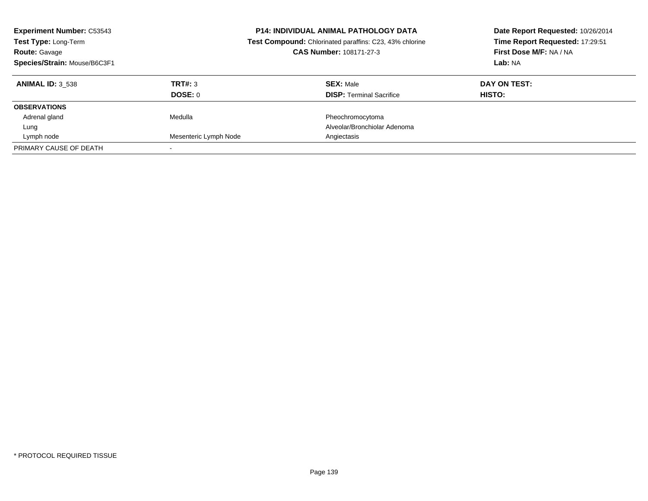| <b>Experiment Number: C53543</b><br>Test Type: Long-Term<br><b>Route: Gavage</b><br>Species/Strain: Mouse/B6C3F1 |                       | <b>P14: INDIVIDUAL ANIMAL PATHOLOGY DATA</b><br>Test Compound: Chlorinated paraffins: C23, 43% chlorine<br>CAS Number: 108171-27-3 | Date Report Requested: 10/26/2014<br>Time Report Requested: 17:29:51<br>First Dose M/F: NA / NA<br>Lab: NA |
|------------------------------------------------------------------------------------------------------------------|-----------------------|------------------------------------------------------------------------------------------------------------------------------------|------------------------------------------------------------------------------------------------------------|
| <b>ANIMAL ID: 3 538</b>                                                                                          | TRT#: 3               | <b>SEX: Male</b>                                                                                                                   | DAY ON TEST:                                                                                               |
|                                                                                                                  | DOSE: 0               | <b>DISP:</b> Terminal Sacrifice                                                                                                    | HISTO:                                                                                                     |
| <b>OBSERVATIONS</b>                                                                                              |                       |                                                                                                                                    |                                                                                                            |
| Adrenal gland                                                                                                    | Medulla               | Pheochromocytoma                                                                                                                   |                                                                                                            |
| Lung                                                                                                             |                       | Alveolar/Bronchiolar Adenoma                                                                                                       |                                                                                                            |
| Lymph node                                                                                                       | Mesenteric Lymph Node | Angiectasis                                                                                                                        |                                                                                                            |
| PRIMARY CAUSE OF DEATH                                                                                           |                       |                                                                                                                                    |                                                                                                            |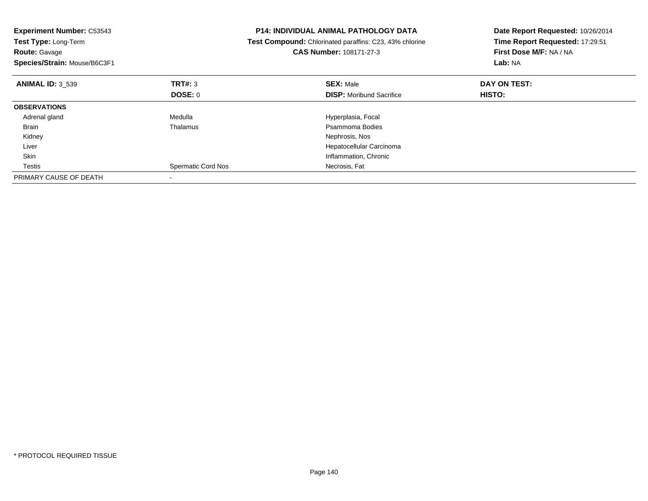| <b>Experiment Number: C53543</b><br><b>Test Type: Long-Term</b><br><b>Route: Gavage</b><br>Species/Strain: Mouse/B6C3F1 |                           | <b>P14: INDIVIDUAL ANIMAL PATHOLOGY DATA</b><br>Test Compound: Chlorinated paraffins: C23, 43% chlorine<br>CAS Number: 108171-27-3 | Date Report Requested: 10/26/2014<br>Time Report Requested: 17:29:51<br>First Dose M/F: NA / NA<br>Lab: NA |
|-------------------------------------------------------------------------------------------------------------------------|---------------------------|------------------------------------------------------------------------------------------------------------------------------------|------------------------------------------------------------------------------------------------------------|
| <b>ANIMAL ID: 3 539</b>                                                                                                 | TRT#: 3                   | <b>SEX: Male</b>                                                                                                                   | DAY ON TEST:                                                                                               |
|                                                                                                                         | DOSE: 0                   | <b>DISP:</b> Moribund Sacrifice                                                                                                    | <b>HISTO:</b>                                                                                              |
| <b>OBSERVATIONS</b>                                                                                                     |                           |                                                                                                                                    |                                                                                                            |
| Adrenal gland                                                                                                           | Medulla                   | Hyperplasia, Focal                                                                                                                 |                                                                                                            |
| Brain                                                                                                                   | Thalamus                  | Psammoma Bodies                                                                                                                    |                                                                                                            |
| Kidney                                                                                                                  |                           | Nephrosis, Nos                                                                                                                     |                                                                                                            |
| Liver                                                                                                                   |                           | Hepatocellular Carcinoma                                                                                                           |                                                                                                            |
| Skin                                                                                                                    |                           | Inflammation, Chronic                                                                                                              |                                                                                                            |
| Testis                                                                                                                  | <b>Spermatic Cord Nos</b> | Necrosis, Fat                                                                                                                      |                                                                                                            |
| PRIMARY CAUSE OF DEATH                                                                                                  |                           |                                                                                                                                    |                                                                                                            |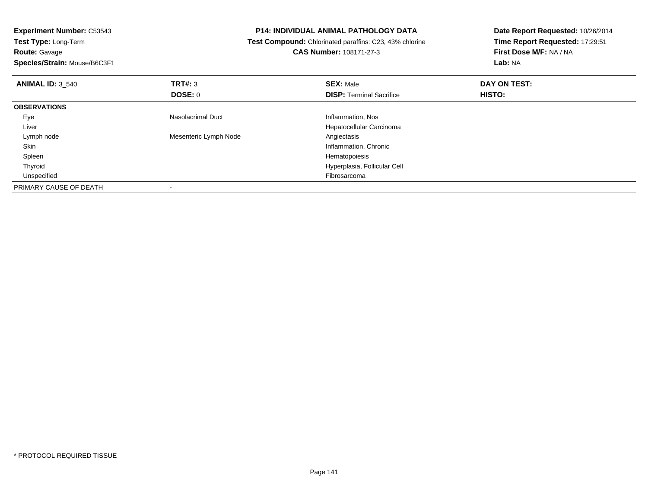| Test Compound: Chlorinated paraffins: C23, 43% chlorine |                                 | Date Report Requested: 10/26/2014            |  |
|---------------------------------------------------------|---------------------------------|----------------------------------------------|--|
|                                                         |                                 | Time Report Requested: 17:29:51              |  |
|                                                         | <b>CAS Number: 108171-27-3</b>  | First Dose M/F: NA / NA                      |  |
|                                                         |                                 | Lab: NA                                      |  |
| TRT#: 3                                                 | <b>SEX: Male</b>                | DAY ON TEST:                                 |  |
| <b>DOSE: 0</b>                                          | <b>DISP:</b> Terminal Sacrifice | <b>HISTO:</b>                                |  |
|                                                         |                                 |                                              |  |
| Nasolacrimal Duct                                       | Inflammation, Nos               |                                              |  |
|                                                         | Hepatocellular Carcinoma        |                                              |  |
| Mesenteric Lymph Node                                   | Angiectasis                     |                                              |  |
|                                                         | Inflammation, Chronic           |                                              |  |
|                                                         | Hematopoiesis                   |                                              |  |
|                                                         | Hyperplasia, Follicular Cell    |                                              |  |
|                                                         | Fibrosarcoma                    |                                              |  |
|                                                         |                                 |                                              |  |
|                                                         |                                 | <b>P14: INDIVIDUAL ANIMAL PATHOLOGY DATA</b> |  |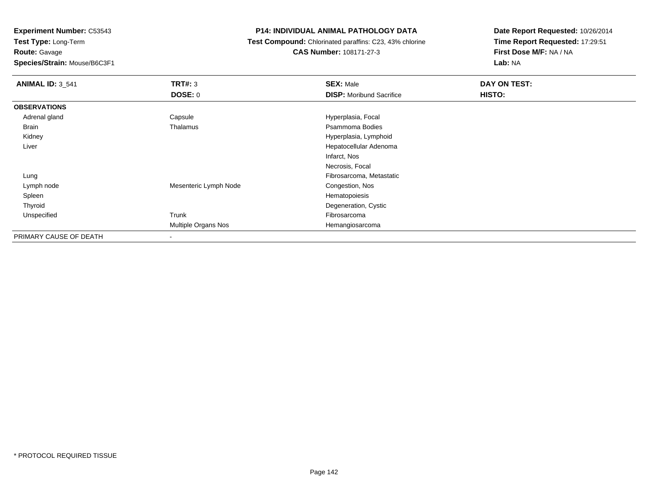**Test Type:** Long-Term**Route:** Gavage

**Species/Strain:** Mouse/B6C3F1

# **P14: INDIVIDUAL ANIMAL PATHOLOGY DATA**

 **Test Compound:** Chlorinated paraffins: C23, 43% chlorine**CAS Number:** 108171-27-3

| <b>ANIMAL ID: 3_541</b> | TRT#: 3               | <b>SEX: Male</b>                | DAY ON TEST: |  |
|-------------------------|-----------------------|---------------------------------|--------------|--|
|                         | DOSE: 0               | <b>DISP:</b> Moribund Sacrifice | HISTO:       |  |
| <b>OBSERVATIONS</b>     |                       |                                 |              |  |
| Adrenal gland           | Capsule               | Hyperplasia, Focal              |              |  |
| <b>Brain</b>            | Thalamus              | Psammoma Bodies                 |              |  |
| Kidney                  |                       | Hyperplasia, Lymphoid           |              |  |
| Liver                   |                       | Hepatocellular Adenoma          |              |  |
|                         |                       | Infarct, Nos                    |              |  |
|                         |                       | Necrosis, Focal                 |              |  |
| Lung                    |                       | Fibrosarcoma, Metastatic        |              |  |
| Lymph node              | Mesenteric Lymph Node | Congestion, Nos                 |              |  |
| Spleen                  |                       | Hematopoiesis                   |              |  |
| Thyroid                 |                       | Degeneration, Cystic            |              |  |
| Unspecified             | Trunk                 | Fibrosarcoma                    |              |  |
|                         | Multiple Organs Nos   | Hemangiosarcoma                 |              |  |
| PRIMARY CAUSE OF DEATH  |                       |                                 |              |  |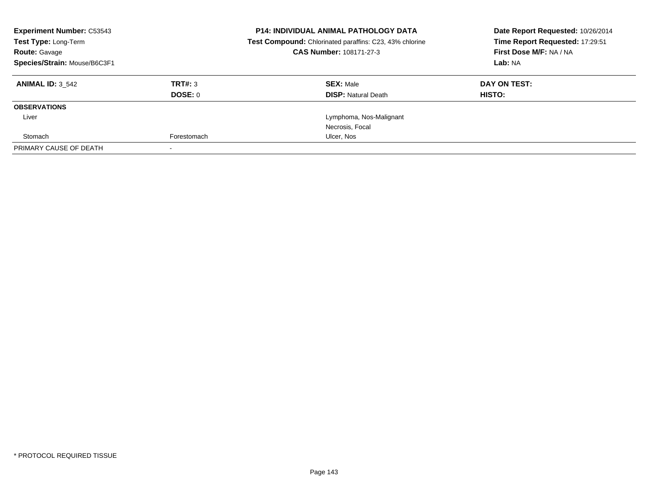| <b>Experiment Number: C53543</b><br>Test Type: Long-Term<br>CAS Number: 108171-27-3<br><b>Route: Gavage</b><br>Species/Strain: Mouse/B6C3F1 |             | <b>P14: INDIVIDUAL ANIMAL PATHOLOGY DATA</b><br>Test Compound: Chlorinated paraffins: C23, 43% chlorine | Date Report Requested: 10/26/2014<br>Time Report Requested: 17:29:51<br>First Dose M/F: NA / NA<br>Lab: NA |
|---------------------------------------------------------------------------------------------------------------------------------------------|-------------|---------------------------------------------------------------------------------------------------------|------------------------------------------------------------------------------------------------------------|
| <b>ANIMAL ID: 3 542</b>                                                                                                                     | TRT#: 3     | <b>SEX: Male</b>                                                                                        | DAY ON TEST:                                                                                               |
|                                                                                                                                             | DOSE: 0     | <b>DISP:</b> Natural Death                                                                              | HISTO:                                                                                                     |
| <b>OBSERVATIONS</b>                                                                                                                         |             |                                                                                                         |                                                                                                            |
| Liver                                                                                                                                       |             | Lymphoma, Nos-Malignant                                                                                 |                                                                                                            |
|                                                                                                                                             |             | Necrosis, Focal                                                                                         |                                                                                                            |
| Stomach                                                                                                                                     | Forestomach | Ulcer, Nos                                                                                              |                                                                                                            |
| PRIMARY CAUSE OF DEATH                                                                                                                      |             |                                                                                                         |                                                                                                            |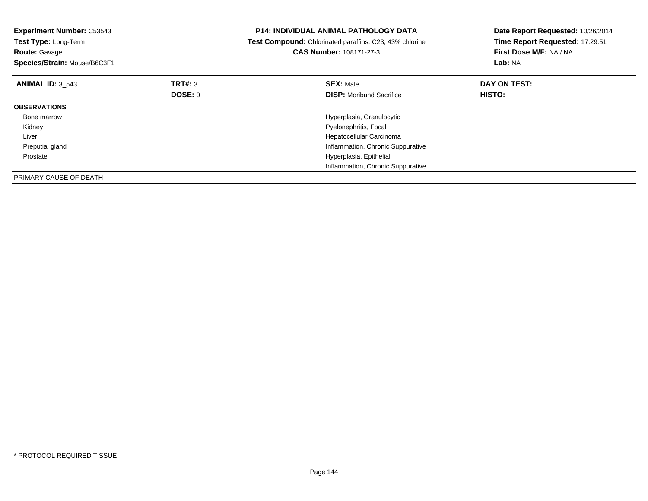| <b>Experiment Number: C53543</b><br>Test Type: Long-Term<br><b>Route: Gavage</b><br>Species/Strain: Mouse/B6C3F1 |                | <b>P14: INDIVIDUAL ANIMAL PATHOLOGY DATA</b><br>Test Compound: Chlorinated paraffins: C23, 43% chlorine<br>CAS Number: 108171-27-3 | Date Report Requested: 10/26/2014<br>Time Report Requested: 17:29:51<br>First Dose M/F: NA / NA<br>Lab: NA |
|------------------------------------------------------------------------------------------------------------------|----------------|------------------------------------------------------------------------------------------------------------------------------------|------------------------------------------------------------------------------------------------------------|
| <b>ANIMAL ID: 3 543</b>                                                                                          | TRT#: 3        | <b>SEX: Male</b>                                                                                                                   | DAY ON TEST:                                                                                               |
|                                                                                                                  | <b>DOSE: 0</b> | <b>DISP:</b> Moribund Sacrifice                                                                                                    | <b>HISTO:</b>                                                                                              |
| <b>OBSERVATIONS</b>                                                                                              |                |                                                                                                                                    |                                                                                                            |
| Bone marrow                                                                                                      |                | Hyperplasia, Granulocytic                                                                                                          |                                                                                                            |
| Kidney                                                                                                           |                | Pyelonephritis, Focal                                                                                                              |                                                                                                            |
| Liver                                                                                                            |                | Hepatocellular Carcinoma                                                                                                           |                                                                                                            |
| Preputial gland                                                                                                  |                | Inflammation, Chronic Suppurative                                                                                                  |                                                                                                            |
| Prostate                                                                                                         |                | Hyperplasia, Epithelial                                                                                                            |                                                                                                            |
|                                                                                                                  |                | Inflammation, Chronic Suppurative                                                                                                  |                                                                                                            |
| PRIMARY CAUSE OF DEATH                                                                                           |                |                                                                                                                                    |                                                                                                            |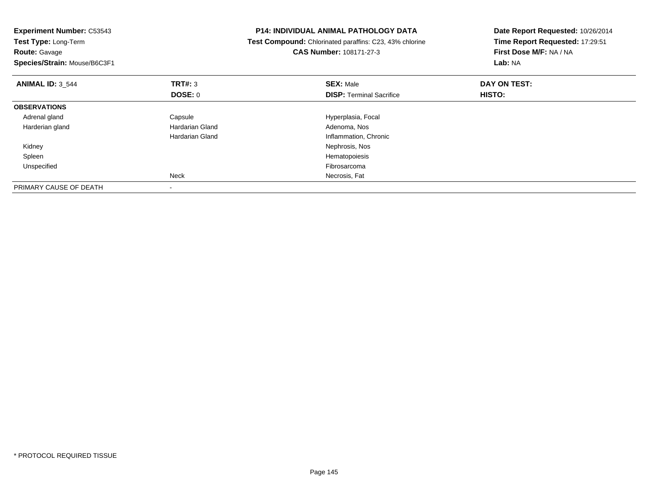| <b>Experiment Number: C53543</b><br>Test Type: Long-Term<br><b>Route: Gavage</b><br>Species/Strain: Mouse/B6C3F1 |                 | <b>P14: INDIVIDUAL ANIMAL PATHOLOGY DATA</b><br>Test Compound: Chlorinated paraffins: C23, 43% chlorine<br><b>CAS Number: 108171-27-3</b> | Date Report Requested: 10/26/2014<br>Time Report Requested: 17:29:51<br>First Dose M/F: NA / NA<br>Lab: NA |  |
|------------------------------------------------------------------------------------------------------------------|-----------------|-------------------------------------------------------------------------------------------------------------------------------------------|------------------------------------------------------------------------------------------------------------|--|
| <b>ANIMAL ID: 3 544</b>                                                                                          | <b>TRT#: 3</b>  | <b>SEX: Male</b>                                                                                                                          | DAY ON TEST:                                                                                               |  |
|                                                                                                                  | DOSE: 0         | <b>DISP:</b> Terminal Sacrifice                                                                                                           | HISTO:                                                                                                     |  |
| <b>OBSERVATIONS</b>                                                                                              |                 |                                                                                                                                           |                                                                                                            |  |
| Adrenal gland                                                                                                    | Capsule         | Hyperplasia, Focal                                                                                                                        |                                                                                                            |  |
| Harderian gland                                                                                                  | Hardarian Gland | Adenoma, Nos                                                                                                                              |                                                                                                            |  |
|                                                                                                                  | Hardarian Gland | Inflammation, Chronic                                                                                                                     |                                                                                                            |  |
| Kidney                                                                                                           |                 | Nephrosis, Nos                                                                                                                            |                                                                                                            |  |
| Spleen                                                                                                           |                 | Hematopoiesis                                                                                                                             |                                                                                                            |  |
| Unspecified                                                                                                      |                 | Fibrosarcoma                                                                                                                              |                                                                                                            |  |
|                                                                                                                  | <b>Neck</b>     | Necrosis, Fat                                                                                                                             |                                                                                                            |  |
| PRIMARY CAUSE OF DEATH                                                                                           |                 |                                                                                                                                           |                                                                                                            |  |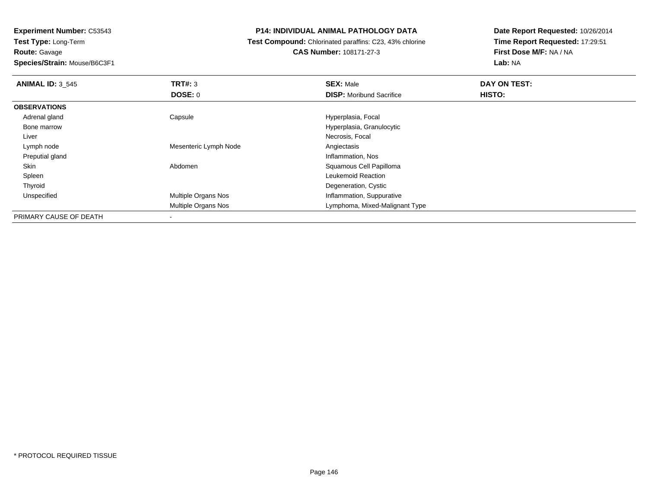**Experiment Number:** C53543**Test Type:** Long-Term

**Route:** Gavage

**Species/Strain:** Mouse/B6C3F1

## **P14: INDIVIDUAL ANIMAL PATHOLOGY DATA**

 **Test Compound:** Chlorinated paraffins: C23, 43% chlorine**CAS Number:** 108171-27-3

**Date Report Requested:** 10/26/2014**Time Report Requested:** 17:29:51**First Dose M/F:** NA / NA**Lab:** NA

| <b>ANIMAL ID: 3 545</b> | TRT#: 3                  | <b>SEX: Male</b>                | DAY ON TEST:  |  |
|-------------------------|--------------------------|---------------------------------|---------------|--|
|                         | DOSE: 0                  | <b>DISP:</b> Moribund Sacrifice | <b>HISTO:</b> |  |
| <b>OBSERVATIONS</b>     |                          |                                 |               |  |
| Adrenal gland           | Capsule                  | Hyperplasia, Focal              |               |  |
| Bone marrow             |                          | Hyperplasia, Granulocytic       |               |  |
| Liver                   |                          | Necrosis, Focal                 |               |  |
| Lymph node              | Mesenteric Lymph Node    | Angiectasis                     |               |  |
| Preputial gland         |                          | Inflammation, Nos               |               |  |
| Skin                    | Abdomen                  | Squamous Cell Papilloma         |               |  |
| Spleen                  |                          | Leukemoid Reaction              |               |  |
| Thyroid                 |                          | Degeneration, Cystic            |               |  |
| Unspecified             | Multiple Organs Nos      | Inflammation, Suppurative       |               |  |
|                         | Multiple Organs Nos      | Lymphoma, Mixed-Malignant Type  |               |  |
| PRIMARY CAUSE OF DEATH  | $\overline{\phantom{a}}$ |                                 |               |  |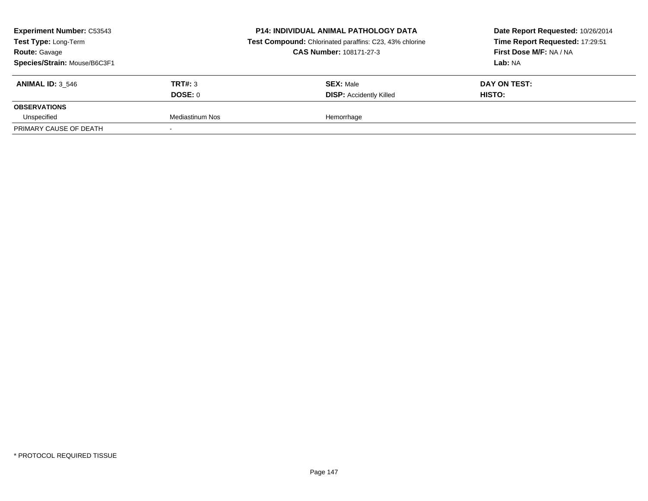| <b>Experiment Number: C53543</b><br>Test Type: Long-Term<br><b>Route: Gavage</b><br>Species/Strain: Mouse/B6C3F1 |                 | <b>P14: INDIVIDUAL ANIMAL PATHOLOGY DATA</b><br>Test Compound: Chlorinated paraffins: C23, 43% chlorine<br><b>CAS Number: 108171-27-3</b> | Date Report Requested: 10/26/2014<br>Time Report Requested: 17:29:51<br>First Dose M/F: NA / NA<br>Lab: NA |  |
|------------------------------------------------------------------------------------------------------------------|-----------------|-------------------------------------------------------------------------------------------------------------------------------------------|------------------------------------------------------------------------------------------------------------|--|
| <b>ANIMAL ID: 3 546</b>                                                                                          | TRT#: 3         | <b>SEX: Male</b>                                                                                                                          | DAY ON TEST:                                                                                               |  |
|                                                                                                                  | DOSE: 0         | <b>DISP: Accidently Killed</b>                                                                                                            | HISTO:                                                                                                     |  |
| <b>OBSERVATIONS</b>                                                                                              |                 |                                                                                                                                           |                                                                                                            |  |
| Unspecified                                                                                                      | Mediastinum Nos | Hemorrhage                                                                                                                                |                                                                                                            |  |
| PRIMARY CAUSE OF DEATH                                                                                           |                 |                                                                                                                                           |                                                                                                            |  |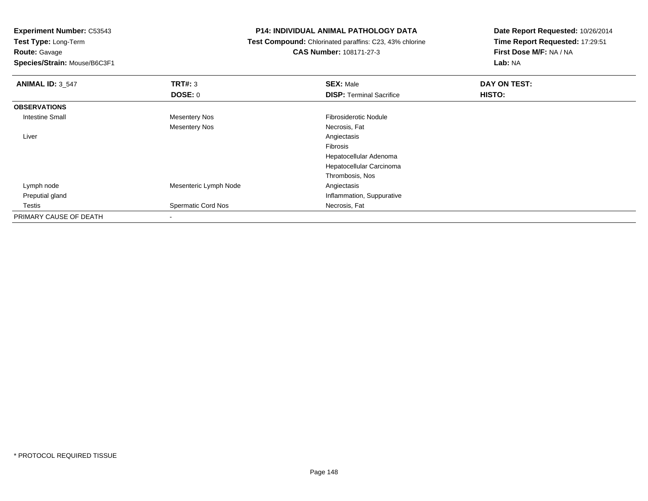**Experiment Number:** C53543

**Test Type:** Long-Term**Route:** Gavage

**Species/Strain:** Mouse/B6C3F1

## **P14: INDIVIDUAL ANIMAL PATHOLOGY DATA**

 **Test Compound:** Chlorinated paraffins: C23, 43% chlorine**CAS Number:** 108171-27-3

**Date Report Requested:** 10/26/2014**Time Report Requested:** 17:29:51**First Dose M/F:** NA / NA**Lab:** NA

| <b>ANIMAL ID: 3_547</b> | TRT#: 3                   | <b>SEX: Male</b>                | DAY ON TEST: |  |
|-------------------------|---------------------------|---------------------------------|--------------|--|
|                         | <b>DOSE: 0</b>            | <b>DISP: Terminal Sacrifice</b> | HISTO:       |  |
| <b>OBSERVATIONS</b>     |                           |                                 |              |  |
| <b>Intestine Small</b>  | <b>Mesentery Nos</b>      | <b>Fibrosiderotic Nodule</b>    |              |  |
|                         | <b>Mesentery Nos</b>      | Necrosis, Fat                   |              |  |
| Liver                   |                           | Angiectasis                     |              |  |
|                         |                           | Fibrosis                        |              |  |
|                         |                           | Hepatocellular Adenoma          |              |  |
|                         |                           | Hepatocellular Carcinoma        |              |  |
|                         |                           | Thrombosis, Nos                 |              |  |
| Lymph node              | Mesenteric Lymph Node     | Angiectasis                     |              |  |
| Preputial gland         |                           | Inflammation, Suppurative       |              |  |
| Testis                  | <b>Spermatic Cord Nos</b> | Necrosis, Fat                   |              |  |
| PRIMARY CAUSE OF DEATH  |                           |                                 |              |  |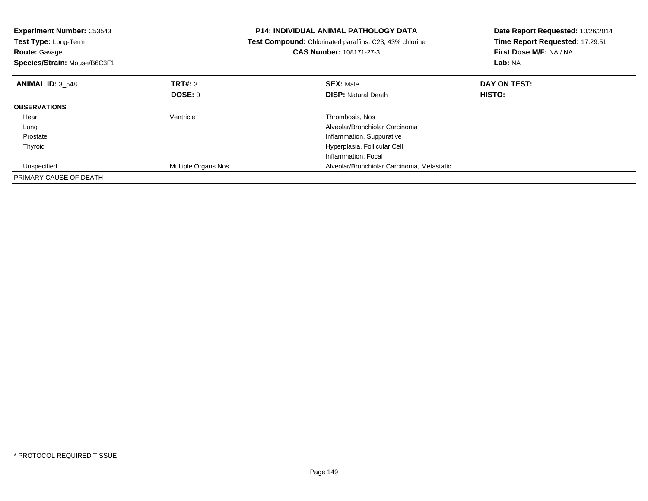| <b>Experiment Number: C53543</b><br>Test Type: Long-Term<br><b>Route: Gavage</b><br>Species/Strain: Mouse/B6C3F1 |                            | <b>P14: INDIVIDUAL ANIMAL PATHOLOGY DATA</b><br>Test Compound: Chlorinated paraffins: C23, 43% chlorine<br>CAS Number: 108171-27-3 | Date Report Requested: 10/26/2014<br>Time Report Requested: 17:29:51<br>First Dose M/F: NA / NA<br>Lab: NA |  |
|------------------------------------------------------------------------------------------------------------------|----------------------------|------------------------------------------------------------------------------------------------------------------------------------|------------------------------------------------------------------------------------------------------------|--|
| <b>ANIMAL ID: 3 548</b>                                                                                          | TRT#: 3                    | <b>SEX: Male</b>                                                                                                                   | DAY ON TEST:                                                                                               |  |
|                                                                                                                  | <b>DOSE: 0</b>             | <b>DISP:</b> Natural Death                                                                                                         | <b>HISTO:</b>                                                                                              |  |
| <b>OBSERVATIONS</b>                                                                                              |                            |                                                                                                                                    |                                                                                                            |  |
| Heart                                                                                                            | Ventricle                  | Thrombosis, Nos                                                                                                                    |                                                                                                            |  |
| Lung                                                                                                             |                            | Alveolar/Bronchiolar Carcinoma                                                                                                     |                                                                                                            |  |
| Prostate                                                                                                         |                            | Inflammation, Suppurative                                                                                                          |                                                                                                            |  |
| Thyroid                                                                                                          |                            | Hyperplasia, Follicular Cell                                                                                                       |                                                                                                            |  |
|                                                                                                                  |                            | Inflammation, Focal                                                                                                                |                                                                                                            |  |
| Unspecified                                                                                                      | <b>Multiple Organs Nos</b> | Alveolar/Bronchiolar Carcinoma, Metastatic                                                                                         |                                                                                                            |  |
| PRIMARY CAUSE OF DEATH                                                                                           |                            |                                                                                                                                    |                                                                                                            |  |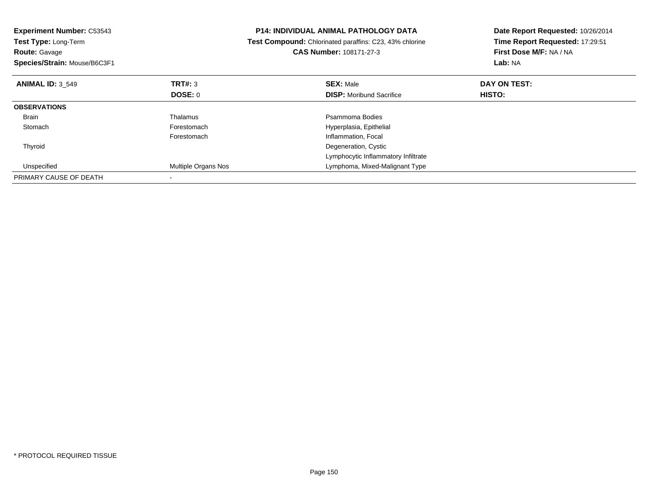| <b>Experiment Number: C53543</b><br>Test Type: Long-Term<br><b>Route: Gavage</b><br>Species/Strain: Mouse/B6C3F1 |                     | <b>P14: INDIVIDUAL ANIMAL PATHOLOGY DATA</b><br>Test Compound: Chlorinated paraffins: C23, 43% chlorine<br><b>CAS Number: 108171-27-3</b> | Date Report Requested: 10/26/2014<br>Time Report Requested: 17:29:51<br>First Dose M/F: NA / NA<br>Lab: NA |  |
|------------------------------------------------------------------------------------------------------------------|---------------------|-------------------------------------------------------------------------------------------------------------------------------------------|------------------------------------------------------------------------------------------------------------|--|
| <b>ANIMAL ID: 3 549</b>                                                                                          | TRT#: 3             | <b>SEX: Male</b>                                                                                                                          | DAY ON TEST:                                                                                               |  |
|                                                                                                                  | <b>DOSE: 0</b>      | <b>DISP:</b> Moribund Sacrifice                                                                                                           | <b>HISTO:</b>                                                                                              |  |
| <b>OBSERVATIONS</b>                                                                                              |                     |                                                                                                                                           |                                                                                                            |  |
| Brain                                                                                                            | Thalamus            | Psammoma Bodies                                                                                                                           |                                                                                                            |  |
| Stomach                                                                                                          | Forestomach         | Hyperplasia, Epithelial                                                                                                                   |                                                                                                            |  |
|                                                                                                                  | Forestomach         | Inflammation, Focal                                                                                                                       |                                                                                                            |  |
| Thyroid                                                                                                          |                     | Degeneration, Cystic                                                                                                                      |                                                                                                            |  |
|                                                                                                                  |                     | Lymphocytic Inflammatory Infiltrate                                                                                                       |                                                                                                            |  |
| Unspecified                                                                                                      | Multiple Organs Nos | Lymphoma, Mixed-Malignant Type                                                                                                            |                                                                                                            |  |
| PRIMARY CAUSE OF DEATH                                                                                           |                     |                                                                                                                                           |                                                                                                            |  |